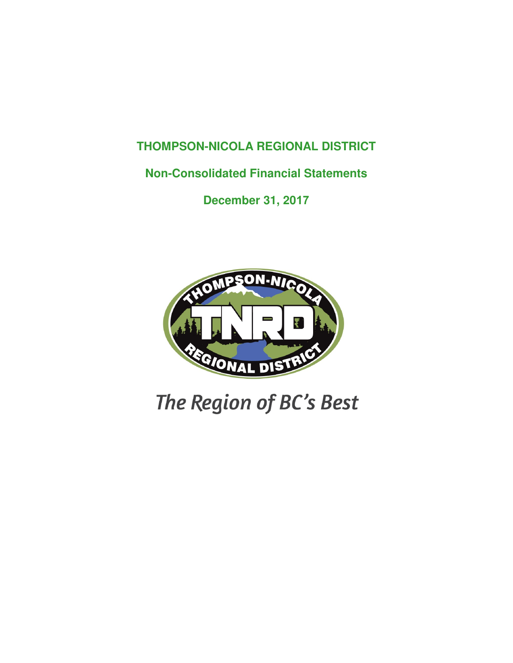### **THOMPSON-NICOLA REGIONAL DISTRICT**

### **Non-Consolidated Financial Statements**

**December 31, 2017**



# The Region of BC's Best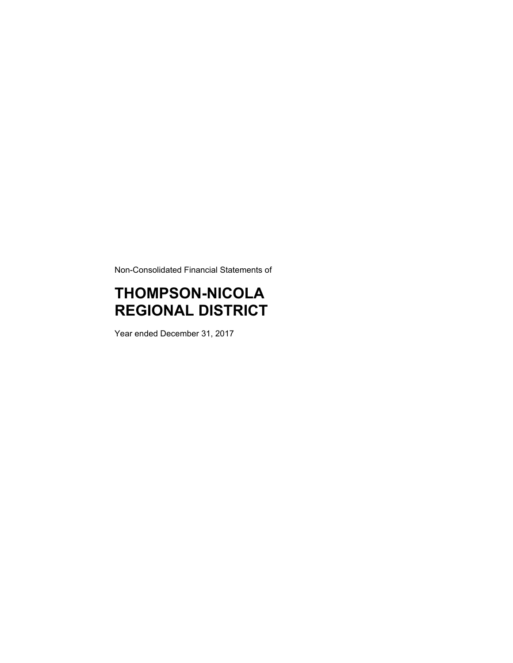Non-Consolidated Financial Statements of

## **THOMPSON-NICOLA REGIONAL DISTRICT**

Year ended December 31, 2017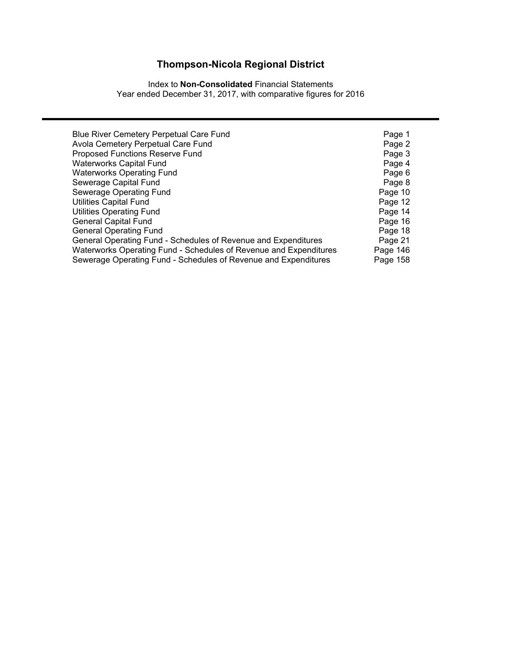Index to **Non-Consolidated** Financial Statements Year ended December 31, 2017, with comparative figures for 2016

| <b>Blue River Cemetery Perpetual Care Fund</b>                    | Page 1   |
|-------------------------------------------------------------------|----------|
| Avola Cemetery Perpetual Care Fund                                | Page 2   |
| Proposed Functions Reserve Fund                                   | Page 3   |
| <b>Waterworks Capital Fund</b>                                    | Page 4   |
| <b>Waterworks Operating Fund</b>                                  | Page 6   |
| Sewerage Capital Fund                                             | Page 8   |
| Sewerage Operating Fund                                           | Page 10  |
| <b>Utilities Capital Fund</b>                                     | Page 12  |
| <b>Utilities Operating Fund</b>                                   | Page 14  |
| <b>General Capital Fund</b>                                       | Page 16  |
| <b>General Operating Fund</b>                                     | Page 18  |
| General Operating Fund - Schedules of Revenue and Expenditures    | Page 21  |
| Waterworks Operating Fund - Schedules of Revenue and Expenditures | Page 146 |
| Sewerage Operating Fund - Schedules of Revenue and Expenditures   | Page 158 |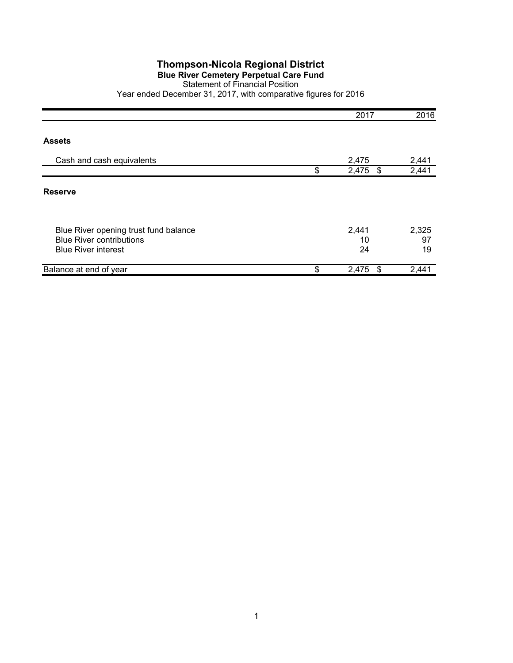#### **Blue River Cemetery Perpetual Care Fund**

#### Statement of Financial Position

|                                                                                                        | 2017              | 2016              |
|--------------------------------------------------------------------------------------------------------|-------------------|-------------------|
| <b>Assets</b>                                                                                          |                   |                   |
| Cash and cash equivalents                                                                              | 2,475             | 2,441             |
|                                                                                                        | \$<br>2,475<br>\$ | 2,441             |
| <b>Reserve</b>                                                                                         |                   |                   |
| Blue River opening trust fund balance<br><b>Blue River contributions</b><br><b>Blue River interest</b> | 2,441<br>10<br>24 | 2,325<br>97<br>19 |
| Balance at end of year                                                                                 | \$<br>2,475<br>\$ | 2,441             |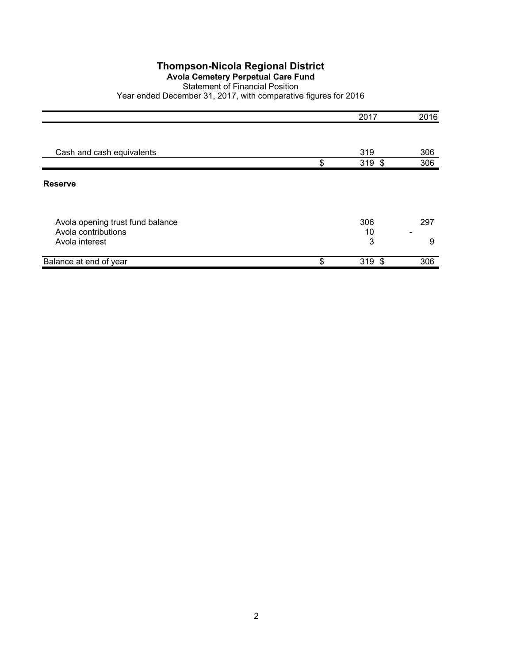#### **Avola Cemetery Perpetual Care Fund**

#### Statement of Financial Position

|                                                         | 2017            | 2016     |
|---------------------------------------------------------|-----------------|----------|
|                                                         |                 |          |
| Cash and cash equivalents                               | 319             | 306      |
|                                                         | \$<br>$319$ \$  | 306      |
| <b>Reserve</b>                                          |                 |          |
| Avola opening trust fund balance<br>Avola contributions | 306<br>10       | 297<br>۰ |
| Avola interest                                          | 3               | 9        |
| Balance at end of year                                  | \$<br>319<br>\$ | 306      |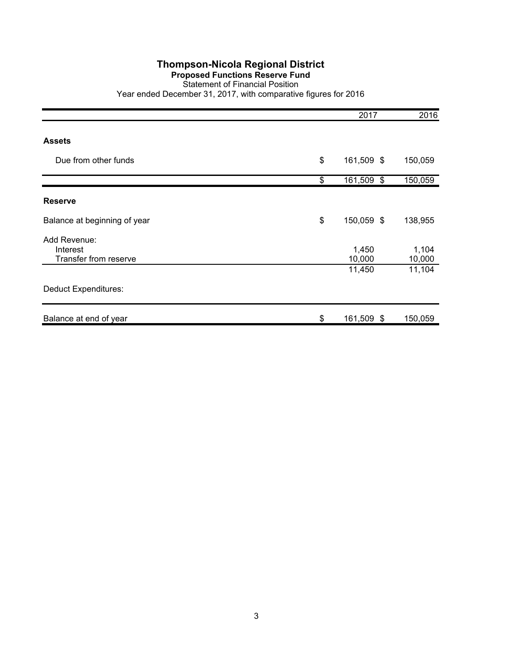#### **Proposed Functions Reserve Fund**

#### Statement of Financial Position

|                                                   | 2017                | 2016            |
|---------------------------------------------------|---------------------|-----------------|
| <b>Assets</b>                                     |                     |                 |
| Due from other funds                              | \$<br>161,509 \$    | 150,059         |
|                                                   | \$<br>161,509<br>\$ | 150,059         |
| <b>Reserve</b>                                    |                     |                 |
| Balance at beginning of year                      | \$<br>150,059 \$    | 138,955         |
| Add Revenue:<br>Interest<br>Transfer from reserve | 1,450<br>10,000     | 1,104<br>10,000 |
|                                                   | 11,450              | 11,104          |
| <b>Deduct Expenditures:</b>                       |                     |                 |
| Balance at end of year                            | \$<br>161,509 \$    | 150,059         |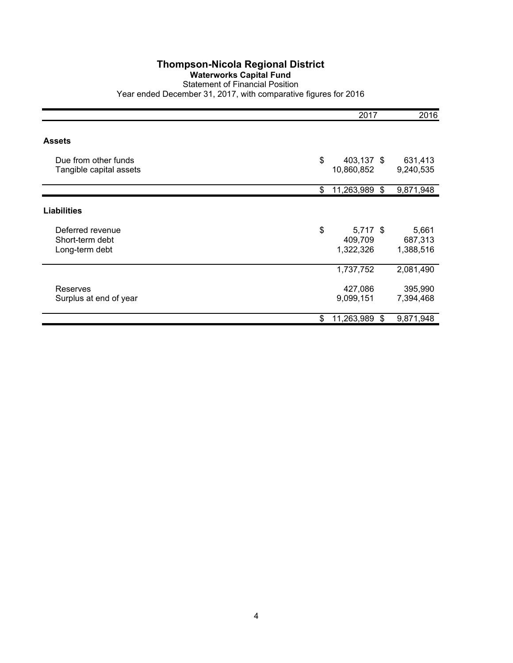#### **Waterworks Capital Fund**

#### Statement of Financial Position

|                         | 2017                   | 2016      |
|-------------------------|------------------------|-----------|
|                         |                        |           |
| <b>Assets</b>           |                        |           |
| Due from other funds    | \$<br>403,137 \$       | 631,413   |
| Tangible capital assets | 10,860,852             | 9,240,535 |
|                         | \$<br>11,263,989<br>\$ | 9,871,948 |
| <b>Liabilities</b>      |                        |           |
| Deferred revenue        | \$<br>$5,717$ \$       | 5,661     |
| Short-term debt         | 409,709                | 687,313   |
| Long-term debt          | 1,322,326              | 1,388,516 |
|                         | 1,737,752              | 2,081,490 |
| <b>Reserves</b>         | 427,086                | 395,990   |
| Surplus at end of year  | 9,099,151              | 7,394,468 |
|                         | \$<br>11,263,989<br>\$ | 9,871,948 |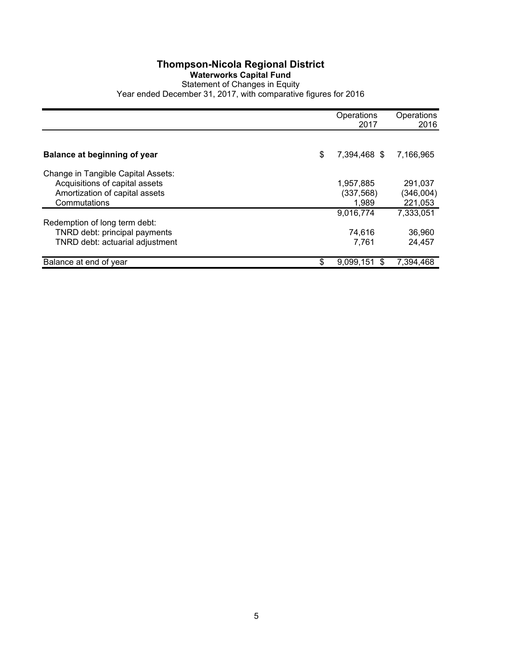#### **Thompson-Nicola Regional District Waterworks Capital Fund** Statement of Changes in Equity

|                                                |    | Operations<br>2017  | Operations<br>2016   |
|------------------------------------------------|----|---------------------|----------------------|
|                                                |    |                     |                      |
| Balance at beginning of year                   | \$ | 7,394,468 \$        | 7,166,965            |
| Change in Tangible Capital Assets:             |    |                     |                      |
| Acquisitions of capital assets                 |    | 1,957,885           | 291.037              |
| Amortization of capital assets<br>Commutations |    | (337, 568)<br>1,989 | (346,004)<br>221,053 |
|                                                |    | 9,016,774           | 7,333,051            |
| Redemption of long term debt:                  |    |                     |                      |
| TNRD debt: principal payments                  |    | 74,616              | 36,960               |
| TNRD debt: actuarial adjustment                |    | 7,761               | 24.457               |
| Balance at end of year                         | S  | 9.099.151<br>\$     | 7.394.468            |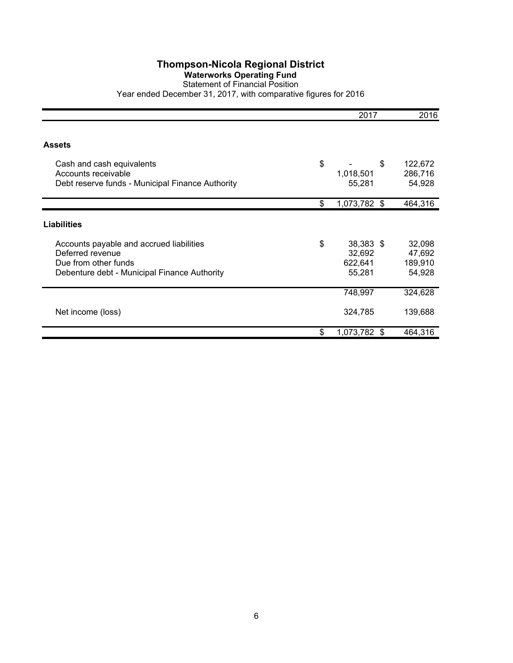#### **Waterworks Operating Fund**

Statement of Financial Position Year ended December 31, 2017, with comparative figures for 2016

|                                                  | 2017               | 2016    |
|--------------------------------------------------|--------------------|---------|
|                                                  |                    |         |
| <b>Assets</b>                                    |                    |         |
| Cash and cash equivalents                        | \$<br>\$           | 122,672 |
| Accounts receivable                              | 1,018,501          | 286,716 |
| Debt reserve funds - Municipal Finance Authority | 55,281             | 54,928  |
|                                                  | \$<br>1,073,782 \$ | 464,316 |
| <b>Liabilities</b>                               |                    |         |
| Accounts payable and accrued liabilities         | \$<br>38,383 \$    | 32,098  |
| Deferred revenue                                 | 32,692             | 47,692  |
| Due from other funds                             | 622,641            | 189,910 |
| Debenture debt - Municipal Finance Authority     | 55,281             | 54,928  |
|                                                  | 748,997            | 324,628 |
| Net income (loss)                                | 324,785            | 139,688 |
|                                                  | \$<br>1,073,782 \$ | 464,316 |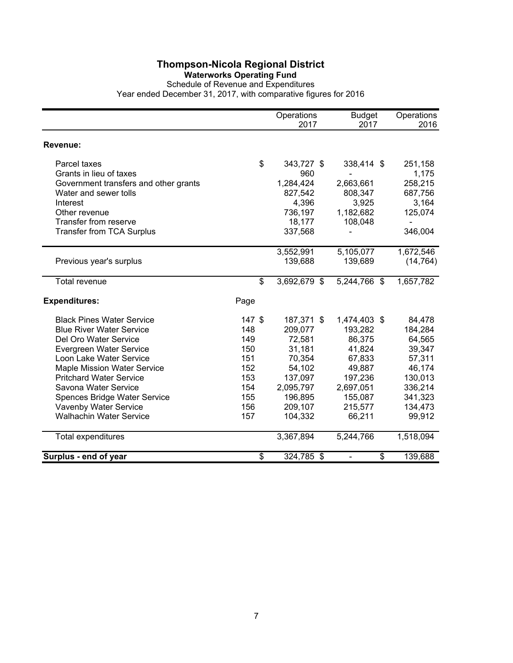#### **Waterworks Operating Fund**

Schedule of Revenue and Expenditures

|                                       |        | Operations   | <b>Budget</b>                  | Operations |
|---------------------------------------|--------|--------------|--------------------------------|------------|
|                                       |        | 2017         | 2017                           | 2016       |
| Revenue:                              |        |              |                                |            |
| Parcel taxes                          | \$     | 343,727 \$   | 338,414 \$                     | 251,158    |
| Grants in lieu of taxes               |        | 960          |                                | 1,175      |
| Government transfers and other grants |        | 1,284,424    | 2,663,661                      | 258,215    |
| Water and sewer tolls                 |        | 827,542      | 808,347                        | 687,756    |
| Interest                              |        | 4,396        | 3,925                          | 3,164      |
| Other revenue                         |        | 736,197      | 1,182,682                      | 125,074    |
| Transfer from reserve                 |        | 18,177       | 108,048                        |            |
| <b>Transfer from TCA Surplus</b>      |        | 337,568      |                                | 346,004    |
|                                       |        | 3,552,991    | 5,105,077                      | 1,672,546  |
| Previous year's surplus               |        | 139,688      | 139,689                        | (14, 764)  |
| Total revenue                         | \$     | 3,692,679 \$ | 5,244,766 \$                   | 1,657,782  |
| <b>Expenditures:</b>                  | Page   |              |                                |            |
| <b>Black Pines Water Service</b>      | 147 \$ | 187,371 \$   | 1,474,403 \$                   | 84,478     |
| <b>Blue River Water Service</b>       | 148    | 209,077      | 193,282                        | 184,284    |
| Del Oro Water Service                 | 149    | 72,581       | 86,375                         | 64,565     |
| Evergreen Water Service               | 150    | 31,181       | 41,824                         | 39,347     |
| Loon Lake Water Service               | 151    | 70,354       | 67,833                         | 57,311     |
| <b>Maple Mission Water Service</b>    | 152    | 54,102       | 49,887                         | 46,174     |
| <b>Pritchard Water Service</b>        | 153    | 137,097      | 197,236                        | 130,013    |
| Savona Water Service                  | 154    | 2,095,797    | 2,697,051                      | 336,214    |
| Spences Bridge Water Service          | 155    | 196,895      | 155,087                        | 341,323    |
| Vavenby Water Service                 | 156    | 209,107      | 215,577                        | 134,473    |
| <b>Walhachin Water Service</b>        | 157    | 104,332      | 66,211                         | 99,912     |
| Total expenditures                    |        | 3,367,894    | 5,244,766                      | 1,518,094  |
| Surplus - end of year                 | \$     | 324,785 \$   | \$<br>$\overline{\phantom{0}}$ | 139,688    |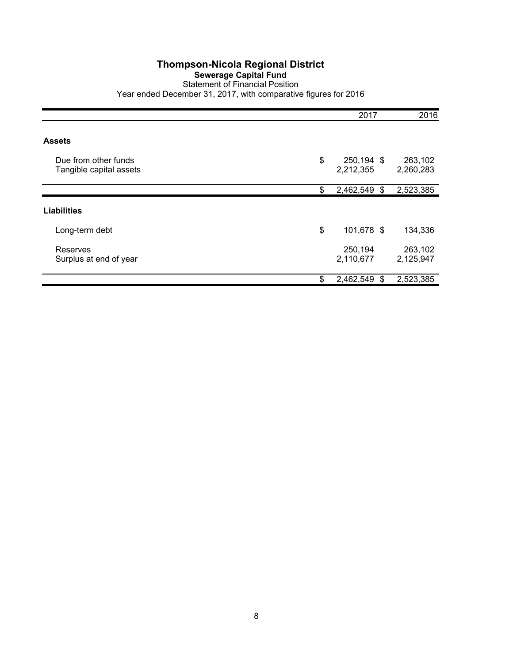#### **Sewerage Capital Fund**

Statement of Financial Position Year ended December 31, 2017, with comparative figures for 2016

|                                                 | 2017                          | 2016                 |
|-------------------------------------------------|-------------------------------|----------------------|
| <b>Assets</b>                                   |                               |                      |
| Due from other funds<br>Tangible capital assets | \$<br>250,194 \$<br>2,212,355 | 263,102<br>2,260,283 |
|                                                 | \$<br>2,462,549<br>\$         | 2,523,385            |
| <b>Liabilities</b>                              |                               |                      |
| Long-term debt                                  | \$<br>101,678 \$              | 134,336              |
| Reserves<br>Surplus at end of year              | 250,194<br>2,110,677          | 263,102<br>2,125,947 |
|                                                 | \$<br>2,462,549<br>S          | 2,523,385            |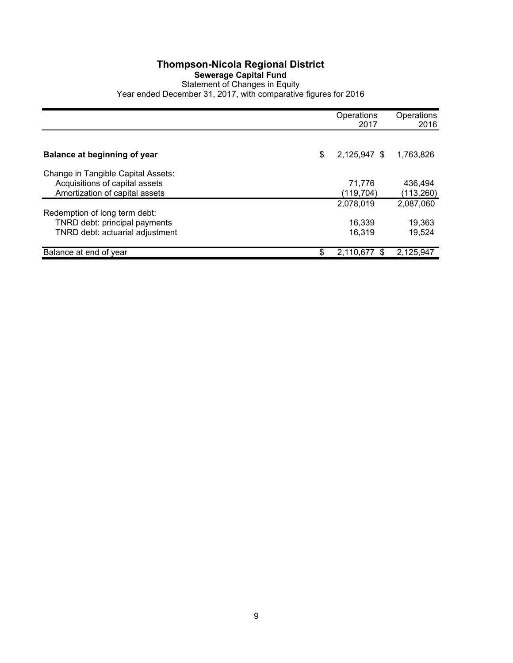#### **Thompson-Nicola Regional District Sewerage Capital Fund** Statement of Changes in Equity Year ended December 31, 2017, with comparative figures for 2016

|                                     | Operations<br>2017 | Operations<br>2016 |
|-------------------------------------|--------------------|--------------------|
|                                     |                    |                    |
| <b>Balance at beginning of year</b> | \$<br>2,125,947 \$ | 1,763,826          |
| Change in Tangible Capital Assets:  |                    |                    |
| Acquisitions of capital assets      | 71.776             | 436,494            |
| Amortization of capital assets      | (119,704)          | (113,260)          |
|                                     | 2,078,019          | 2,087,060          |
| Redemption of long term debt:       |                    |                    |
| TNRD debt: principal payments       | 16,339             | 19,363             |
| TNRD debt: actuarial adjustment     | 16,319             | 19.524             |
|                                     |                    |                    |
| Balance at end of year              | \$<br>2,110,677    | 2,125,947          |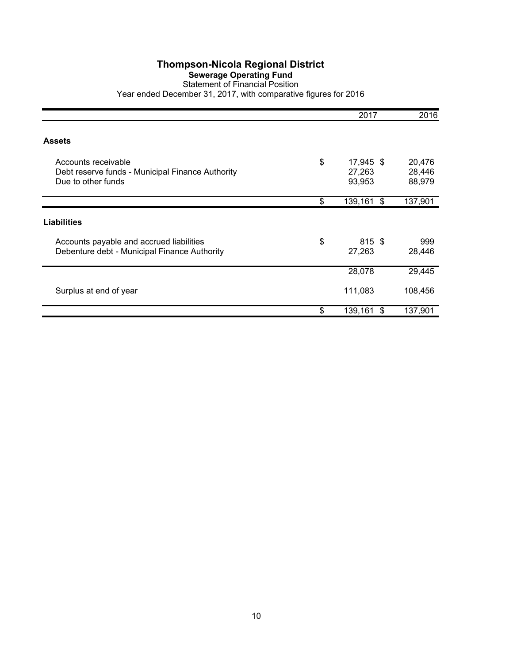#### **Sewerage Operating Fund**

#### Statement of Financial Position Year ended December 31, 2017, with comparative figures for 2016

|                                                                                               | 2017                                | 2016                       |
|-----------------------------------------------------------------------------------------------|-------------------------------------|----------------------------|
| <b>Assets</b>                                                                                 |                                     |                            |
| Accounts receivable<br>Debt reserve funds - Municipal Finance Authority<br>Due to other funds | \$<br>17,945 \$<br>27,263<br>93,953 | 20,476<br>28,446<br>88,979 |
|                                                                                               | \$<br>139,161<br>\$                 | 137,901                    |
| <b>Liabilities</b>                                                                            |                                     |                            |
| Accounts payable and accrued liabilities<br>Debenture debt - Municipal Finance Authority      | \$<br>815 \$<br>27,263              | 999<br>28,446              |
|                                                                                               | 28,078                              | 29,445                     |
| Surplus at end of year                                                                        | 111,083                             | 108,456                    |
|                                                                                               | \$<br>139,161<br>\$                 | 137,901                    |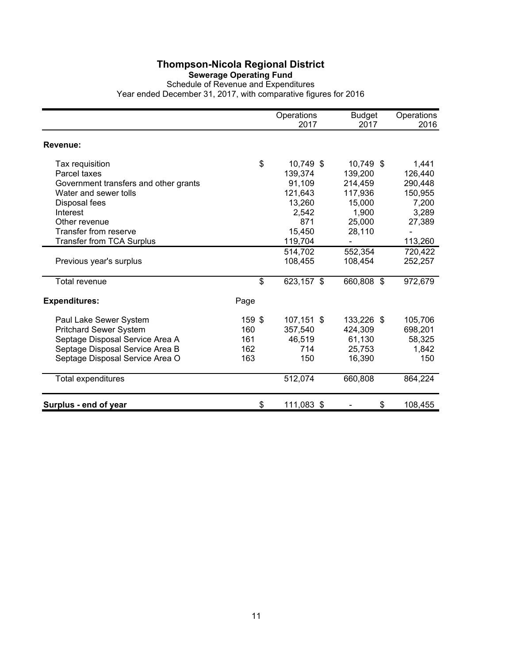#### **Sewerage Operating Fund**

Schedule of Revenue and Expenditures Year ended December 31, 2017, with comparative figures for 2016

|                                       |        | Operations<br>2017 | <b>Budget</b><br>2017 | Operations<br>2016 |
|---------------------------------------|--------|--------------------|-----------------------|--------------------|
|                                       |        |                    |                       |                    |
| Revenue:                              |        |                    |                       |                    |
| Tax requisition                       | \$     | 10,749 \$          | 10,749 \$             | 1,441              |
| Parcel taxes                          |        | 139,374            | 139,200               | 126,440            |
| Government transfers and other grants |        | 91,109             | 214,459               | 290,448            |
| Water and sewer tolls                 |        | 121,643            | 117,936               | 150,955            |
| Disposal fees                         |        | 13,260             | 15,000                | 7,200              |
| Interest                              |        | 2,542              | 1,900                 | 3,289              |
| Other revenue                         |        | 871                | 25,000                | 27,389             |
| <b>Transfer from reserve</b>          |        | 15,450             | 28,110                |                    |
| <b>Transfer from TCA Surplus</b>      |        | 119,704            |                       | 113,260            |
|                                       |        | 514,702            | 552,354               | 720,422            |
| Previous year's surplus               |        | 108,455            | 108,454               | 252,257            |
| Total revenue                         | \$     | 623,157 \$         | 660,808 \$            | 972,679            |
| <b>Expenditures:</b>                  | Page   |                    |                       |                    |
| Paul Lake Sewer System                | 159 \$ | 107,151 \$         | 133,226 \$            | 105,706            |
| <b>Pritchard Sewer System</b>         | 160    | 357,540            | 424,309               | 698,201            |
| Septage Disposal Service Area A       | 161    | 46,519             | 61,130                | 58,325             |
| Septage Disposal Service Area B       | 162    | 714                | 25,753                | 1,842              |
| Septage Disposal Service Area O       | 163    | 150                | 16,390                | 150                |
| Total expenditures                    |        | 512,074            | 660,808               | 864,224            |
| Surplus - end of year                 | \$     | 111,083 \$         | \$                    | 108,455            |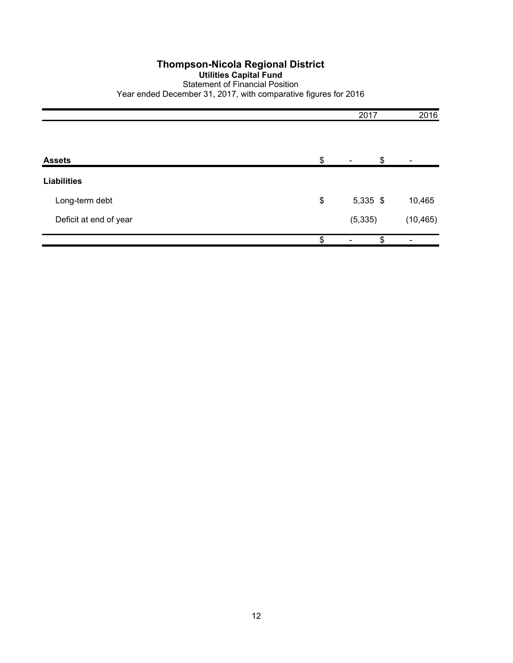#### **Thompson-Nicola Regional District Utilities Capital Fund** Statement of Financial Position Year ended December 31, 2017, with comparative figures for 2016

|                        | 2017           | 2016           |
|------------------------|----------------|----------------|
| <b>Assets</b>          | \$<br>\$       | $\blacksquare$ |
| <b>Liabilities</b>     |                |                |
| Long-term debt         | \$<br>5,335 \$ | 10,465         |
| Deficit at end of year | (5, 335)       | (10, 465)      |
|                        | \$<br>\$       |                |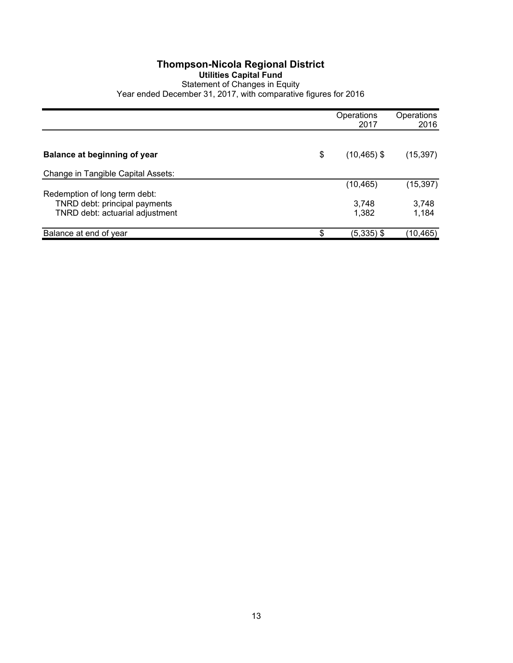#### **Thompson-Nicola Regional District Utilities Capital Fund** Statement of Changes in Equity Year ended December 31, 2017, with comparative figures for 2016

|                                    | Operations<br>2017   | Operations<br>2016 |
|------------------------------------|----------------------|--------------------|
|                                    |                      |                    |
| Balance at beginning of year       | \$<br>$(10, 465)$ \$ | (15, 397)          |
| Change in Tangible Capital Assets: |                      |                    |
|                                    | (10, 465)            | (15, 397)          |
| Redemption of long term debt:      |                      |                    |
| TNRD debt: principal payments      | 3,748                | 3,748              |
| TNRD debt: actuarial adjustment    | 1,382                | 1,184              |
| Balance at end of year             | \$<br>$(5,335)$ \$   | (10,465)           |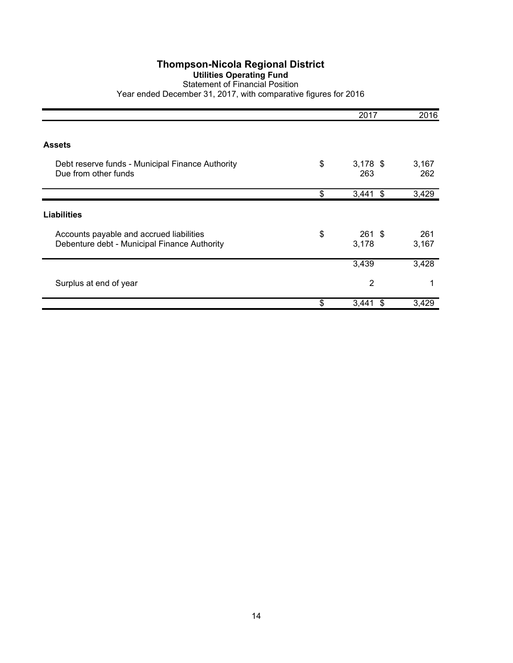#### **Utilities Operating Fund**

Statement of Financial Position Year ended December 31, 2017, with comparative figures for 2016

|                                                                                          | 2017                    | 2016         |
|------------------------------------------------------------------------------------------|-------------------------|--------------|
| <b>Assets</b>                                                                            |                         |              |
| Debt reserve funds - Municipal Finance Authority<br>Due from other funds                 | \$<br>$3,178$ \$<br>263 | 3,167<br>262 |
|                                                                                          | \$<br>\$<br>3,441       | 3,429        |
| <b>Liabilities</b>                                                                       |                         |              |
| Accounts payable and accrued liabilities<br>Debenture debt - Municipal Finance Authority | \$<br>$261$ \$<br>3,178 | 261<br>3,167 |
|                                                                                          | 3,439                   | 3,428        |
| Surplus at end of year                                                                   | $\overline{2}$          | 1            |
|                                                                                          | \$<br>3,441<br>\$       | 3,429        |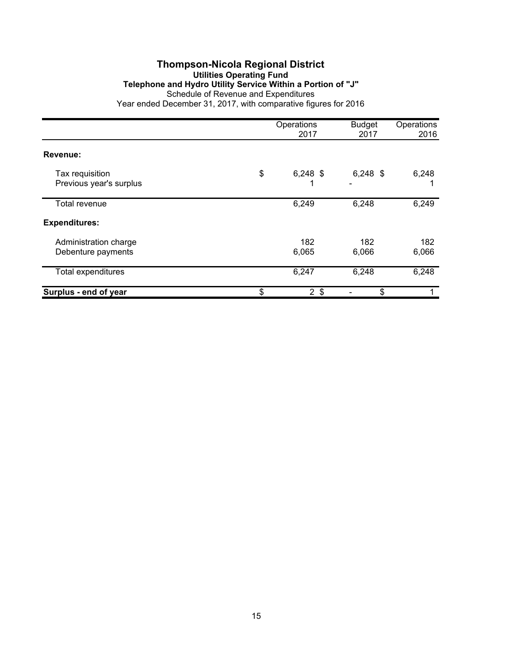#### **Thompson-Nicola Regional District Utilities Operating Fund Telephone and Hydro Utility Service Within a Portion of "J"** Schedule of Revenue and Expenditures Year ended December 31, 2017, with comparative figures for 2016

|                                             | Operations<br>2017   | <b>Budget</b><br>2017 | Operations<br>2016 |
|---------------------------------------------|----------------------|-----------------------|--------------------|
| Revenue:                                    |                      |                       |                    |
| Tax requisition<br>Previous year's surplus  | \$<br>$6,248$ \$     | $6,248$ \$            | 6,248              |
| Total revenue                               | 6,249                | 6,248                 | 6,249              |
| <b>Expenditures:</b>                        |                      |                       |                    |
| Administration charge<br>Debenture payments | 182<br>6,065         | 182<br>6,066          | 182<br>6,066       |
| Total expenditures                          | 6,247                | 6,248                 | 6,248              |
| Surplus - end of year                       | \$<br>2 <sup>3</sup> | \$                    |                    |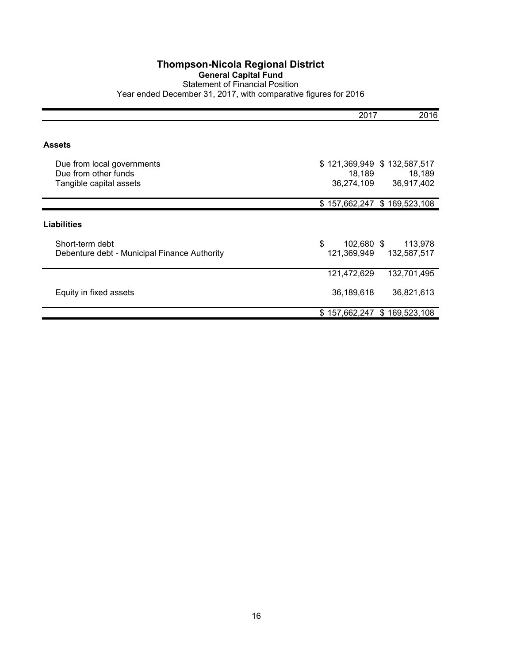#### **Thompson-Nicola Regional District General Capital Fund** Statement of Financial Position Year ended December 31, 2017, with comparative figures for 2016

|                                                                               | 2017                                  | 2016                                  |
|-------------------------------------------------------------------------------|---------------------------------------|---------------------------------------|
| Assets                                                                        |                                       |                                       |
| Due from local governments<br>Due from other funds<br>Tangible capital assets | \$121,369,949<br>18,189<br>36,274,109 | \$132,587,517<br>18,189<br>36,917,402 |
|                                                                               | \$157,662,247                         | \$169,523,108                         |
| <b>Liabilities</b>                                                            |                                       |                                       |
| Short-term debt<br>Debenture debt - Municipal Finance Authority               | \$<br>102,680 \$<br>121,369,949       | 113,978<br>132,587,517                |
|                                                                               | 121,472,629                           | 132,701,495                           |
| Equity in fixed assets                                                        | 36,189,618                            | 36,821,613                            |
|                                                                               | \$157,662,247                         | \$169,523,108                         |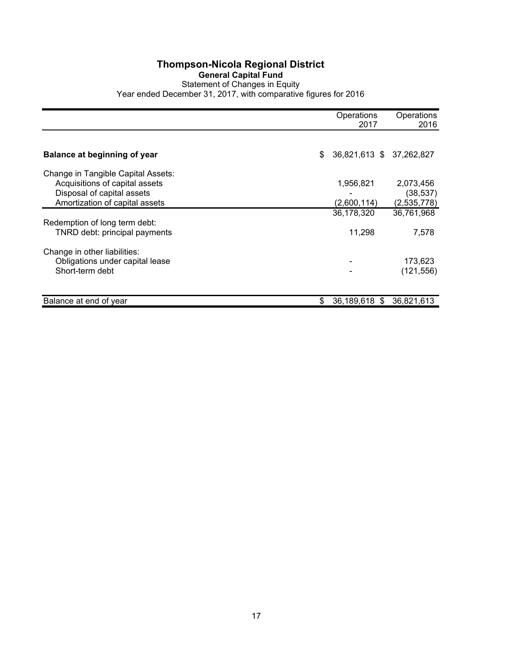#### **Thompson-Nicola Regional District General Capital Fund** Statement of Changes in Equity Year ended December 31, 2017, with comparative figures for 2016

|                                                                 | Operations<br>2017             | Operations<br>2016       |
|-----------------------------------------------------------------|--------------------------------|--------------------------|
|                                                                 |                                |                          |
| Balance at beginning of year                                    | \$<br>36,821,613 \$ 37,262,827 |                          |
| Change in Tangible Capital Assets:                              |                                |                          |
| Acquisitions of capital assets                                  | 1,956,821                      | 2,073,456                |
| Disposal of capital assets<br>Amortization of capital assets    | (2,600,114)                    | (38, 537)<br>(2,535,778) |
|                                                                 | 36,178,320                     | 36,761,968               |
| Redemption of long term debt:                                   |                                |                          |
| TNRD debt: principal payments                                   | 11,298                         | 7,578                    |
|                                                                 |                                |                          |
| Change in other liabilities:<br>Obligations under capital lease |                                | 173,623                  |
| Short-term debt                                                 |                                | (121, 556)               |
|                                                                 |                                |                          |
| Balance at end of year                                          | \$<br>36,189,618 \$            | 36,821,613               |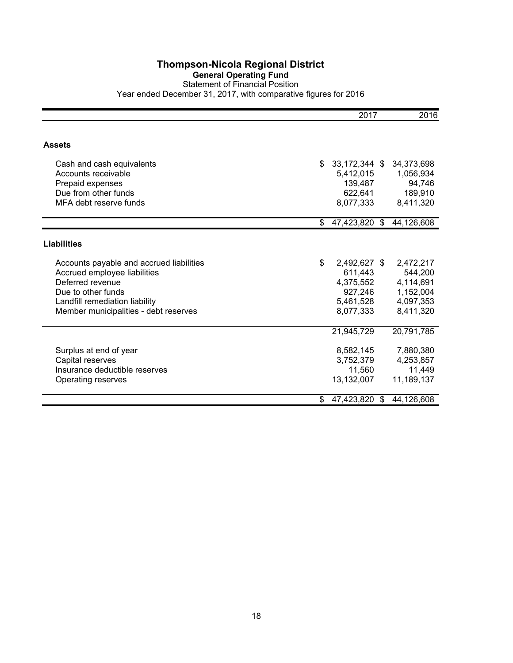#### **General Operating Fund**

Statement of Financial Position Year ended December 31, 2017, with comparative figures for 2016

|                                          | 2017                | 2016       |
|------------------------------------------|---------------------|------------|
|                                          |                     |            |
| <b>Assets</b>                            |                     |            |
| Cash and cash equivalents                | \$<br>33,172,344 \$ | 34,373,698 |
| Accounts receivable                      | 5,412,015           | 1,056,934  |
| Prepaid expenses                         | 139,487             | 94,746     |
| Due from other funds                     | 622,641             | 189,910    |
| MFA debt reserve funds                   | 8,077,333           | 8,411,320  |
|                                          | \$<br>47,423,820 \$ | 44,126,608 |
|                                          |                     |            |
| <b>Liabilities</b>                       |                     |            |
| Accounts payable and accrued liabilities | \$<br>2,492,627 \$  | 2,472,217  |
| Accrued employee liabilities             | 611,443             | 544,200    |
| Deferred revenue                         | 4,375,552           | 4,114,691  |
| Due to other funds                       | 927,246             | 1,152,004  |
| Landfill remediation liability           | 5,461,528           | 4,097,353  |
| Member municipalities - debt reserves    | 8,077,333           | 8,411,320  |
|                                          | 21,945,729          | 20,791,785 |
| Surplus at end of year                   | 8,582,145           | 7,880,380  |
| Capital reserves                         | 3,752,379           | 4,253,857  |
| Insurance deductible reserves            | 11,560              | 11,449     |
| Operating reserves                       | 13,132,007          | 11,189,137 |
|                                          | \$<br>47,423,820 \$ | 44,126,608 |
|                                          |                     |            |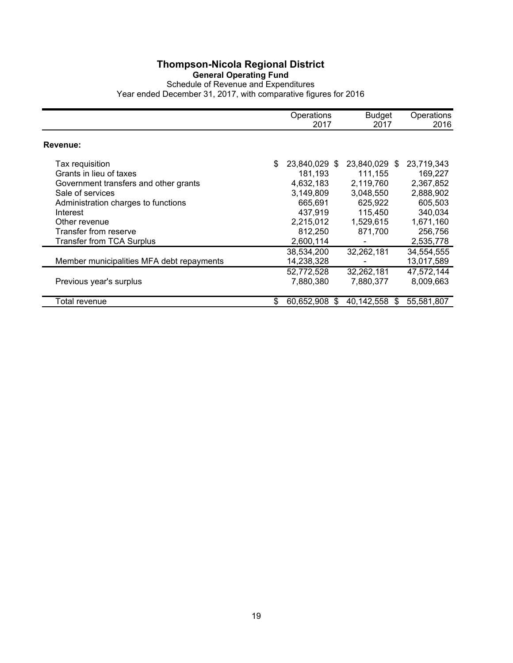#### **General Operating Fund**

Schedule of Revenue and Expenditures Year ended December 31, 2017, with comparative figures for 2016

|                                                                                                                                                                                                      | Operations<br>2017                                                                                     | <b>Budget</b><br>2017                                                                            | Operations<br>2016                                                                            |
|------------------------------------------------------------------------------------------------------------------------------------------------------------------------------------------------------|--------------------------------------------------------------------------------------------------------|--------------------------------------------------------------------------------------------------|-----------------------------------------------------------------------------------------------|
| Revenue:                                                                                                                                                                                             |                                                                                                        |                                                                                                  |                                                                                               |
| Tax requisition<br>Grants in lieu of taxes<br>Government transfers and other grants<br>Sale of services<br>Administration charges to functions<br>Interest<br>Other revenue<br>Transfer from reserve | \$<br>23,840,029 \$<br>181,193<br>4,632,183<br>3,149,809<br>665,691<br>437.919<br>2,215,012<br>812,250 | 23,840,029 \$<br>111,155<br>2,119,760<br>3,048,550<br>625,922<br>115,450<br>1,529,615<br>871,700 | 23,719,343<br>169,227<br>2,367,852<br>2,888,902<br>605,503<br>340.034<br>1,671,160<br>256,756 |
| Transfer from TCA Surplus                                                                                                                                                                            | 2,600,114                                                                                              |                                                                                                  | 2,535,778                                                                                     |
| Member municipalities MFA debt repayments                                                                                                                                                            | 38,534,200<br>14,238,328                                                                               | 32,262,181                                                                                       | 34,554,555<br>13,017,589                                                                      |
| Previous year's surplus                                                                                                                                                                              | 52,772,528<br>7,880,380                                                                                | 32,262,181<br>7,880,377                                                                          | 47,572,144<br>8,009,663                                                                       |
| Total revenue                                                                                                                                                                                        | \$<br>60.652.908<br>S                                                                                  | 40,142,558<br>S                                                                                  | 55,581,807                                                                                    |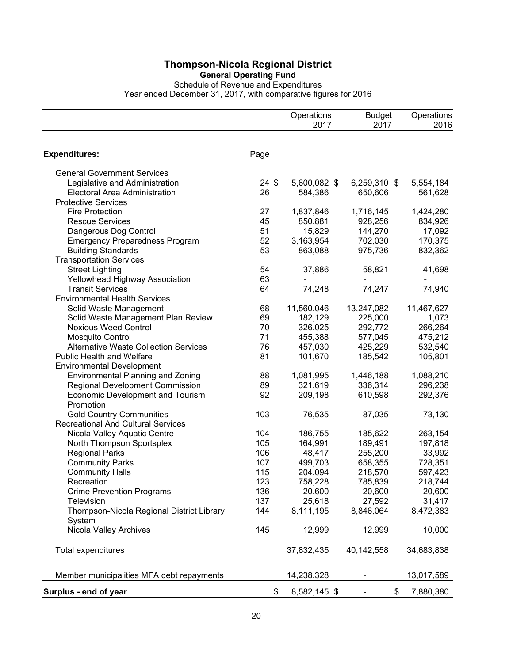**General Operating Fund**

Schedule of Revenue and Expenditures Year ended December 31, 2017, with comparative figures for 2016

|                                              |                 | Operations   | <b>Budget</b> | Operations |
|----------------------------------------------|-----------------|--------------|---------------|------------|
|                                              |                 | 2017         | 2017          | 2016       |
|                                              |                 |              |               |            |
| <b>Expenditures:</b>                         | Page            |              |               |            |
| <b>General Government Services</b>           |                 |              |               |            |
| Legislative and Administration               | $24 \text{ } $$ | 5,600,082 \$ | 6,259,310 \$  | 5,554,184  |
| Electoral Area Administration                | 26              | 584,386      | 650,606       | 561,628    |
| <b>Protective Services</b>                   |                 |              |               |            |
| <b>Fire Protection</b>                       | 27              | 1,837,846    | 1,716,145     | 1,424,280  |
| <b>Rescue Services</b>                       | 45              | 850,881      | 928,256       | 834,926    |
| Dangerous Dog Control                        | 51              | 15,829       | 144,270       | 17,092     |
| <b>Emergency Preparedness Program</b>        | 52              | 3,163,954    | 702,030       | 170,375    |
| <b>Building Standards</b>                    | 53              | 863,088      | 975,736       | 832,362    |
| <b>Transportation Services</b>               |                 |              |               |            |
| <b>Street Lighting</b>                       | 54              | 37,886       | 58,821        | 41,698     |
| Yellowhead Highway Association               | 63              |              |               |            |
| <b>Transit Services</b>                      | 64              | 74,248       | 74,247        | 74,940     |
| <b>Environmental Health Services</b>         |                 |              |               |            |
| Solid Waste Management                       | 68              | 11,560,046   | 13,247,082    | 11,467,627 |
| Solid Waste Management Plan Review           | 69              | 182,129      | 225,000       | 1,073      |
| <b>Noxious Weed Control</b>                  | 70              | 326,025      | 292,772       | 266,264    |
| Mosquito Control                             | 71              | 455,388      | 577,045       | 475,212    |
| <b>Alternative Waste Collection Services</b> | 76              | 457,030      | 425,229       | 532,540    |
| Public Health and Welfare                    | 81              | 101,670      | 185,542       | 105,801    |
| <b>Environmental Development</b>             |                 |              |               |            |
| <b>Environmental Planning and Zoning</b>     | 88              | 1,081,995    | 1,446,188     | 1,088,210  |
| <b>Regional Development Commission</b>       | 89              | 321,619      | 336,314       | 296,238    |
| <b>Economic Development and Tourism</b>      | 92              | 209,198      | 610,598       | 292,376    |
| Promotion                                    |                 |              |               |            |
| <b>Gold Country Communities</b>              | 103             | 76,535       | 87,035        | 73,130     |
| <b>Recreational And Cultural Services</b>    |                 |              |               |            |
| Nicola Valley Aquatic Centre                 | 104             | 186,755      | 185,622       | 263,154    |
| North Thompson Sportsplex                    | 105             | 164,991      | 189,491       | 197,818    |
| <b>Regional Parks</b>                        | 106             | 48,417       | 255,200       | 33,992     |
| <b>Community Parks</b>                       | 107             | 499,703      | 658,355       | 728,351    |
| <b>Community Halls</b>                       | 115             | 204,094      | 218,570       | 597,423    |
| Recreation                                   | 123             | 758,228      | 785,839       | 218,744    |
| <b>Crime Prevention Programs</b>             | 136             | 20,600       | 20,600        | 20,600     |
| <b>Television</b>                            | 137             | 25,618       | 27,592        | 31,417     |
| Thompson-Nicola Regional District Library    | 144             | 8,111,195    | 8,846,064     | 8,472,383  |
| System                                       |                 |              |               |            |
| Nicola Valley Archives                       | 145             | 12,999       |               | 10,000     |
|                                              |                 |              | 12,999        |            |
| Total expenditures                           |                 | 37,832,435   | 40,142,558    | 34,683,838 |
| Member municipalities MFA debt repayments    |                 | 14,238,328   |               | 13,017,589 |
| Surplus - end of year                        | \$              | 8,582,145 \$ | \$            | 7,880,380  |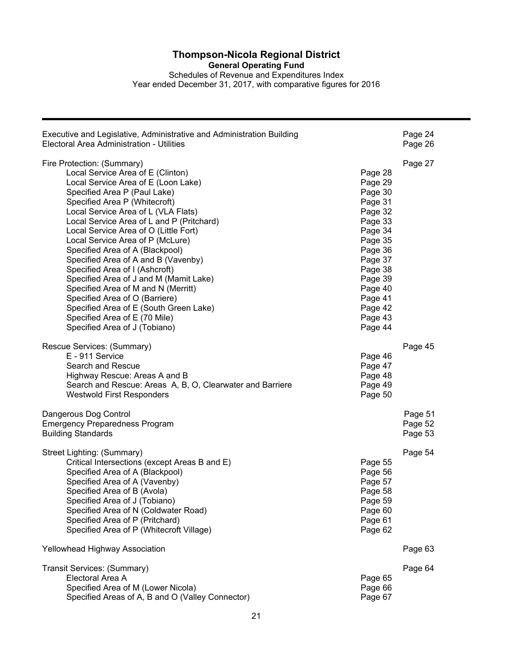**General Operating Fund**

Schedules of Revenue and Expenditures Index Year ended December 31, 2017, with comparative figures for 2016

| Executive and Legislative, Administrative and Administration Building<br>Electoral Area Administration - Utilities                                                                                                                                                                                                                                                                                                                                                                                                                                                                                                                                                                                                                                                                                                                                                             | Page 24<br>Page 26            |
|--------------------------------------------------------------------------------------------------------------------------------------------------------------------------------------------------------------------------------------------------------------------------------------------------------------------------------------------------------------------------------------------------------------------------------------------------------------------------------------------------------------------------------------------------------------------------------------------------------------------------------------------------------------------------------------------------------------------------------------------------------------------------------------------------------------------------------------------------------------------------------|-------------------------------|
| Fire Protection: (Summary)<br>Local Service Area of E (Clinton)<br>Page 28<br>Local Service Area of E (Loon Lake)<br>Page 29<br>Page 30<br>Specified Area P (Paul Lake)<br>Specified Area P (Whitecroft)<br>Page 31<br>Local Service Area of L (VLA Flats)<br>Page 32<br>Local Service Area of L and P (Pritchard)<br>Page 33<br>Local Service Area of O (Little Fort)<br>Page 34<br>Local Service Area of P (McLure)<br>Page 35<br>Specified Area of A (Blackpool)<br>Page 36<br>Specified Area of A and B (Vavenby)<br>Page 37<br>Specified Area of I (Ashcroft)<br>Page 38<br>Specified Area of J and M (Mamit Lake)<br>Page 39<br>Specified Area of M and N (Merritt)<br>Page 40<br>Specified Area of O (Barriere)<br>Page 41<br>Specified Area of E (South Green Lake)<br>Page 42<br>Specified Area of E (70 Mile)<br>Page 43<br>Specified Area of J (Tobiano)<br>Page 44 | Page 27                       |
| Rescue Services: (Summary)<br>E - 911 Service<br>Page 46<br>Search and Rescue<br>Page 47<br>Page 48<br>Highway Rescue: Areas A and B<br>Page 49<br>Search and Rescue: Areas A, B, O, Clearwater and Barriere<br>Page 50<br><b>Westwold First Responders</b>                                                                                                                                                                                                                                                                                                                                                                                                                                                                                                                                                                                                                    | Page 45                       |
| Dangerous Dog Control<br><b>Emergency Preparedness Program</b><br><b>Building Standards</b>                                                                                                                                                                                                                                                                                                                                                                                                                                                                                                                                                                                                                                                                                                                                                                                    | Page 51<br>Page 52<br>Page 53 |
| Street Lighting: (Summary)<br>Critical Intersections (except Areas B and E)<br>Page 55<br>Specified Area of A (Blackpool)<br>Page 56<br>Specified Area of A (Vavenby)<br>Page 57<br>Specified Area of B (Avola)<br>Page 58<br>Specified Area of J (Tobiano)<br>Page 59<br>Specified Area of N (Coldwater Road)<br>Page 60<br>Specified Area of P (Pritchard)<br>Page 61<br>Specified Area of P (Whitecroft Village)<br>Page 62                                                                                                                                                                                                                                                                                                                                                                                                                                                 | Page 54                       |
| Yellowhead Highway Association                                                                                                                                                                                                                                                                                                                                                                                                                                                                                                                                                                                                                                                                                                                                                                                                                                                 | Page 63                       |
| Transit Services: (Summary)<br>Electoral Area A<br>Page 65<br>Specified Area of M (Lower Nicola)<br>Page 66<br>Specified Areas of A, B and O (Valley Connector)<br>Page 67                                                                                                                                                                                                                                                                                                                                                                                                                                                                                                                                                                                                                                                                                                     | Page 64                       |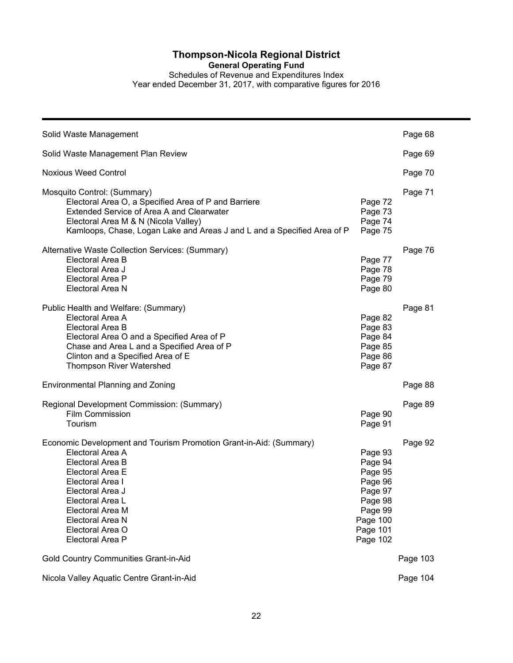**General Operating Fund**

Schedules of Revenue and Expenditures Index Year ended December 31, 2017, with comparative figures for 2016

| Solid Waste Management                                                                                                                                                                                                                                                            |                                                                                                               | Page 68  |
|-----------------------------------------------------------------------------------------------------------------------------------------------------------------------------------------------------------------------------------------------------------------------------------|---------------------------------------------------------------------------------------------------------------|----------|
| Solid Waste Management Plan Review                                                                                                                                                                                                                                                |                                                                                                               | Page 69  |
| <b>Noxious Weed Control</b>                                                                                                                                                                                                                                                       |                                                                                                               | Page 70  |
| Mosquito Control: (Summary)<br>Electoral Area O, a Specified Area of P and Barriere<br>Extended Service of Area A and Clearwater<br>Electoral Area M & N (Nicola Valley)<br>Kamloops, Chase, Logan Lake and Areas J and L and a Specified Area of P                               | Page 72<br>Page 73<br>Page 74<br>Page 75                                                                      | Page 71  |
| Alternative Waste Collection Services: (Summary)<br>Electoral Area B<br>Electoral Area J<br>Electoral Area P<br>Electoral Area N                                                                                                                                                  | Page 77<br>Page 78<br>Page 79<br>Page 80                                                                      | Page 76  |
| Public Health and Welfare: (Summary)<br>Electoral Area A<br>Electoral Area B<br>Electoral Area O and a Specified Area of P<br>Chase and Area L and a Specified Area of P<br>Clinton and a Specified Area of E<br><b>Thompson River Watershed</b>                                  | Page 82<br>Page 83<br>Page 84<br>Page 85<br>Page 86<br>Page 87                                                | Page 81  |
| <b>Environmental Planning and Zoning</b>                                                                                                                                                                                                                                          |                                                                                                               | Page 88  |
| Regional Development Commission: (Summary)<br><b>Film Commission</b><br>Tourism                                                                                                                                                                                                   | Page 90<br>Page 91                                                                                            | Page 89  |
| Economic Development and Tourism Promotion Grant-in-Aid: (Summary)<br>Electoral Area A<br>Electoral Area B<br>Electoral Area E<br>Electoral Area I<br>Electoral Area J<br>Electoral Area L<br>Electoral Area M<br><b>Electoral Area N</b><br>Electoral Area O<br>Electoral Area P | Page 93<br>Page 94<br>Page 95<br>Page 96<br>Page 97<br>Page 98<br>Page 99<br>Page 100<br>Page 101<br>Page 102 | Page 92  |
| Gold Country Communities Grant-in-Aid                                                                                                                                                                                                                                             |                                                                                                               | Page 103 |
| Nicola Valley Aquatic Centre Grant-in-Aid                                                                                                                                                                                                                                         |                                                                                                               | Page 104 |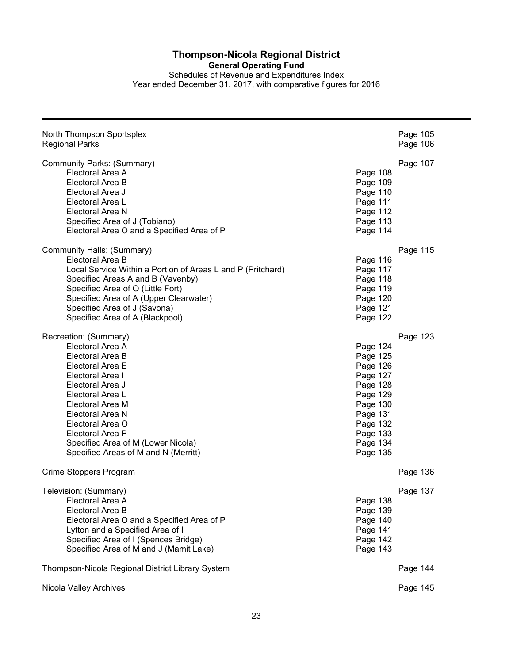**General Operating Fund**

Schedules of Revenue and Expenditures Index Year ended December 31, 2017, with comparative figures for 2016

| North Thompson Sportsplex<br><b>Regional Parks</b>                                                                                                                                                                                                                                                          |                                                                                                                                              | Page 105<br>Page 106 |
|-------------------------------------------------------------------------------------------------------------------------------------------------------------------------------------------------------------------------------------------------------------------------------------------------------------|----------------------------------------------------------------------------------------------------------------------------------------------|----------------------|
| Community Parks: (Summary)<br>Electoral Area A<br>Electoral Area B<br>Electoral Area J<br>Electoral Area L<br>Electoral Area N<br>Specified Area of J (Tobiano)<br>Electoral Area O and a Specified Area of P                                                                                               | Page 108<br>Page 109<br>Page 110<br>Page 111<br>Page 112<br>Page 113<br>Page 114                                                             | Page 107             |
| Community Halls: (Summary)<br>Electoral Area B<br>Local Service Within a Portion of Areas L and P (Pritchard)<br>Specified Areas A and B (Vavenby)<br>Specified Area of O (Little Fort)<br>Specified Area of A (Upper Clearwater)<br>Specified Area of J (Savona)<br>Specified Area of A (Blackpool)        | Page 116<br>Page 117<br>Page 118<br>Page 119<br>Page 120<br>Page 121<br>Page 122                                                             | Page 115             |
| Recreation: (Summary)<br>Electoral Area A<br>Electoral Area B<br>Electoral Area E<br>Electoral Area I<br>Electoral Area J<br>Electoral Area L<br>Electoral Area M<br>Electoral Area N<br>Electoral Area O<br>Electoral Area P<br>Specified Area of M (Lower Nicola)<br>Specified Areas of M and N (Merritt) | Page 124<br>Page 125<br>Page 126<br>Page 127<br>Page 128<br>Page 129<br>Page 130<br>Page 131<br>Page 132<br>Page 133<br>Page 134<br>Page 135 | Page 123             |
| Crime Stoppers Program                                                                                                                                                                                                                                                                                      |                                                                                                                                              | Page 136             |
| Television: (Summary)<br>Electoral Area A<br>Electoral Area B<br>Electoral Area O and a Specified Area of P<br>Lytton and a Specified Area of I<br>Specified Area of I (Spences Bridge)<br>Specified Area of M and J (Mamit Lake)                                                                           | Page 138<br>Page 139<br>Page 140<br>Page 141<br>Page 142<br>Page 143                                                                         | Page 137             |
| Thompson-Nicola Regional District Library System                                                                                                                                                                                                                                                            |                                                                                                                                              | Page 144             |
| Nicola Valley Archives                                                                                                                                                                                                                                                                                      |                                                                                                                                              | Page 145             |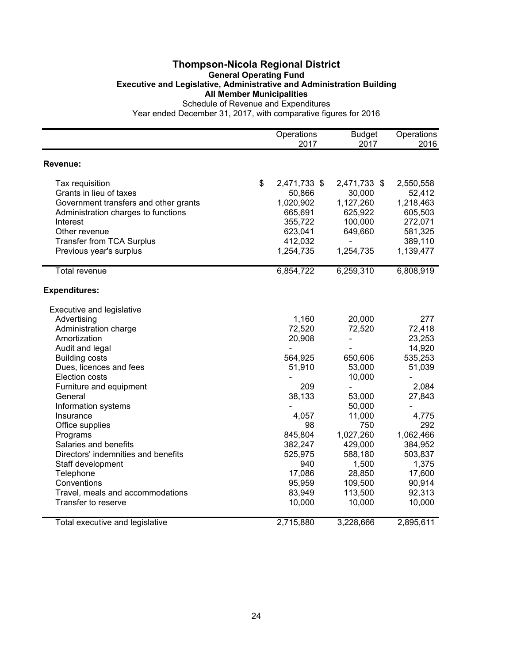#### **Thompson-Nicola Regional District General Operating Fund Executive and Legislative, Administrative and Administration Building All Member Municipalities** Schedule of Revenue and Expenditures

|                                                         | Operations         | <b>Budget</b>  | Operations |
|---------------------------------------------------------|--------------------|----------------|------------|
|                                                         | 2017               | 2017           | 2016       |
| <b>Revenue:</b>                                         |                    |                |            |
| Tax requisition                                         | \$<br>2,471,733 \$ | 2,471,733 \$   | 2,550,558  |
| Grants in lieu of taxes                                 | 50,866             | 30,000         | 52,412     |
| Government transfers and other grants                   | 1,020,902          | 1,127,260      | 1,218,463  |
| Administration charges to functions                     | 665,691            | 625,922        | 605,503    |
| Interest                                                | 355,722            | 100,000        | 272,071    |
| Other revenue                                           | 623,041            | 649,660        | 581,325    |
| <b>Transfer from TCA Surplus</b>                        | 412,032            |                | 389,110    |
| Previous year's surplus                                 | 1,254,735          | 1,254,735      | 1,139,477  |
| Total revenue                                           | 6,854,722          | 6,259,310      | 6,808,919  |
| <b>Expenditures:</b>                                    |                    |                |            |
| Executive and legislative                               |                    |                |            |
| Advertising                                             | 1,160              | 20,000         | 277        |
| Administration charge                                   | 72,520             | 72,520         | 72,418     |
| Amortization                                            | 20,908             | $\frac{1}{2}$  | 23,253     |
| Audit and legal                                         |                    |                | 14,920     |
| <b>Building costs</b>                                   | 564,925            | 650,606        | 535,253    |
| Dues, licences and fees                                 | 51,910             | 53,000         | 51,039     |
| <b>Election costs</b>                                   |                    | 10,000         |            |
| Furniture and equipment                                 | 209                | $\blacksquare$ | 2,084      |
| General                                                 | 38,133             | 53,000         | 27,843     |
| Information systems                                     |                    | 50,000         |            |
| Insurance                                               | 4,057              | 11,000         | 4,775      |
| Office supplies                                         | 98                 | 750            | 292        |
| Programs                                                | 845,804            | 1,027,260      | 1,062,466  |
| Salaries and benefits                                   | 382,247            | 429,000        | 384,952    |
| Directors' indemnities and benefits                     | 525,975            | 588,180        | 503,837    |
| Staff development                                       | 940                | 1,500          | 1,375      |
| Telephone                                               | 17,086             | 28,850         | 17,600     |
| Conventions                                             | 95,959             | 109,500        | 90,914     |
| Travel, meals and accommodations<br>Transfer to reserve | 83,949             | 113,500        | 92,313     |
|                                                         | 10,000             | 10,000         | 10,000     |
| Total executive and legislative                         | 2,715,880          | 3,228,666      | 2,895,611  |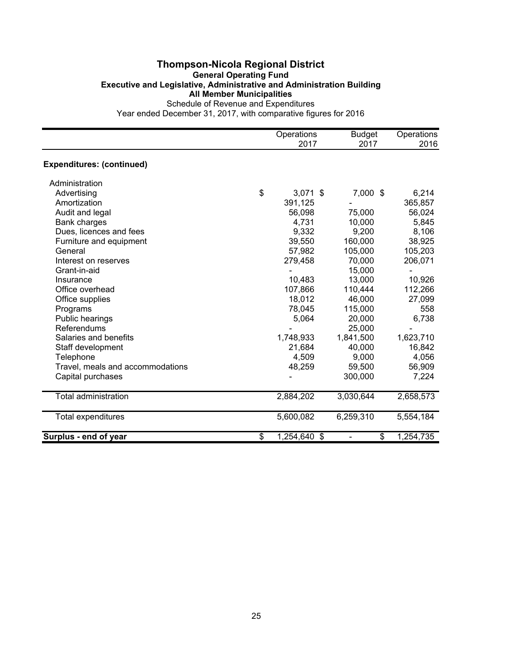#### **Thompson-Nicola Regional District General Operating Fund Executive and Legislative, Administrative and Administration Building All Member Municipalities** Schedule of Revenue and Expenditures

|                                  | Operations<br>2017 | <b>Budget</b><br>2017 | Operations<br>2016 |
|----------------------------------|--------------------|-----------------------|--------------------|
| <b>Expenditures: (continued)</b> |                    |                       |                    |
| Administration                   |                    |                       |                    |
| Advertising                      | \$<br>$3,071$ \$   | 7,000 \$              | 6,214              |
| Amortization                     | 391,125            |                       | 365,857            |
| Audit and legal                  | 56,098             | 75,000                | 56,024             |
| <b>Bank charges</b>              | 4,731              | 10,000                | 5,845              |
| Dues, licences and fees          | 9,332              | 9,200                 | 8,106              |
| Furniture and equipment          | 39,550             | 160,000               | 38,925             |
| General                          | 57,982             | 105,000               | 105,203            |
| Interest on reserves             | 279,458            | 70,000                | 206,071            |
| Grant-in-aid                     |                    | 15,000                |                    |
| Insurance                        | 10,483             | 13,000                | 10,926             |
| Office overhead                  | 107,866            | 110,444               | 112,266            |
| Office supplies                  | 18,012             | 46,000                | 27,099             |
| Programs                         | 78,045             | 115,000               | 558                |
| Public hearings                  | 5,064              | 20,000                | 6,738              |
| <b>Referendums</b>               |                    | 25,000                |                    |
| Salaries and benefits            | 1,748,933          | 1,841,500             | 1,623,710          |
| Staff development                | 21,684             | 40,000                | 16,842             |
| Telephone                        | 4,509              | 9,000                 | 4,056              |
| Travel, meals and accommodations | 48,259             | 59,500                | 56,909             |
| Capital purchases                |                    | 300,000               | 7,224              |
| <b>Total administration</b>      | 2,884,202          | 3,030,644             | 2,658,573          |
| <b>Total expenditures</b>        | 5,600,082          | 6,259,310             | 5,554,184          |
| Surplus - end of year            | \$<br>1,254,640 \$ | \$                    | 1,254,735          |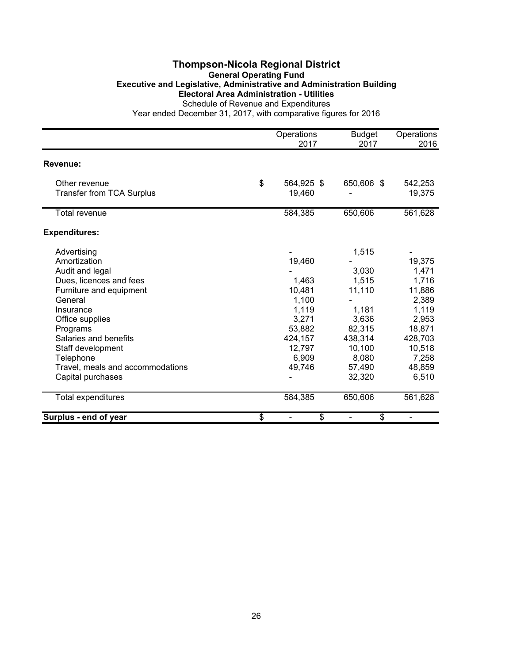#### **Thompson-Nicola Regional District General Operating Fund Executive and Legislative, Administrative and Administration Building Electoral Area Administration - Utilities** Schedule of Revenue and Expenditures

|                                  | Operations<br>2017 | <b>Budget</b><br>2017 | Operations<br>2016 |
|----------------------------------|--------------------|-----------------------|--------------------|
|                                  |                    |                       |                    |
| Revenue:                         |                    |                       |                    |
| Other revenue                    | \$<br>564,925 \$   | 650,606 \$            | 542,253            |
| <b>Transfer from TCA Surplus</b> | 19,460             |                       | 19,375             |
| Total revenue                    | 584,385            | 650,606               | 561,628            |
| <b>Expenditures:</b>             |                    |                       |                    |
| Advertising                      |                    | 1,515                 |                    |
| Amortization                     | 19,460             |                       | 19,375             |
| Audit and legal                  |                    | 3,030                 | 1,471              |
| Dues, licences and fees          | 1,463              | 1,515                 | 1,716              |
| Furniture and equipment          | 10,481             | 11,110                | 11,886             |
| General                          | 1,100              |                       | 2,389              |
| Insurance                        | 1,119              | 1,181                 | 1,119              |
| Office supplies                  | 3,271              | 3,636                 | 2,953              |
| Programs                         | 53,882             | 82,315                | 18,871             |
| Salaries and benefits            | 424,157            | 438,314               | 428,703            |
| Staff development                | 12,797             | 10,100                | 10,518             |
| Telephone                        | 6,909              | 8,080                 | 7,258              |
| Travel, meals and accommodations | 49,746             | 57,490                | 48,859             |
| Capital purchases                |                    | 32,320                | 6,510              |
| Total expenditures               | 584,385            | 650,606               | 561,628            |
| Surplus - end of year            | \$<br>\$           | \$                    |                    |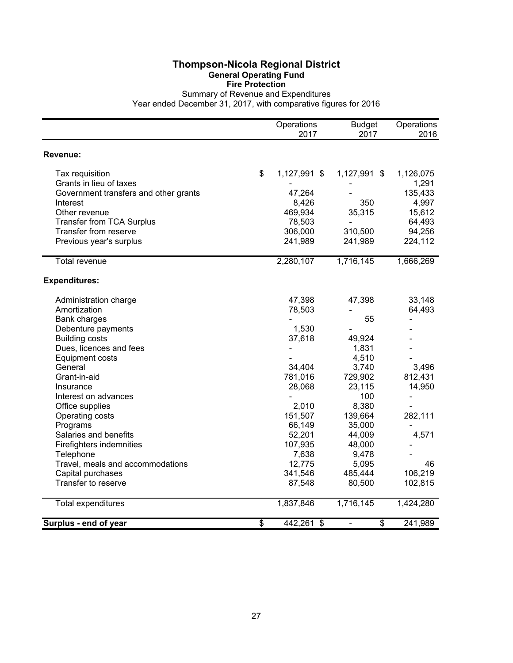Summary of Revenue and Expenditures Year ended December 31, 2017, with comparative figures for 2016

|                                       | Operations<br>2017  | <b>Budget</b><br>2017 | Operations<br>2016 |
|---------------------------------------|---------------------|-----------------------|--------------------|
| Revenue:                              |                     |                       |                    |
| Tax requisition                       | \$<br>1,127,991 \$  | 1,127,991 \$          | 1,126,075          |
| Grants in lieu of taxes               |                     |                       | 1,291              |
| Government transfers and other grants | 47,264              |                       | 135,433            |
| Interest                              | 8,426               | 350                   | 4,997              |
| Other revenue                         | 469,934             | 35,315                | 15,612             |
| <b>Transfer from TCA Surplus</b>      | 78,503              |                       | 64,493             |
| Transfer from reserve                 | 306,000             | 310,500               | 94,256             |
| Previous year's surplus               | 241,989             | 241,989               | 224,112            |
| <b>Total revenue</b>                  | 2,280,107           | 1,716,145             | 1,666,269          |
| <b>Expenditures:</b>                  |                     |                       |                    |
| Administration charge                 | 47,398              | 47,398                | 33,148             |
| Amortization                          | 78,503              |                       | 64,493             |
| <b>Bank charges</b>                   |                     | 55                    |                    |
| Debenture payments                    | 1,530               |                       |                    |
| <b>Building costs</b>                 | 37,618              | 49,924                |                    |
| Dues, licences and fees               |                     | 1,831                 |                    |
| <b>Equipment costs</b>                |                     | 4,510                 |                    |
| General                               | 34,404              | 3,740                 | 3,496              |
| Grant-in-aid                          | 781,016             | 729,902               | 812,431            |
| Insurance                             | 28,068              | 23,115                | 14,950             |
| Interest on advances                  |                     | 100                   |                    |
| Office supplies                       | 2,010               | 8,380                 |                    |
| Operating costs                       | 151,507             | 139,664               | 282,111            |
| Programs                              | 66,149              | 35,000                |                    |
| Salaries and benefits                 | 52,201              | 44,009                | 4,571              |
| Firefighters indemnities              | 107,935             | 48,000                |                    |
| Telephone                             | 7,638               | 9,478                 |                    |
| Travel, meals and accommodations      | 12,775              | 5,095                 | 46                 |
| Capital purchases                     | 341,546             | 485,444               | 106,219            |
| Transfer to reserve                   | 87,548              | 80,500                | 102,815            |
| Total expenditures                    | 1,837,846           | 1,716,145             | 1,424,280          |
| Surplus - end of year                 | \$<br>442,261<br>\$ | \$<br>÷,              | 241,989            |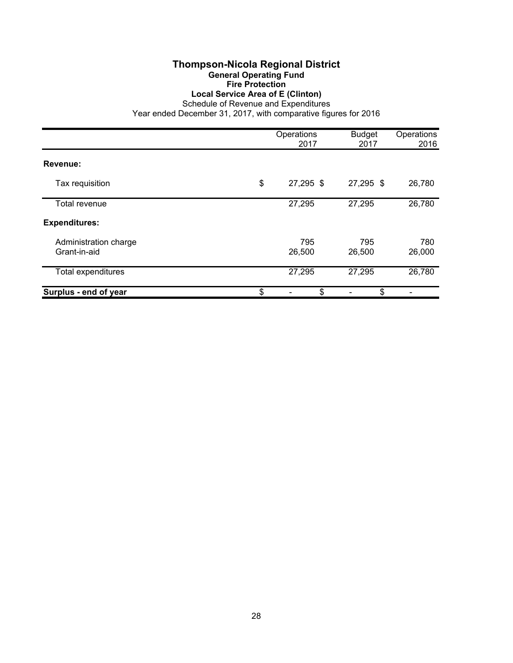#### **Thompson-Nicola Regional District General Operating Fund Fire Protection Local Service Area of E (Clinton)**

Schedule of Revenue and Expenditures

|                       | Operations<br>2017 | <b>Budget</b><br>2017 | Operations<br>2016 |
|-----------------------|--------------------|-----------------------|--------------------|
| Revenue:              |                    |                       |                    |
|                       | 27,295 \$          | 27,295 \$             |                    |
| Tax requisition       | \$                 |                       | 26,780             |
| Total revenue         | 27,295             | 27,295                | 26,780             |
| <b>Expenditures:</b>  |                    |                       |                    |
| Administration charge | 795                | 795                   | 780                |
| Grant-in-aid          | 26,500             | 26,500                | 26,000             |
| Total expenditures    | 27,295             | 27,295                | 26,780             |
| Surplus - end of year | \$<br>\$           | \$                    |                    |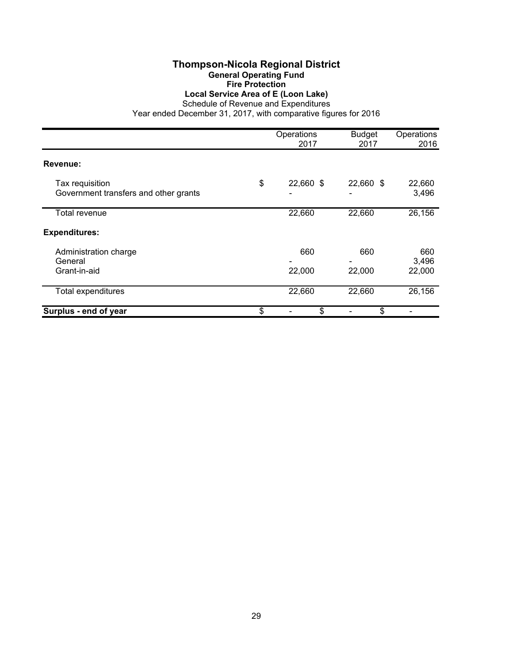#### **Thompson-Nicola Regional District General Operating Fund Fire Protection Local Service Area of E (Loon Lake)**

Schedule of Revenue and Expenditures

|                                                          | Operations<br>2017 | <b>Budget</b><br>2017 | Operations<br>2016     |
|----------------------------------------------------------|--------------------|-----------------------|------------------------|
| Revenue:                                                 |                    |                       |                        |
| Tax requisition<br>Government transfers and other grants | \$<br>22,660 \$    | 22,660 \$             | 22,660<br>3,496        |
| Total revenue                                            | 22,660             | 22,660                | 26,156                 |
| <b>Expenditures:</b>                                     |                    |                       |                        |
| Administration charge<br>General<br>Grant-in-aid         | 660<br>22,000      | 660<br>22,000         | 660<br>3,496<br>22,000 |
| <b>Total expenditures</b>                                | 22,660             | 22,660                | 26,156                 |
| Surplus - end of year                                    | \$<br>\$           | \$                    |                        |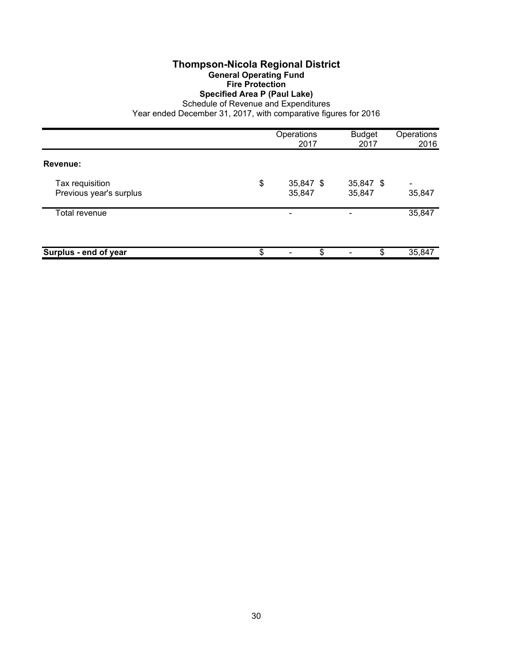#### **Specified Area P (Paul Lake)**

Schedule of Revenue and Expenditures

|                                            | Operations<br>2017        | <b>Budget</b><br>2017 | Operations<br>2016       |
|--------------------------------------------|---------------------------|-----------------------|--------------------------|
| Revenue:                                   |                           |                       |                          |
| Tax requisition<br>Previous year's surplus | \$<br>35,847 \$<br>35,847 | 35,847 \$<br>35,847   | $\blacksquare$<br>35,847 |
| Total revenue                              | ۰                         |                       | 35,847                   |
| Surplus - end of year                      | \$<br>\$                  | \$                    | 35,847                   |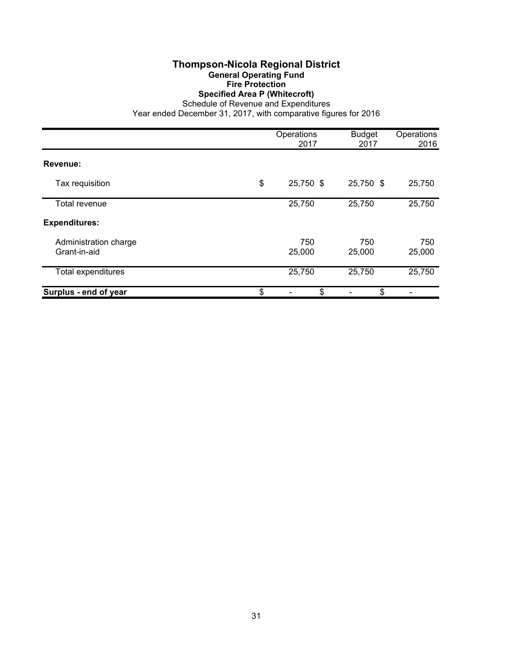**Specified Area P (Whitecroft)**

Schedule of Revenue and Expenditures Year ended December 31, 2017, with comparative figures for 2016

Operations Budget Operations<br>2017 2017 2016 2016 **Revenue:** Tax requisition \$ 25,750 \$ 25,750 \$ 25,750 Total revenue 25,750 25,750 25,750 **Expenditures:** Administration charge 750 750 750 750 Grant-in-aid 25,000 25,000 25,000 Total expenditures 25,750 25,750 25,750 **Surplus - end of year 1988 1988 1988 1988 1988 1988 1988 1988 1988 1988 1988 1988 1988 1988 1988 1988 1988 1988 1988 1988 1988 1988 1988 1988 1988 1988 1988 1988 1** 

#### 31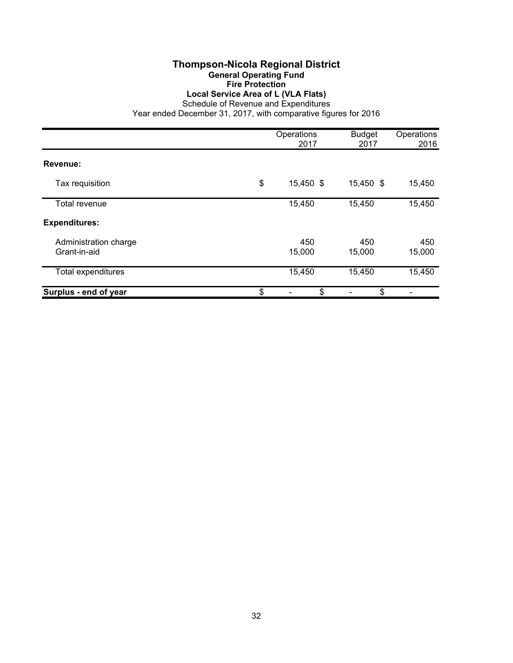**Local Service Area of L (VLA Flats)**

Schedule of Revenue and Expenditures Year ended December 31, 2017, with comparative figures for 2016

|                                       | Operations<br>2017 | <b>Budget</b><br>2017 | Operations<br>2016 |
|---------------------------------------|--------------------|-----------------------|--------------------|
| Revenue:                              |                    |                       |                    |
| Tax requisition                       | \$<br>15,450 \$    | 15,450 \$             | 15,450             |
| Total revenue                         | 15,450             | 15,450                | 15,450             |
| <b>Expenditures:</b>                  |                    |                       |                    |
| Administration charge<br>Grant-in-aid | 450<br>15,000      | 450<br>15,000         | 450<br>15,000      |
| <b>Total expenditures</b>             | 15,450             | 15,450                | 15,450             |
| Surplus - end of year                 | \$<br>\$           | \$                    |                    |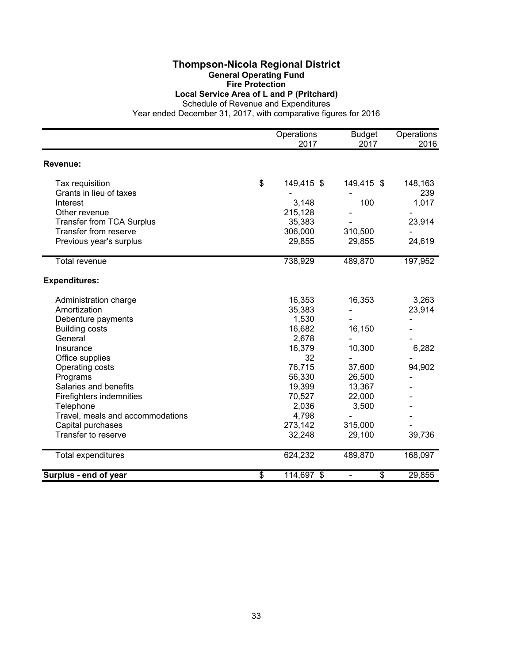#### **Thompson-Nicola Regional District General Operating Fund**

**Fire Protection**

**Local Service Area of L and P (Pritchard)**

Schedule of Revenue and Expenditures

|                                  | Operations<br>2017 | <b>Budget</b><br>2017 | Operations<br>2016 |
|----------------------------------|--------------------|-----------------------|--------------------|
| Revenue:                         |                    |                       |                    |
| Tax requisition                  | \$<br>149,415 \$   | 149,415 \$            | 148,163            |
| Grants in lieu of taxes          |                    |                       | 239                |
| Interest                         | 3,148              | 100                   | 1,017              |
| Other revenue                    | 215,128            |                       |                    |
| <b>Transfer from TCA Surplus</b> | 35,383             |                       | 23,914             |
| Transfer from reserve            | 306,000            | 310,500               |                    |
| Previous year's surplus          | 29,855             | 29,855                | 24,619             |
| Total revenue                    | 738,929            | 489,870               | 197,952            |
| <b>Expenditures:</b>             |                    |                       |                    |
| Administration charge            | 16,353             | 16,353                | 3,263              |
| Amortization                     | 35,383             |                       | 23,914             |
| Debenture payments               | 1,530              |                       |                    |
| <b>Building costs</b>            | 16,682             | 16,150                |                    |
| General                          | 2,678              |                       |                    |
| Insurance                        | 16,379             | 10,300                | 6,282              |
| Office supplies                  | 32                 |                       |                    |
| Operating costs                  | 76,715             | 37,600                | 94,902             |
| Programs                         | 56,330             | 26,500                |                    |
| Salaries and benefits            | 19,399             | 13,367                |                    |
| Firefighters indemnities         | 70,527             | 22,000                |                    |
| Telephone                        | 2,036              | 3,500                 |                    |
| Travel, meals and accommodations | 4,798              |                       |                    |
| Capital purchases                | 273,142            | 315,000               |                    |
| Transfer to reserve              | 32,248             | 29,100                | 39,736             |
| Total expenditures               | 624,232            | 489,870               | 168,097            |
| Surplus - end of year            | \$<br>114,697 \$   | \$                    | 29,855             |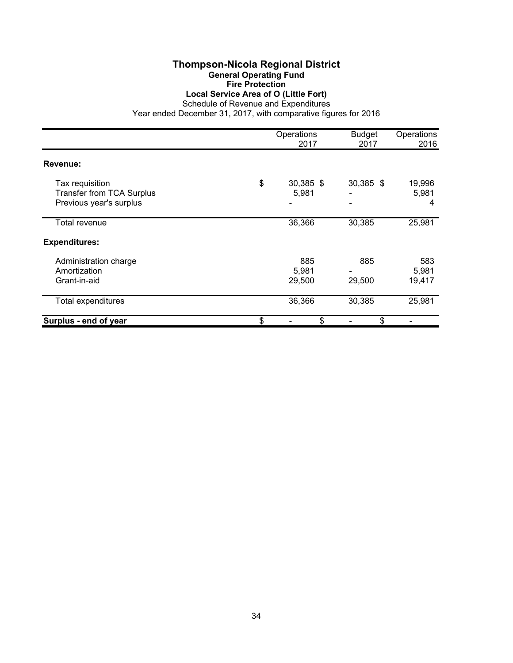#### **Thompson-Nicola Regional District General Operating Fund Fire Protection Local Service Area of O (Little Fort)**

Schedule of Revenue and Expenditures

|                                                                                | Operations<br>2017       | <b>Budget</b><br>2017 | Operations<br>2016     |
|--------------------------------------------------------------------------------|--------------------------|-----------------------|------------------------|
| Revenue:                                                                       |                          |                       |                        |
| Tax requisition<br><b>Transfer from TCA Surplus</b><br>Previous year's surplus | \$<br>30,385 \$<br>5,981 | 30,385 \$             | 19,996<br>5,981<br>4   |
| Total revenue                                                                  | 36,366                   | 30,385                | 25,981                 |
| <b>Expenditures:</b>                                                           |                          |                       |                        |
| Administration charge<br>Amortization<br>Grant-in-aid                          | 885<br>5,981<br>29,500   | 885<br>29,500         | 583<br>5,981<br>19,417 |
| Total expenditures                                                             | 36,366                   | 30,385                | 25,981                 |
| Surplus - end of year                                                          | \$<br>\$                 | \$                    |                        |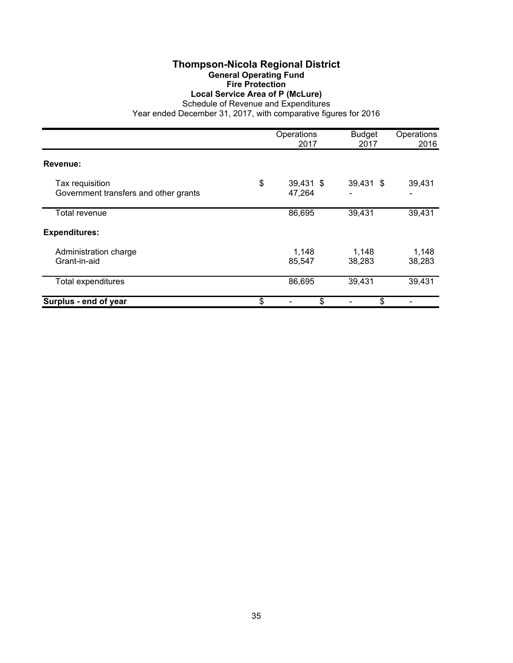#### **Thompson-Nicola Regional District General Operating Fund Fire Protection Local Service Area of P (McLure)**

Schedule of Revenue and Expenditures

|                                       | Operations<br>2017 | <b>Budget</b><br>2017 | Operations<br>2016 |
|---------------------------------------|--------------------|-----------------------|--------------------|
|                                       |                    |                       |                    |
| Revenue:                              |                    |                       |                    |
| Tax requisition                       | \$<br>39,431 \$    | 39,431 \$             | 39,431             |
| Government transfers and other grants | 47,264             |                       |                    |
| Total revenue                         | 86,695             | 39,431                | 39,431             |
| <b>Expenditures:</b>                  |                    |                       |                    |
| Administration charge                 | 1,148              | 1,148                 | 1,148              |
| Grant-in-aid                          | 85,547             | 38,283                | 38,283             |
| <b>Total expenditures</b>             | 86,695             | 39,431                | 39,431             |
| Surplus - end of year                 | \$<br>\$           | \$                    |                    |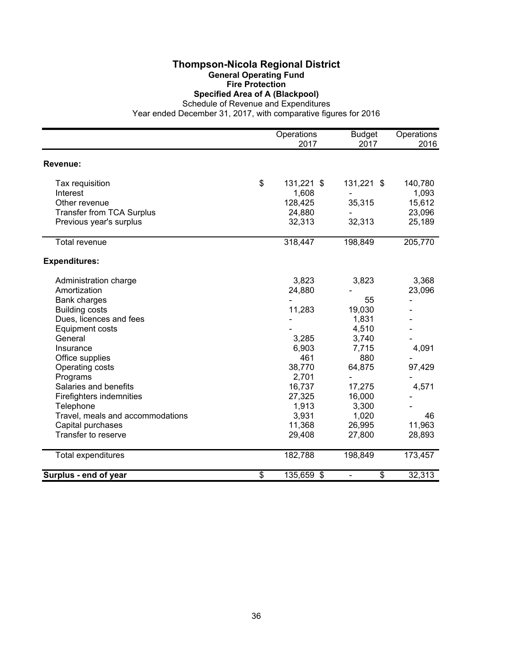### **Thompson-Nicola Regional District General Operating Fund Fire Protection**

**Specified Area of A (Blackpool)**

Schedule of Revenue and Expenditures Year ended December 31, 2017, with comparative figures for 2016

|                                  | Operations       | <b>Budget</b> | Operations |
|----------------------------------|------------------|---------------|------------|
|                                  | 2017             | 2017          | 2016       |
| Revenue:                         |                  |               |            |
| Tax requisition                  | \$<br>131,221 \$ | 131,221 \$    | 140,780    |
| Interest                         | 1,608            |               | 1,093      |
| Other revenue                    | 128,425          | 35,315        | 15,612     |
| Transfer from TCA Surplus        | 24,880           |               | 23,096     |
| Previous year's surplus          | 32,313           | 32,313        | 25,189     |
| <b>Total revenue</b>             | 318,447          | 198,849       | 205,770    |
| <b>Expenditures:</b>             |                  |               |            |
| Administration charge            | 3,823            | 3,823         | 3,368      |
| Amortization                     | 24,880           |               | 23,096     |
| <b>Bank charges</b>              |                  | 55            |            |
| <b>Building costs</b>            | 11,283           | 19,030        |            |
| Dues, licences and fees          |                  | 1,831         |            |
| <b>Equipment costs</b>           |                  | 4,510         |            |
| General                          | 3,285            | 3,740         |            |
| Insurance                        | 6,903            | 7,715         | 4,091      |
| Office supplies                  | 461              | 880           |            |
| Operating costs                  | 38,770           | 64,875        | 97,429     |
| Programs                         | 2,701            |               |            |
| Salaries and benefits            | 16,737           | 17,275        | 4,571      |
| Firefighters indemnities         | 27,325           | 16,000        |            |
| Telephone                        | 1,913            | 3,300         |            |
| Travel, meals and accommodations | 3,931            | 1,020         | 46         |
| Capital purchases                | 11,368           | 26,995        | 11,963     |
| Transfer to reserve              | 29,408           | 27,800        | 28,893     |
| Total expenditures               | 182,788          | 198,849       | 173,457    |
| Surplus - end of year            | \$<br>135,659 \$ | \$            | 32,313     |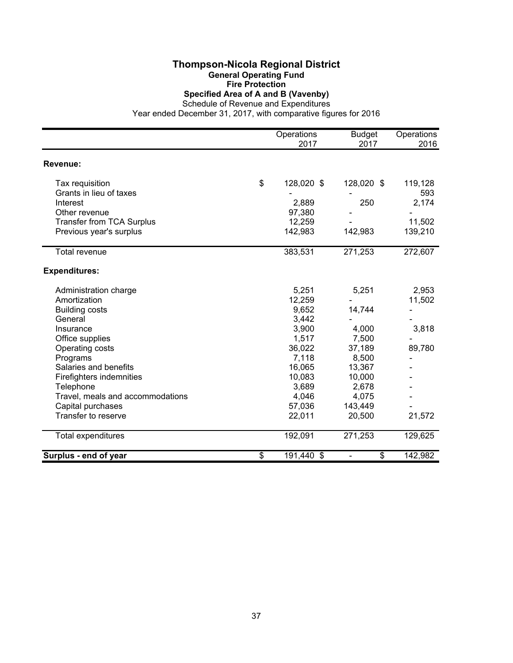#### **Thompson-Nicola Regional District General Operating Fund Fire Protection Specified Area of A and B (Vavenby)**

Schedule of Revenue and Expenditures

|                                  | Operations<br>2017 | <b>Budget</b><br>2017 | Operations<br>2016 |
|----------------------------------|--------------------|-----------------------|--------------------|
|                                  |                    |                       |                    |
| Revenue:                         |                    |                       |                    |
| Tax requisition                  | \$<br>128,020 \$   | 128,020 \$            | 119,128            |
| Grants in lieu of taxes          |                    |                       | 593                |
| Interest                         | 2,889              | 250                   | 2,174              |
| Other revenue                    | 97,380             |                       |                    |
| <b>Transfer from TCA Surplus</b> | 12,259             |                       | 11,502             |
| Previous year's surplus          | 142,983            | 142,983               | 139,210            |
| <b>Total revenue</b>             | 383,531            | 271,253               | 272,607            |
| <b>Expenditures:</b>             |                    |                       |                    |
| Administration charge            | 5,251              | 5,251                 | 2,953              |
| Amortization                     | 12,259             |                       | 11,502             |
| <b>Building costs</b>            | 9,652              | 14,744                |                    |
| General                          | 3,442              |                       |                    |
| Insurance                        | 3,900              | 4,000                 | 3,818              |
| Office supplies                  | 1,517              | 7,500                 |                    |
| Operating costs                  | 36,022             | 37,189                | 89,780             |
| Programs                         | 7,118              | 8,500                 |                    |
| Salaries and benefits            | 16,065             | 13,367                |                    |
| Firefighters indemnities         | 10,083             | 10,000                |                    |
| Telephone                        | 3,689              | 2,678                 |                    |
| Travel, meals and accommodations | 4,046              | 4,075                 |                    |
| Capital purchases                | 57,036             | 143,449               |                    |
| Transfer to reserve              | 22,011             | 20,500                | 21,572             |
| Total expenditures               | 192,091            | 271,253               | 129,625            |
| Surplus - end of year            | \$<br>191,440 \$   | \$                    | 142,982            |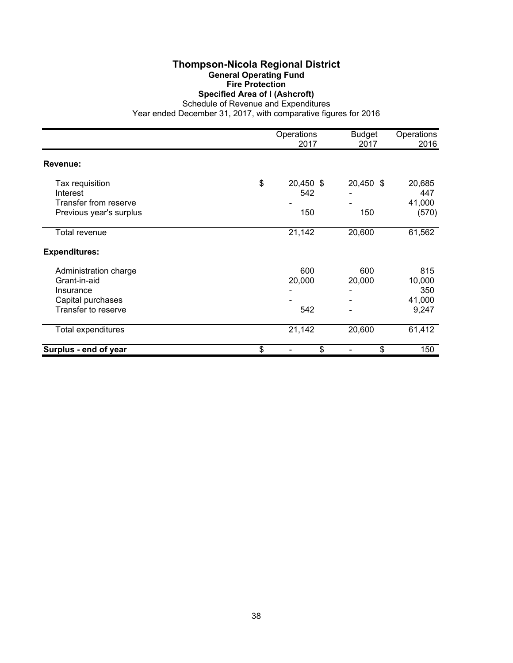## **Thompson-Nicola Regional District General Operating Fund Fire Protection**

**Specified Area of I (Ashcroft)**

Schedule of Revenue and Expenditures Year ended December 31, 2017, with comparative figures for 2016

|                                                                                                | Operations<br>2017            | <b>Budget</b><br>2017 | Operations<br>2016                      |
|------------------------------------------------------------------------------------------------|-------------------------------|-----------------------|-----------------------------------------|
| Revenue:                                                                                       |                               |                       |                                         |
| Tax requisition<br>Interest<br>Transfer from reserve<br>Previous year's surplus                | \$<br>20,450 \$<br>542<br>150 | 20,450 \$<br>150      | 20,685<br>447<br>41,000<br>(570)        |
| Total revenue                                                                                  | 21,142                        | 20,600                | 61,562                                  |
| <b>Expenditures:</b>                                                                           |                               |                       |                                         |
| Administration charge<br>Grant-in-aid<br>Insurance<br>Capital purchases<br>Transfer to reserve | 600<br>20,000<br>542          | 600<br>20,000         | 815<br>10,000<br>350<br>41,000<br>9,247 |
| Total expenditures                                                                             | 21,142                        | 20,600                | 61,412                                  |
| Surplus - end of year                                                                          | \$<br>\$                      | \$                    | 150                                     |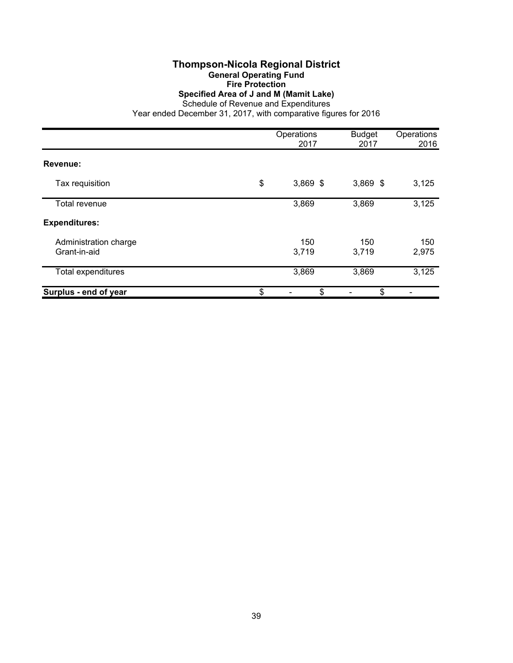## **Thompson-Nicola Regional District General Operating Fund Fire Protection**

**Specified Area of J and M (Mamit Lake)**

Schedule of Revenue and Expenditures Year ended December 31, 2017, with comparative figures for 2016

|                                       | Operations<br>2017 | <b>Budget</b><br>2017 | Operations<br>2016 |
|---------------------------------------|--------------------|-----------------------|--------------------|
| Revenue:                              |                    |                       |                    |
| Tax requisition                       | \$<br>$3,869$ \$   | $3,869$ \$            | 3,125              |
| Total revenue                         | 3,869              | 3,869                 | 3,125              |
| <b>Expenditures:</b>                  |                    |                       |                    |
| Administration charge<br>Grant-in-aid | 150<br>3,719       | 150<br>3,719          | 150<br>2,975       |
| Total expenditures                    | 3,869              | 3,869                 | 3,125              |
| Surplus - end of year                 | \$<br>\$           | \$                    |                    |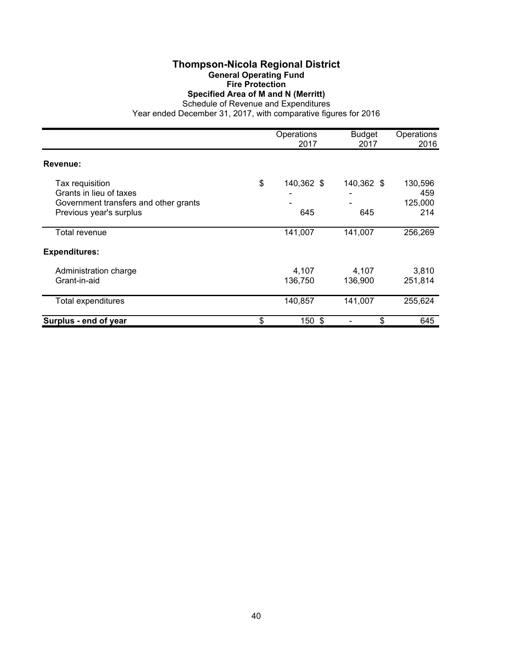#### **Thompson-Nicola Regional District General Operating Fund Fire Protection Specified Area of M and N (Merritt)**

Schedule of Revenue and Expenditures

|                                                                                                                | Operations<br>2017      | <b>Budget</b><br>2017 | Operations<br>2016               |
|----------------------------------------------------------------------------------------------------------------|-------------------------|-----------------------|----------------------------------|
| Revenue:                                                                                                       |                         |                       |                                  |
| Tax requisition<br>Grants in lieu of taxes<br>Government transfers and other grants<br>Previous year's surplus | \$<br>140,362 \$<br>645 | 140,362 \$<br>645     | 130,596<br>459<br>125,000<br>214 |
| Total revenue                                                                                                  | 141,007                 | 141,007               | 256,269                          |
| <b>Expenditures:</b>                                                                                           |                         |                       |                                  |
| Administration charge<br>Grant-in-aid                                                                          | 4,107<br>136,750        | 4,107<br>136,900      | 3,810<br>251,814                 |
| <b>Total expenditures</b>                                                                                      | 140,857                 | 141,007               | 255,624                          |
| Surplus - end of year                                                                                          | \$<br>150 \$            | \$                    | 645                              |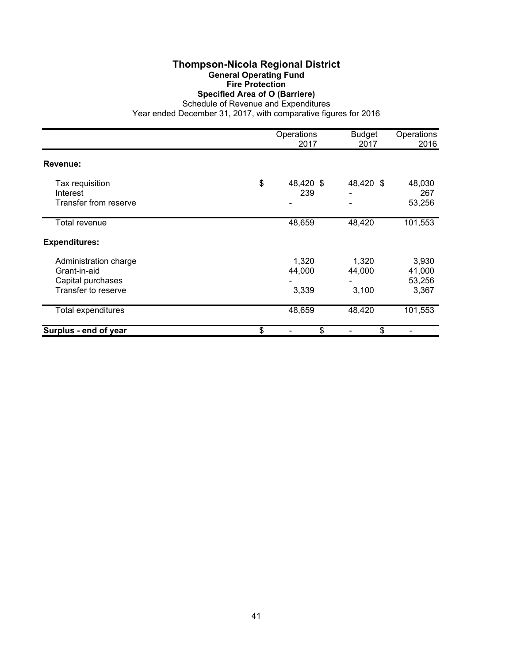#### **Thompson-Nicola Regional District General Operating Fund Fire Protection Specified Area of O (Barriere)**

Schedule of Revenue and Expenditures

|                                                                                   | Operations<br>2017       | <b>Budget</b><br>2017    | Operations<br>2016                 |
|-----------------------------------------------------------------------------------|--------------------------|--------------------------|------------------------------------|
| Revenue:                                                                          |                          |                          |                                    |
| Tax requisition<br>Interest<br>Transfer from reserve                              | \$<br>48,420 \$<br>239   | 48,420 \$                | 48,030<br>267<br>53,256            |
| Total revenue                                                                     | 48,659                   | 48,420                   | 101,553                            |
| <b>Expenditures:</b>                                                              |                          |                          |                                    |
| Administration charge<br>Grant-in-aid<br>Capital purchases<br>Transfer to reserve | 1,320<br>44,000<br>3,339 | 1,320<br>44,000<br>3,100 | 3,930<br>41,000<br>53,256<br>3,367 |
| Total expenditures                                                                | 48,659                   | 48,420                   | 101,553                            |
| Surplus - end of year                                                             | \$<br>\$                 | \$                       |                                    |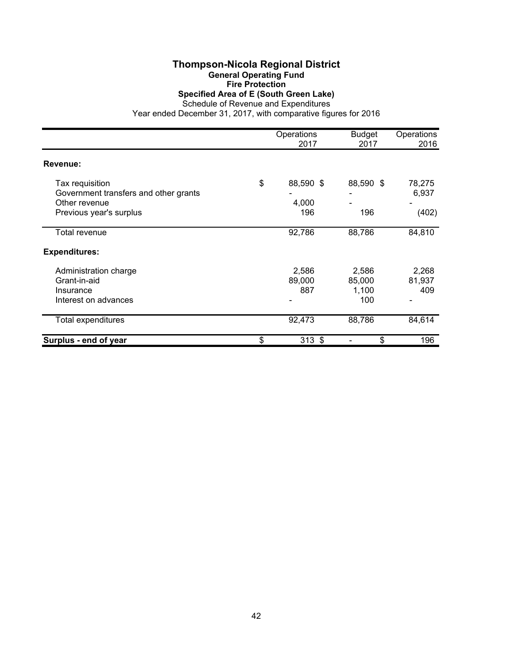#### **Thompson-Nicola Regional District General Operating Fund Fire Protection Specified Area of E (South Green Lake)**

Schedule of Revenue and Expenditures

|                                                                                                      | Operations<br>2017              | <b>Budget</b><br>2017           | Operations<br>2016       |
|------------------------------------------------------------------------------------------------------|---------------------------------|---------------------------------|--------------------------|
| Revenue:                                                                                             |                                 |                                 |                          |
| Tax requisition<br>Government transfers and other grants<br>Other revenue<br>Previous year's surplus | \$<br>88,590 \$<br>4,000<br>196 | 88,590 \$<br>196                | 78,275<br>6,937<br>(402) |
| Total revenue                                                                                        | 92,786                          | 88,786                          | 84,810                   |
| <b>Expenditures:</b>                                                                                 |                                 |                                 |                          |
| Administration charge<br>Grant-in-aid<br>Insurance<br>Interest on advances                           | 2,586<br>89,000<br>887          | 2,586<br>85,000<br>1,100<br>100 | 2,268<br>81,937<br>409   |
| <b>Total expenditures</b>                                                                            | 92,473                          | 88,786                          | 84,614                   |
| Surplus - end of year                                                                                | \$<br>$313$ \$                  | \$                              | 196                      |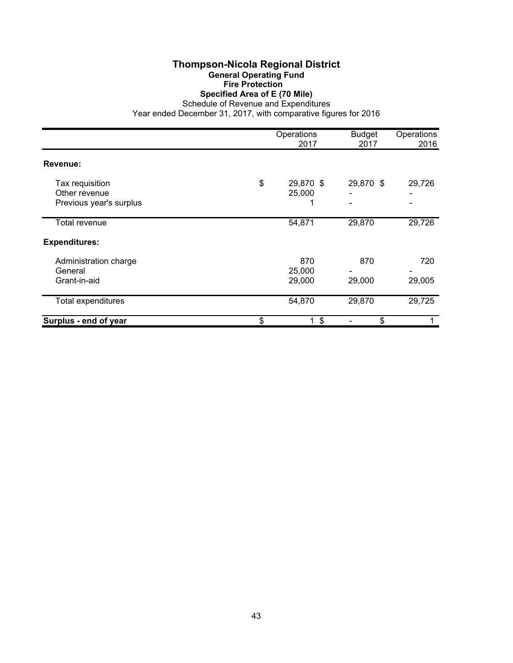#### **Thompson-Nicola Regional District General Operating Fund Fire Protection Specified Area of E (70 Mile)**

Schedule of Revenue and Expenditures

|                                                             | Operations<br>2017        | <b>Budget</b><br>2017 | Operations<br>2016 |
|-------------------------------------------------------------|---------------------------|-----------------------|--------------------|
| <b>Revenue:</b>                                             |                           |                       |                    |
| Tax requisition<br>Other revenue<br>Previous year's surplus | \$<br>29,870 \$<br>25,000 | 29,870 \$             | 29,726             |
| Total revenue                                               | 54,871                    | 29,870                | 29,726             |
| <b>Expenditures:</b>                                        |                           |                       |                    |
| Administration charge<br>General<br>Grant-in-aid            | 870<br>25,000<br>29,000   | 870<br>29,000         | 720<br>29,005      |
| Total expenditures                                          | 54,870                    | 29,870                | 29,725             |
| Surplus - end of year                                       | \$<br>$1 \text{ }$ \$     | \$                    |                    |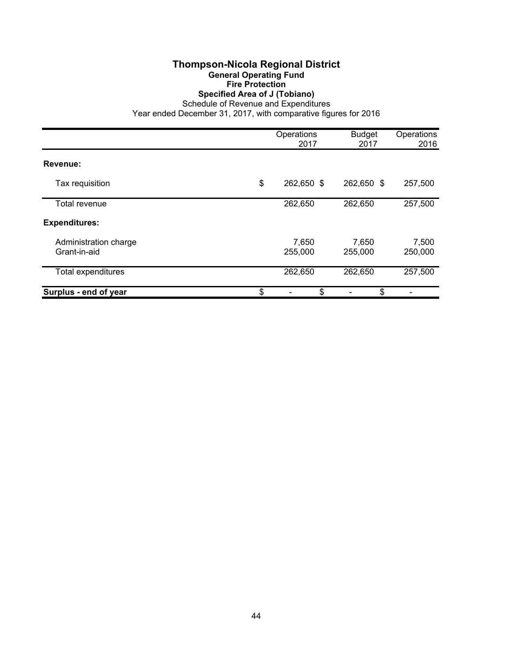#### **Thompson-Nicola Regional District General Operating Fund Fire Protection Specified Area of J (Tobiano)**

Schedule of Revenue and Expenditures

|                                       | Operations<br>2017 | <b>Budget</b><br>2017 | Operations<br>2016 |
|---------------------------------------|--------------------|-----------------------|--------------------|
| Revenue:                              |                    |                       |                    |
| Tax requisition                       | \$<br>262,650 \$   | 262,650 \$            | 257,500            |
| Total revenue                         | 262,650            | 262,650               | 257,500            |
| <b>Expenditures:</b>                  |                    |                       |                    |
| Administration charge<br>Grant-in-aid | 7,650<br>255,000   | 7,650<br>255,000      | 7,500<br>250,000   |
| <b>Total expenditures</b>             | 262,650            | 262,650               | 257,500            |
| Surplus - end of year                 | \$<br>\$           | \$                    |                    |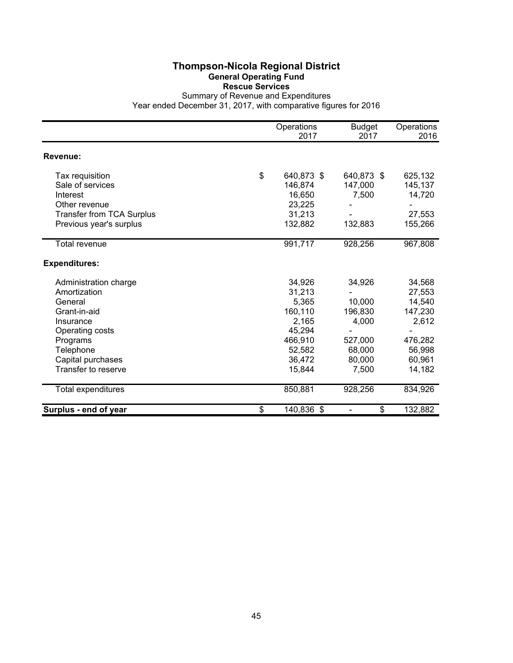#### **Thompson-Nicola Regional District General Operating Fund Rescue Services**

Summary of Revenue and Expenditures Year ended December 31, 2017, with comparative figures for 2016

|                                  | Operations<br>2017 | <b>Budget</b><br>2017 | Operations<br>2016 |
|----------------------------------|--------------------|-----------------------|--------------------|
| Revenue:                         |                    |                       |                    |
| Tax requisition                  | \$<br>640,873 \$   | 640,873 \$            | 625,132            |
| Sale of services                 | 146,874            | 147,000               | 145,137            |
| Interest                         | 16,650             | 7,500                 | 14,720             |
| Other revenue                    | 23,225             |                       |                    |
| <b>Transfer from TCA Surplus</b> | 31,213             |                       | 27,553             |
| Previous year's surplus          | 132,882            | 132,883               | 155,266            |
| Total revenue                    | 991,717            | 928,256               | 967,808            |
| <b>Expenditures:</b>             |                    |                       |                    |
| Administration charge            | 34,926             | 34,926                | 34,568             |
| Amortization                     | 31,213             |                       | 27,553             |
| General                          | 5,365              | 10,000                | 14,540             |
| Grant-in-aid                     | 160,110            | 196,830               | 147,230            |
| Insurance                        | 2,165              | 4,000                 | 2,612              |
| Operating costs                  | 45,294             |                       |                    |
| Programs                         | 466,910            | 527,000               | 476,282            |
| Telephone                        | 52,582             | 68,000                | 56,998             |
| Capital purchases                | 36,472             | 80,000                | 60,961             |
| Transfer to reserve              | 15,844             | 7,500                 | 14,182             |
| Total expenditures               | 850,881            | 928,256               | 834,926            |
| Surplus - end of year            | \$<br>140,836 \$   | \$                    | 132,882            |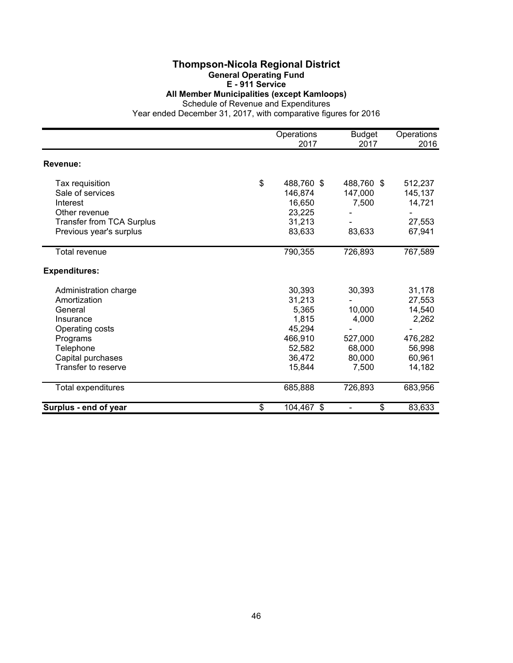#### **Thompson-Nicola Regional District General Operating Fund**

# **E - 911 Service**

**All Member Municipalities (except Kamloops)**

Schedule of Revenue and Expenditures

|                                  | Operations<br>2017 | <b>Budget</b><br>2017          | Operations<br>2016 |
|----------------------------------|--------------------|--------------------------------|--------------------|
| Revenue:                         |                    |                                |                    |
|                                  |                    |                                |                    |
| Tax requisition                  | \$<br>488,760 \$   | 488,760 \$                     | 512,237            |
| Sale of services                 | 146,874            | 147,000                        | 145,137            |
| Interest                         | 16,650             | 7,500                          | 14,721             |
| Other revenue                    | 23,225             |                                |                    |
| <b>Transfer from TCA Surplus</b> | 31,213             |                                | 27,553             |
| Previous year's surplus          | 83,633             | 83,633                         | 67,941             |
| Total revenue                    | 790,355            | 726,893                        | 767,589            |
| <b>Expenditures:</b>             |                    |                                |                    |
| Administration charge            | 30,393             | 30,393                         | 31,178             |
| Amortization                     | 31,213             |                                | 27,553             |
| General                          | 5,365              | 10,000                         | 14,540             |
| Insurance                        | 1,815              | 4,000                          | 2,262              |
| Operating costs                  | 45,294             |                                |                    |
| Programs                         | 466,910            | 527,000                        | 476,282            |
| Telephone                        | 52,582             | 68,000                         | 56,998             |
| Capital purchases                | 36,472             | 80,000                         | 60,961             |
| Transfer to reserve              | 15,844             | 7,500                          | 14,182             |
| Total expenditures               | 685,888            | 726,893                        | 683,956            |
| Surplus - end of year            | \$<br>104,467 \$   | \$<br>$\overline{\phantom{0}}$ | 83,633             |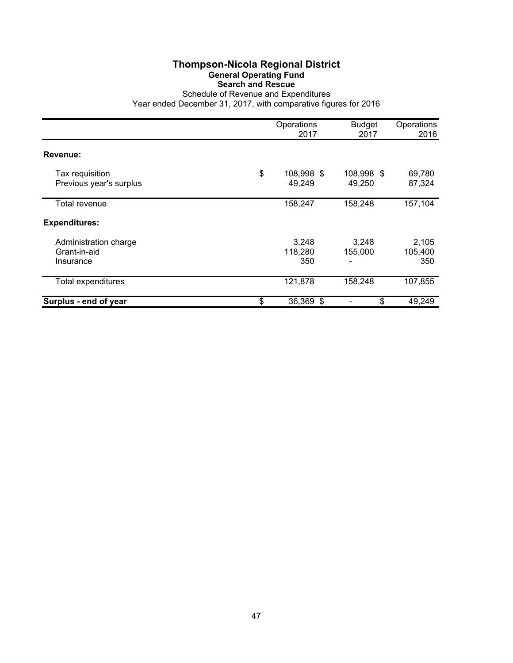## **Thompson-Nicola Regional District General Operating Fund Search and Rescue**

Schedule of Revenue and Expenditures Year ended December 31, 2017, with comparative figures for 2016

|                                                    | Operations<br>2017         | <b>Budget</b><br>2017 | Operations<br>2016      |
|----------------------------------------------------|----------------------------|-----------------------|-------------------------|
| Revenue:                                           |                            |                       |                         |
| Tax requisition<br>Previous year's surplus         | \$<br>108,998 \$<br>49,249 | 108,998 \$<br>49,250  | 69,780<br>87,324        |
| Total revenue                                      | 158,247                    | 158,248               | 157,104                 |
| <b>Expenditures:</b>                               |                            |                       |                         |
| Administration charge<br>Grant-in-aid<br>Insurance | 3,248<br>118,280<br>350    | 3,248<br>155,000      | 2,105<br>105,400<br>350 |
| <b>Total expenditures</b>                          | 121,878                    | 158,248               | 107,855                 |
| Surplus - end of year                              | \$<br>36,369 \$            | \$                    | 49,249                  |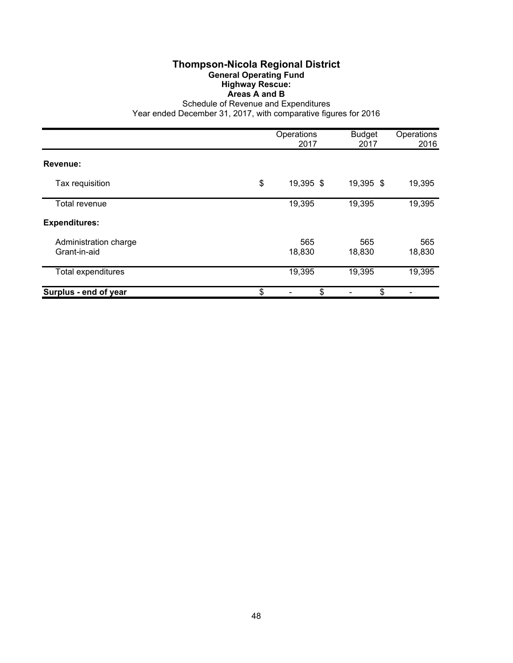#### **Thompson-Nicola Regional District General Operating Fund Highway Rescue: Areas A and B**

Schedule of Revenue and Expenditures

|                                       | Operations<br>2017 | <b>Budget</b><br>2017 | Operations<br>2016 |
|---------------------------------------|--------------------|-----------------------|--------------------|
|                                       |                    |                       |                    |
| Revenue:                              |                    |                       |                    |
| Tax requisition                       | \$<br>19,395 \$    | 19,395 \$             | 19,395             |
| Total revenue                         | 19,395             | 19,395                | 19,395             |
| <b>Expenditures:</b>                  |                    |                       |                    |
| Administration charge<br>Grant-in-aid | 565<br>18,830      | 565<br>18,830         | 565<br>18,830      |
| Total expenditures                    | 19,395             | 19,395                | 19,395             |
| Surplus - end of year                 | \$<br>\$           | \$                    |                    |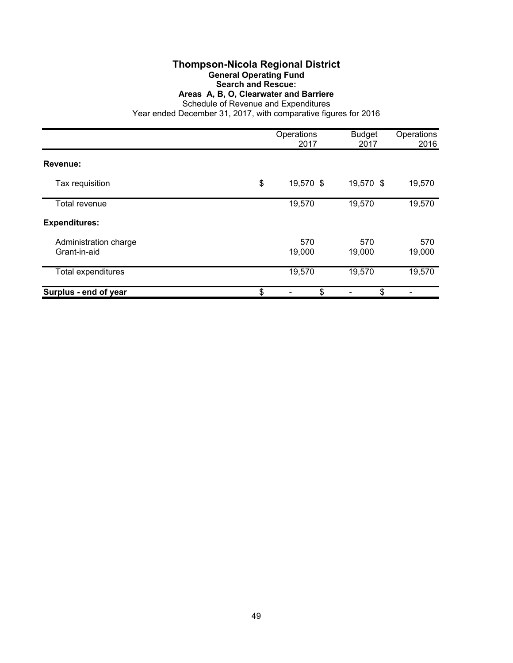## **Thompson-Nicola Regional District**

#### **General Operating Fund**

**Search and Rescue:**

**Areas A, B, O, Clearwater and Barriere**

Schedule of Revenue and Expenditures

|                                       | Operations<br>2017 | <b>Budget</b><br>2017 | Operations<br>2016 |
|---------------------------------------|--------------------|-----------------------|--------------------|
| Revenue:                              |                    |                       |                    |
| Tax requisition                       | \$<br>19,570 \$    | 19,570 \$             | 19,570             |
| Total revenue                         | 19,570             | 19,570                | 19,570             |
| <b>Expenditures:</b>                  |                    |                       |                    |
| Administration charge<br>Grant-in-aid | 570<br>19,000      | 570<br>19,000         | 570<br>19,000      |
| Total expenditures                    | 19,570             | 19,570                | 19,570             |
| Surplus - end of year                 | \$<br>\$           | \$                    |                    |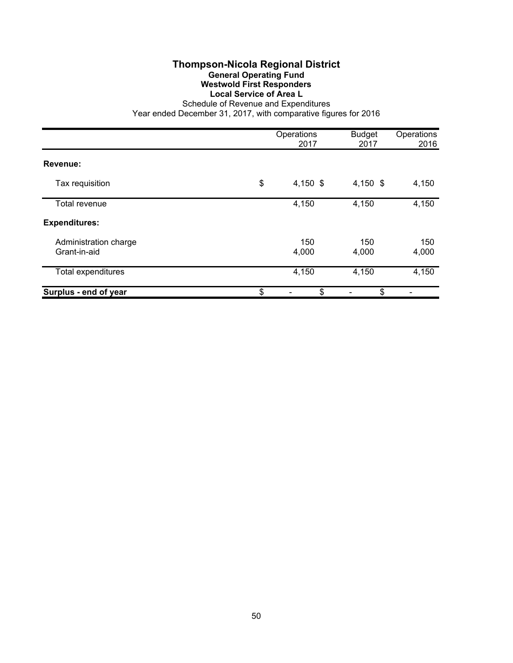## **Thompson-Nicola Regional District General Operating Fund Westwold First Responders Local Service of Area L**

Schedule of Revenue and Expenditures Year ended December 31, 2017, with comparative figures for 2016

|                                       | Operations<br>2017 | <b>Budget</b><br>2017 | Operations<br>2016 |
|---------------------------------------|--------------------|-----------------------|--------------------|
| Revenue:                              |                    |                       |                    |
| Tax requisition                       | \$<br>4,150 $$$    | 4,150 $$$             | 4,150              |
| Total revenue                         | 4,150              | 4,150                 | 4,150              |
| <b>Expenditures:</b>                  |                    |                       |                    |
| Administration charge<br>Grant-in-aid | 150<br>4,000       | 150<br>4,000          | 150<br>4,000       |
| Total expenditures                    | 4,150              | 4,150                 | 4,150              |
| Surplus - end of year                 | \$<br>\$           | \$                    |                    |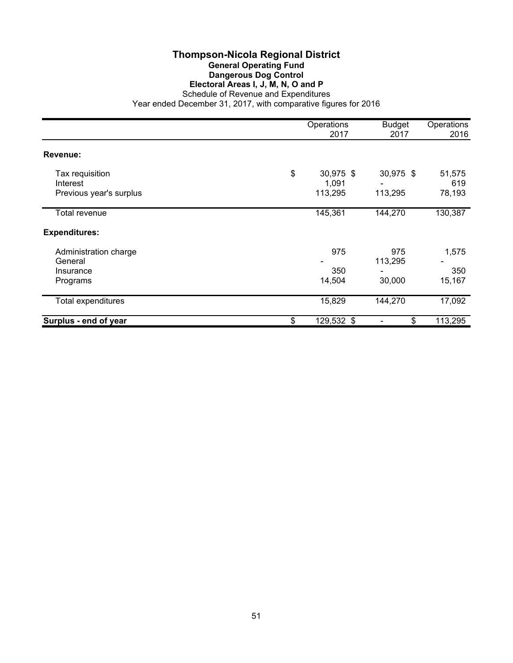#### **Thompson-Nicola Regional District General Operating Fund Dangerous Dog Control Electoral Areas I, J, M, N, O and P** Schedule of Revenue and Expenditures

|                             | Operations<br>2017       | <b>Budget</b><br>2017 | Operations<br>2016 |
|-----------------------------|--------------------------|-----------------------|--------------------|
| Revenue:                    |                          |                       |                    |
| Tax requisition<br>Interest | \$<br>30,975 \$<br>1,091 | 30,975 \$             | 51,575<br>619      |
| Previous year's surplus     | 113,295                  | 113,295               | 78,193             |
| Total revenue               | 145,361                  | 144,270               | 130,387            |
| <b>Expenditures:</b>        |                          |                       |                    |
| Administration charge       | 975                      | 975                   | 1,575              |
| General                     |                          | 113,295               |                    |
| Insurance                   | 350                      |                       | 350                |
| Programs                    | 14,504                   | 30,000                | 15,167             |
| Total expenditures          | 15,829                   | 144,270               | 17,092             |
| Surplus - end of year       | \$<br>129,532 \$         | \$                    | 113,295            |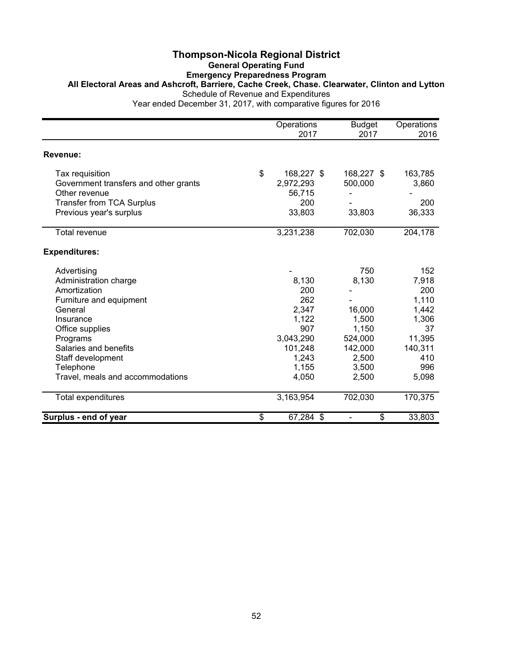#### **Thompson-Nicola Regional District General Operating Fund Emergency Preparedness Program All Electoral Areas and Ashcroft, Barriere, Cache Creek, Chase. Clearwater, Clinton and Lytton** Schedule of Revenue and Expenditures

|                                       | Operations<br>2017 | <b>Budget</b><br>2017              | Operations<br>2016 |
|---------------------------------------|--------------------|------------------------------------|--------------------|
| Revenue:                              |                    |                                    |                    |
| Tax requisition                       | \$<br>168,227 \$   | 168,227 \$                         | 163,785            |
| Government transfers and other grants | 2,972,293          | 500,000                            | 3,860              |
| Other revenue                         | 56,715             |                                    |                    |
| <b>Transfer from TCA Surplus</b>      | 200                |                                    | 200                |
| Previous year's surplus               | 33,803             | 33,803                             | 36,333             |
| Total revenue                         | 3,231,238          | 702,030                            | 204,178            |
| <b>Expenditures:</b>                  |                    |                                    |                    |
| Advertising                           |                    | 750                                | 152                |
| Administration charge                 | 8,130              | 8,130                              | 7,918              |
| Amortization                          | 200                |                                    | 200                |
| Furniture and equipment               | 262                |                                    | 1,110              |
| General                               | 2,347              | 16,000                             | 1,442              |
| Insurance                             | 1,122              | 1,500                              | 1,306              |
| Office supplies                       | 907                | 1,150                              | 37                 |
| Programs                              | 3,043,290          | 524,000                            | 11,395             |
| Salaries and benefits                 | 101,248            | 142,000                            | 140,311            |
| Staff development                     | 1,243              | 2,500                              | 410                |
| Telephone                             | 1,155              | 3,500                              | 996                |
| Travel, meals and accommodations      | 4,050              | 2,500                              | 5,098              |
| Total expenditures                    | 3,163,954          | 702,030                            | 170,375            |
| Surplus - end of year                 | \$<br>67,284 \$    | \$<br>$\qquad \qquad \blacksquare$ | 33,803             |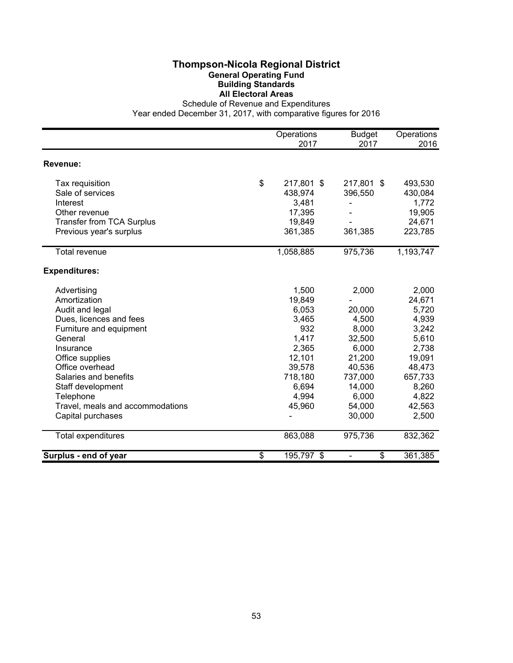### **Thompson-Nicola Regional District General Operating Fund Building Standards All Electoral Areas**

Schedule of Revenue and Expenditures

|                                  | Operations<br>2017 | <b>Budget</b><br>2017 | Operations<br>2016 |
|----------------------------------|--------------------|-----------------------|--------------------|
| Revenue:                         |                    |                       |                    |
|                                  |                    |                       |                    |
| Tax requisition                  | \$<br>217,801 \$   | 217,801 \$            | 493,530            |
| Sale of services                 | 438,974            | 396,550               | 430,084            |
| Interest                         | 3,481              |                       | 1,772              |
| Other revenue                    | 17,395             |                       | 19,905             |
| <b>Transfer from TCA Surplus</b> | 19,849             |                       | 24,671             |
| Previous year's surplus          | 361,385            | 361,385               | 223,785            |
| <b>Total revenue</b>             | 1,058,885          | 975,736               | 1,193,747          |
| <b>Expenditures:</b>             |                    |                       |                    |
| Advertising                      | 1,500              | 2,000                 | 2,000              |
| Amortization                     | 19,849             |                       | 24,671             |
| Audit and legal                  | 6,053              | 20,000                | 5,720              |
| Dues, licences and fees          | 3,465              | 4,500                 | 4,939              |
| Furniture and equipment          | 932                | 8,000                 | 3,242              |
| General                          | 1,417              | 32,500                | 5,610              |
| Insurance                        | 2,365              | 6,000                 | 2,738              |
| Office supplies                  | 12,101             | 21,200                | 19,091             |
| Office overhead                  | 39,578             | 40,536                | 48,473             |
| Salaries and benefits            | 718,180            | 737,000               | 657,733            |
| Staff development                | 6,694              | 14,000                | 8,260              |
| Telephone                        | 4,994              | 6,000                 | 4,822              |
| Travel, meals and accommodations | 45,960             | 54,000                | 42,563             |
| Capital purchases                |                    | 30,000                | 2,500              |
| Total expenditures               | 863,088            | 975,736               | 832,362            |
| Surplus - end of year            | \$<br>195,797 \$   | \$                    | 361,385            |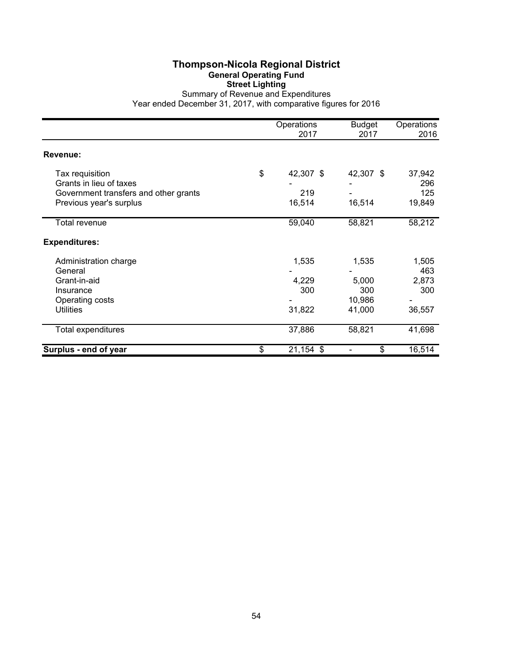## **Thompson-Nicola Regional District General Operating Fund Street Lighting**

Summary of Revenue and Expenditures Year ended December 31, 2017, with comparative figures for 2016

|                                                                                                                | Operations<br>2017               | <b>Budget</b><br>2017                     | Operations<br>2016                     |
|----------------------------------------------------------------------------------------------------------------|----------------------------------|-------------------------------------------|----------------------------------------|
| Revenue:                                                                                                       |                                  |                                           |                                        |
| Tax requisition<br>Grants in lieu of taxes<br>Government transfers and other grants<br>Previous year's surplus | \$<br>42,307 \$<br>219<br>16,514 | 42,307 \$<br>16,514                       | 37,942<br>296<br>125<br>19,849         |
| Total revenue                                                                                                  | 59,040                           | 58,821                                    | 58,212                                 |
| <b>Expenditures:</b>                                                                                           |                                  |                                           |                                        |
| Administration charge<br>General<br>Grant-in-aid<br>Insurance<br>Operating costs<br><b>Utilities</b>           | 1,535<br>4,229<br>300<br>31,822  | 1,535<br>5,000<br>300<br>10,986<br>41,000 | 1,505<br>463<br>2,873<br>300<br>36,557 |
| Total expenditures                                                                                             | 37,886                           | 58,821                                    | 41,698                                 |
| Surplus - end of year                                                                                          | \$<br>21,154 \$                  | \$                                        | 16,514                                 |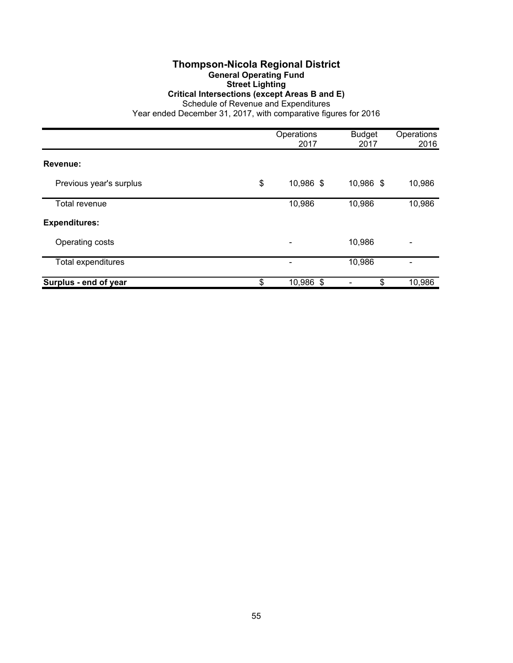#### **Thompson-Nicola Regional District General Operating Fund Street Lighting**

#### **Critical Intersections (except Areas B and E)**

Schedule of Revenue and Expenditures

|                         | Operations<br>2017       | <b>Budget</b><br>2017 | Operations<br>2016 |
|-------------------------|--------------------------|-----------------------|--------------------|
| Revenue:                |                          |                       |                    |
| Previous year's surplus | \$<br>10,986 \$          | 10,986 \$             | 10,986             |
| Total revenue           | 10,986                   | 10,986                | 10,986             |
| <b>Expenditures:</b>    |                          |                       |                    |
| Operating costs         | $\overline{\phantom{a}}$ | 10,986                | -                  |
| Total expenditures      |                          | 10,986                |                    |
| Surplus - end of year   | \$<br>10,986 \$          | \$                    | 10,986             |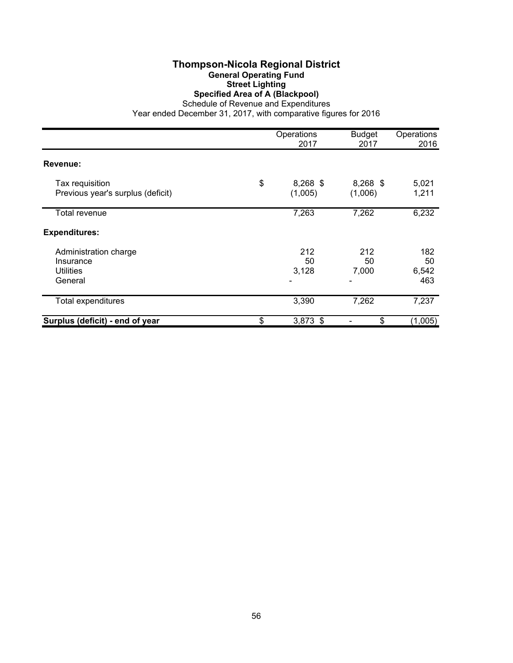### **Thompson-Nicola Regional District General Operating Fund Street Lighting Specified Area of A (Blackpool)**

Schedule of Revenue and Expenditures

|                                                                   | Operations<br>2017          | <b>Budget</b><br>2017 | Operations<br>2016        |
|-------------------------------------------------------------------|-----------------------------|-----------------------|---------------------------|
| Revenue:                                                          |                             |                       |                           |
| Tax requisition<br>Previous year's surplus (deficit)              | \$<br>$8,268$ \$<br>(1,005) | $8,268$ \$<br>(1,006) | 5,021<br>1,211            |
| Total revenue                                                     | 7,263                       | 7,262                 | 6,232                     |
| <b>Expenditures:</b>                                              |                             |                       |                           |
| Administration charge<br>Insurance<br><b>Utilities</b><br>General | 212<br>50<br>3,128          | 212<br>50<br>7,000    | 182<br>50<br>6,542<br>463 |
| Total expenditures                                                | 3,390                       | 7,262                 | 7,237                     |
| Surplus (deficit) - end of year                                   | \$<br>$3,873$ \$            | \$                    | (1,005)                   |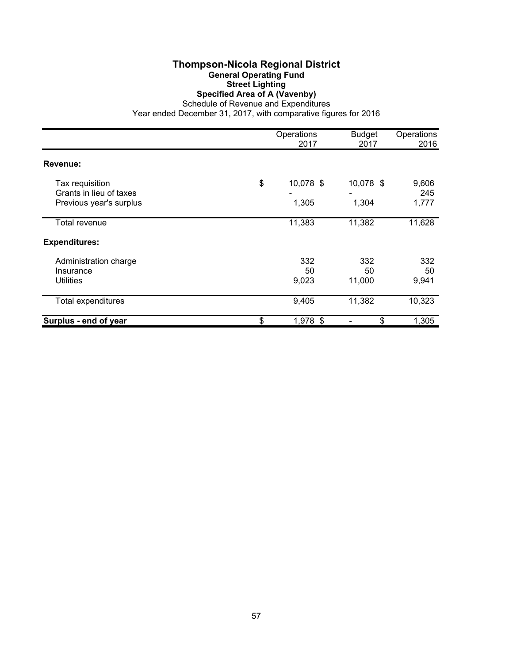### **Thompson-Nicola Regional District General Operating Fund Street Lighting Specified Area of A (Vavenby)**

Schedule of Revenue and Expenditures

|                                            | Operations<br>2017 |              | Operations<br>2016 |  |
|--------------------------------------------|--------------------|--------------|--------------------|--|
| Revenue:                                   |                    |              |                    |  |
| Tax requisition<br>Grants in lieu of taxes | \$<br>10,078 \$    | 10,078 \$    | 9,606<br>245       |  |
| Previous year's surplus                    | 1,305              | 1,304        | 1,777              |  |
| Total revenue                              | 11,383             | 11,382       | 11,628             |  |
| <b>Expenditures:</b>                       |                    |              |                    |  |
| Administration charge                      | 332                | 332          | 332                |  |
| Insurance<br><b>Utilities</b>              | 50<br>9,023        | 50<br>11,000 | 50<br>9,941        |  |
| Total expenditures                         | 9,405              | 11,382       | 10,323             |  |
| Surplus - end of year                      | \$<br>1,978 \$     | \$           | 1,305              |  |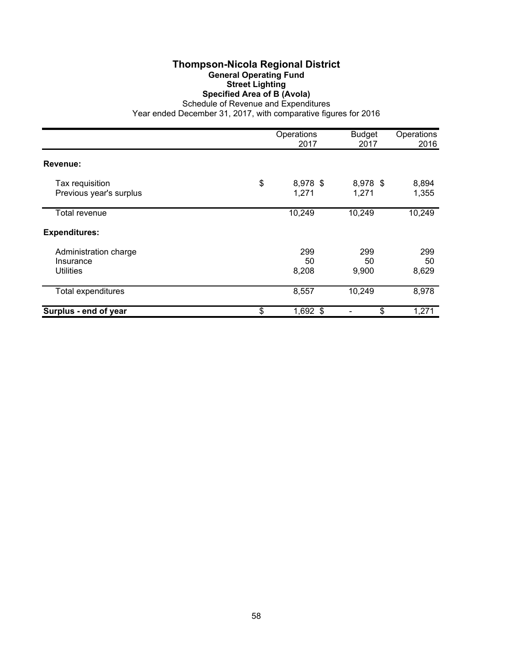## **Thompson-Nicola Regional District General Operating Fund Street Lighting Specified Area of B (Avola)**

Schedule of Revenue and Expenditures Year ended December 31, 2017, with comparative figures for 2016

|                                                        |    | <b>Budget</b><br>2017 | Operations<br>2016 |                    |
|--------------------------------------------------------|----|-----------------------|--------------------|--------------------|
| Revenue:                                               |    |                       |                    |                    |
| Tax requisition<br>Previous year's surplus             | \$ | 8,978 \$<br>1,271     | 8,978 \$<br>1,271  | 8,894<br>1,355     |
| Total revenue                                          |    | 10,249                | 10,249             | 10,249             |
| <b>Expenditures:</b>                                   |    |                       |                    |                    |
| Administration charge<br>Insurance<br><b>Utilities</b> |    | 299<br>50<br>8,208    | 299<br>50<br>9,900 | 299<br>50<br>8,629 |
| <b>Total expenditures</b>                              |    | 8,557                 | 10,249             | 8,978              |
| Surplus - end of year                                  | \$ | $1,692$ \$            | \$                 | 1,271              |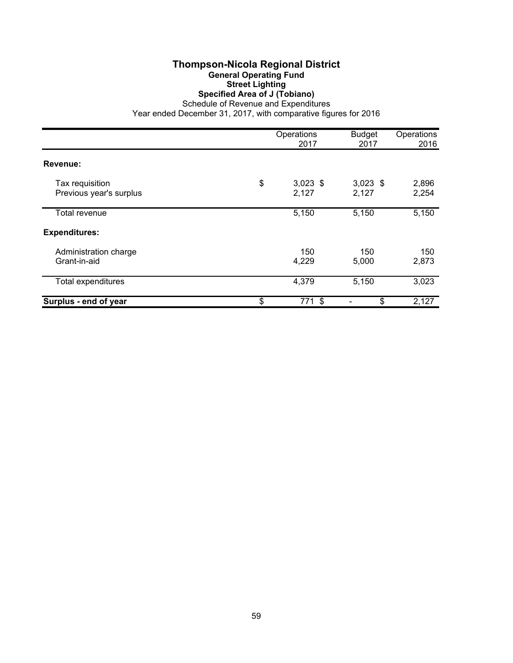## **Thompson-Nicola Regional District General Operating Fund Street Lighting Specified Area of J (Tobiano)**

Schedule of Revenue and Expenditures

|                                            | Operations<br>2017        | <b>Budget</b><br>2017 | Operations<br>2016 |  |
|--------------------------------------------|---------------------------|-----------------------|--------------------|--|
| Revenue:                                   |                           |                       |                    |  |
| Tax requisition<br>Previous year's surplus | \$<br>$3,023$ \$<br>2,127 | $3,023$ \$<br>2,127   | 2,896<br>2,254     |  |
| <b>Total revenue</b>                       | 5,150                     | 5,150                 | 5,150              |  |
| <b>Expenditures:</b>                       |                           |                       |                    |  |
| Administration charge<br>Grant-in-aid      | 150<br>4,229              | 150<br>5,000          | 150<br>2,873       |  |
| Total expenditures                         | 4,379                     | 5,150                 | 3,023              |  |
| Surplus - end of year                      | \$<br>771 \$              | \$                    | 2,127              |  |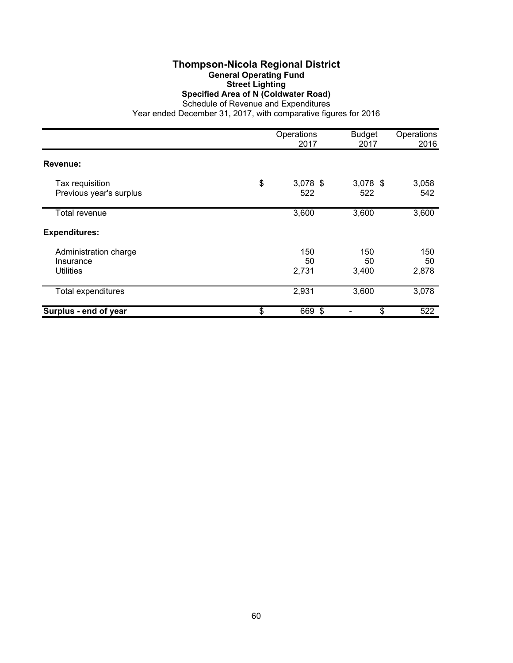#### **Thompson-Nicola Regional District General Operating Fund Street Lighting Specified Area of N (Coldwater Road)** Schedule of Revenue and Expenditures

|                                                 | Operations<br>2017      | <b>Budget</b><br>2017 | Operations<br>2016 |
|-------------------------------------------------|-------------------------|-----------------------|--------------------|
| Revenue:                                        |                         |                       |                    |
| Tax requisition<br>Previous year's surplus      | \$<br>$3,078$ \$<br>522 | $3,078$ \$<br>522     | 3,058<br>542       |
| Total revenue                                   | 3,600                   | 3,600                 | 3,600              |
| <b>Expenditures:</b>                            |                         |                       |                    |
| Administration charge<br>Insurance<br>Utilities | 150<br>50<br>2,731      | 150<br>50<br>3,400    | 150<br>50<br>2,878 |
| Total expenditures                              | 2,931                   | 3,600                 | 3,078              |
| Surplus - end of year                           | \$<br>669 \$            | \$                    | 522                |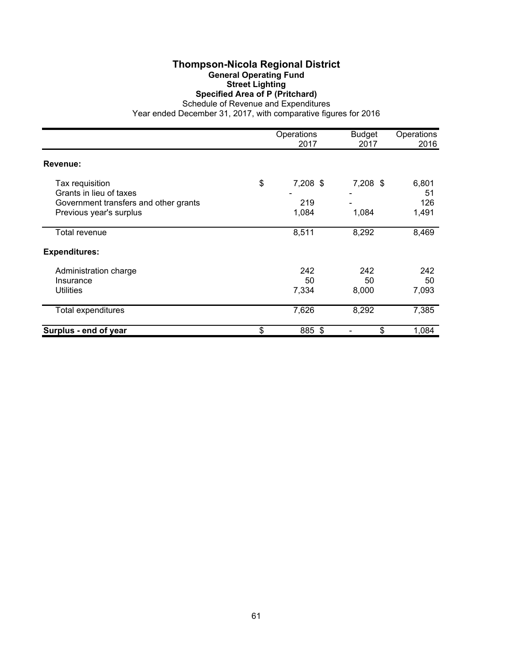### **Thompson-Nicola Regional District General Operating Fund Street Lighting Specified Area of P (Pritchard)**

Schedule of Revenue and Expenditures

|                                                                                     |    | Operations<br>2017 | <b>Budget</b><br>2017 | Operations<br>2016 |
|-------------------------------------------------------------------------------------|----|--------------------|-----------------------|--------------------|
| Revenue:                                                                            |    |                    |                       |                    |
| Tax requisition<br>Grants in lieu of taxes<br>Government transfers and other grants | \$ | 7,208 \$<br>219    | 7,208 \$              | 6,801<br>51<br>126 |
| Previous year's surplus<br>Total revenue                                            |    | 1,084<br>8,511     | 1,084<br>8,292        | 1,491<br>8,469     |
| <b>Expenditures:</b>                                                                |    |                    |                       |                    |
| Administration charge<br>Insurance<br><b>Utilities</b>                              |    | 242<br>50<br>7,334 | 242<br>50<br>8,000    | 242<br>50<br>7,093 |
| Total expenditures                                                                  |    | 7,626              | 8,292                 | 7,385              |
| Surplus - end of year                                                               | \$ | 885 \$             | \$                    | 1,084              |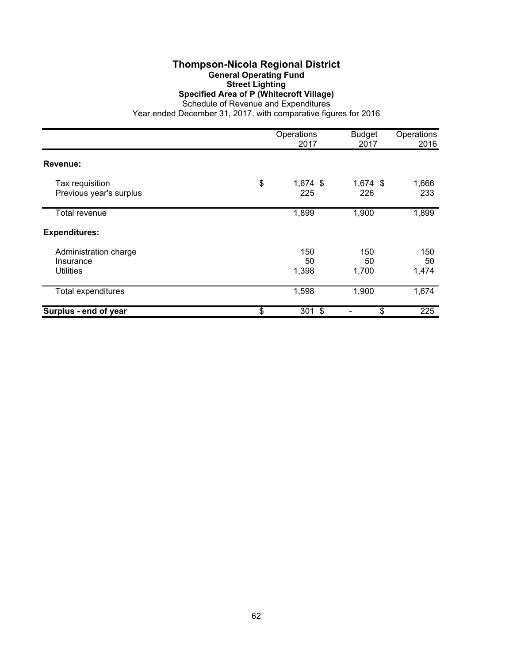## **Thompson-Nicola Regional District General Operating Fund Street Lighting Specified Area of P (Whitecroft Village)**

Schedule of Revenue and Expenditures Year ended December 31, 2017, with comparative figures for 2016

|                                                 | Operations<br>2017      | <b>Budget</b><br>2017 | Operations<br>2016 |  |
|-------------------------------------------------|-------------------------|-----------------------|--------------------|--|
| Revenue:                                        |                         |                       |                    |  |
| Tax requisition<br>Previous year's surplus      | \$<br>$1,674$ \$<br>225 | $1,674$ \$<br>226     | 1,666<br>233       |  |
| Total revenue                                   | 1,899                   | 1,900                 | 1,899              |  |
| <b>Expenditures:</b>                            |                         |                       |                    |  |
| Administration charge<br>Insurance<br>Utilities | 150<br>50<br>1,398      | 150<br>50<br>1,700    | 150<br>50<br>1,474 |  |
| Total expenditures                              | 1,598                   | 1,900                 | 1,674              |  |
| Surplus - end of year                           | \$<br>$301$ \$          | \$                    | 225                |  |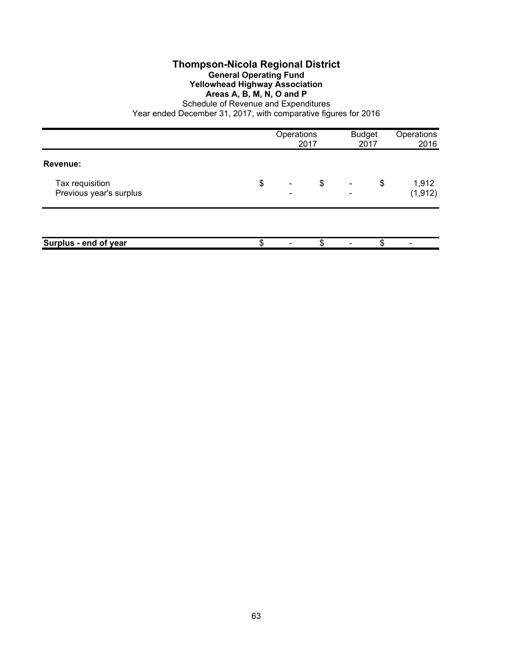#### **Thompson-Nicola Regional District General Operating Fund Yellowhead Highway Association Areas A, B, M, N, O and P**

Schedule of Revenue and Expenditures

|                                            | Operations                                       | 2017 | <b>Budget</b> | 2017 | Operations<br>2016 |
|--------------------------------------------|--------------------------------------------------|------|---------------|------|--------------------|
| Revenue:                                   |                                                  |      |               |      |                    |
| Tax requisition<br>Previous year's surplus | \$<br>$\overline{\phantom{a}}$<br>$\blacksquare$ | \$   | -             | \$   | 1,912<br>(1, 912)  |
|                                            |                                                  |      |               |      |                    |
| Surplus - end of year                      |                                                  | \$   |               | \$   | -                  |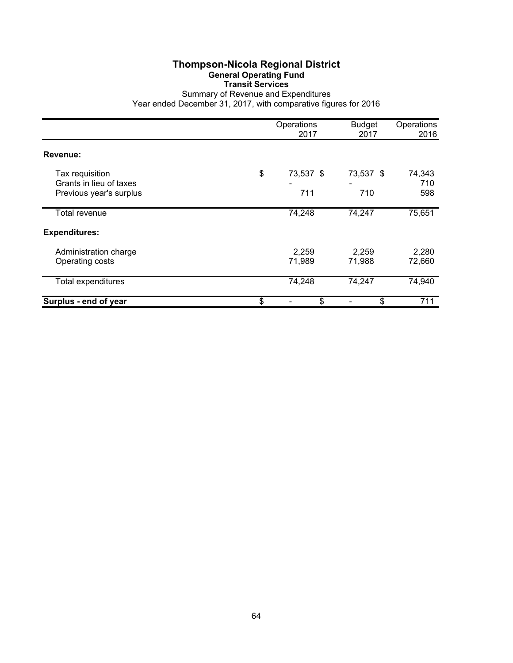## **Thompson-Nicola Regional District General Operating Fund Transit Services**

Summary of Revenue and Expenditures Year ended December 31, 2017, with comparative figures for 2016

|                                                                       | Operations<br>2017 |                  | <b>Budget</b><br>2017 | Operations<br>2016   |  |
|-----------------------------------------------------------------------|--------------------|------------------|-----------------------|----------------------|--|
| Revenue:                                                              |                    |                  |                       |                      |  |
| Tax requisition<br>Grants in lieu of taxes<br>Previous year's surplus | \$                 | 73,537 \$<br>711 | 73,537 \$<br>710      | 74,343<br>710<br>598 |  |
| Total revenue                                                         |                    | 74,248           | 74,247                | 75,651               |  |
| <b>Expenditures:</b>                                                  |                    |                  |                       |                      |  |
| Administration charge<br>Operating costs                              |                    | 2,259<br>71,989  | 2,259<br>71,988       | 2,280<br>72,660      |  |
| Total expenditures                                                    |                    | 74,248           | 74,247                | 74,940               |  |
| Surplus - end of year                                                 | \$                 | \$               | \$                    | 711                  |  |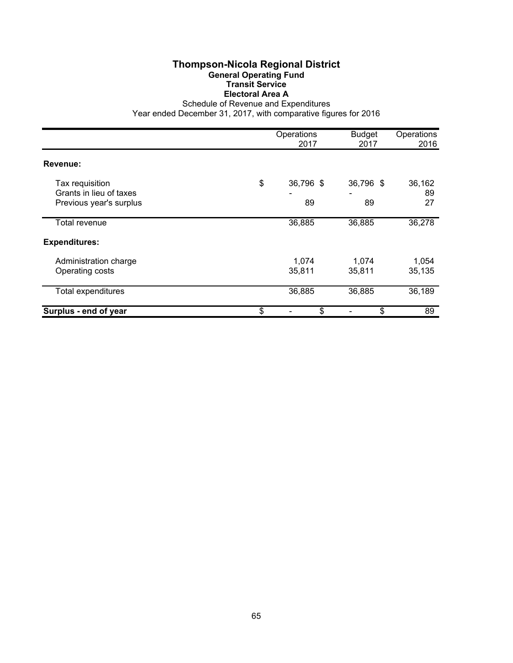## **Thompson-Nicola Regional District General Operating Fund Transit Service Electoral Area A**

Schedule of Revenue and Expenditures

|                                                                       | Operations<br>2017    |                 | Operations<br>2016 |  |
|-----------------------------------------------------------------------|-----------------------|-----------------|--------------------|--|
| Revenue:                                                              |                       |                 |                    |  |
| Tax requisition<br>Grants in lieu of taxes<br>Previous year's surplus | \$<br>36,796 \$<br>89 | 36,796 \$<br>89 | 36,162<br>89<br>27 |  |
| Total revenue                                                         | 36,885                | 36,885          | 36,278             |  |
| <b>Expenditures:</b>                                                  |                       |                 |                    |  |
| Administration charge<br>Operating costs                              | 1,074<br>35,811       | 1,074<br>35,811 | 1,054<br>35,135    |  |
| Total expenditures                                                    | 36,885                | 36,885          | 36,189             |  |
| Surplus - end of year                                                 | \$<br>\$              | \$              | 89                 |  |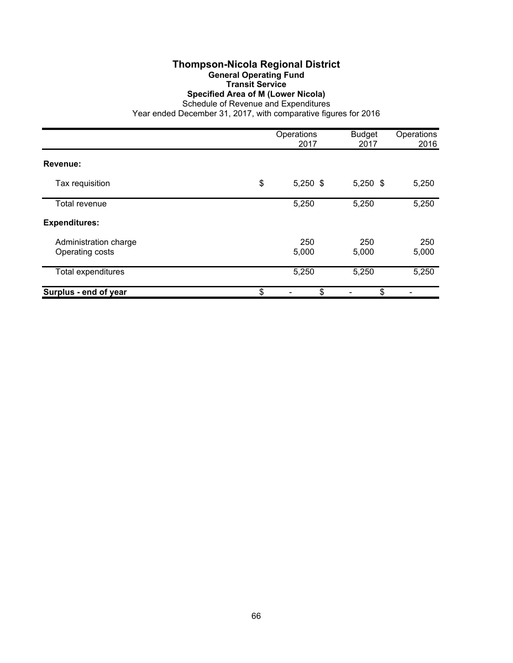### **Thompson-Nicola Regional District General Operating Fund Transit Service**

**Specified Area of M (Lower Nicola)**

Schedule of Revenue and Expenditures

|                                          | Operations<br>2017 | <b>Budget</b><br>2017 | Operations<br>2016 |  |
|------------------------------------------|--------------------|-----------------------|--------------------|--|
| Revenue:                                 |                    |                       |                    |  |
| Tax requisition                          | \$<br>$5,250$ \$   | $5,250$ \$            | 5,250              |  |
| Total revenue                            | 5,250              | 5,250                 | 5,250              |  |
| <b>Expenditures:</b>                     |                    |                       |                    |  |
| Administration charge<br>Operating costs | 250<br>5,000       | 250<br>5,000          | 250<br>5,000       |  |
| <b>Total expenditures</b>                | 5,250              | 5,250                 | 5,250              |  |
| Surplus - end of year                    | \$<br>\$           | \$                    |                    |  |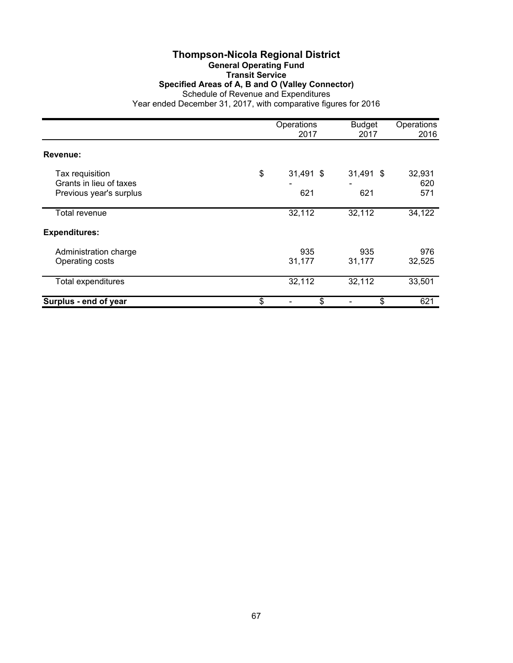#### **Thompson-Nicola Regional District General Operating Fund Transit Service Specified Areas of A, B and O (Valley Connector)** Schedule of Revenue and Expenditures Year ended December 31, 2017, with comparative figures for 2016

|                                                                       | Operations<br>2017       | <b>Budget</b><br>2017 | Operations<br>2016   |  |
|-----------------------------------------------------------------------|--------------------------|-----------------------|----------------------|--|
| Revenue:                                                              |                          |                       |                      |  |
| Tax requisition<br>Grants in lieu of taxes<br>Previous year's surplus | \$<br>$31,491$ \$<br>621 | $31,491$ \$<br>621    | 32,931<br>620<br>571 |  |
| Total revenue                                                         | 32,112                   | 32,112                | 34,122               |  |
| <b>Expenditures:</b>                                                  |                          |                       |                      |  |
| Administration charge<br>Operating costs                              | 935<br>31,177            | 935<br>31,177         | 976<br>32,525        |  |
| <b>Total expenditures</b>                                             | 32,112                   | 32,112                | 33,501               |  |
| Surplus - end of year                                                 | \$<br>\$                 | \$                    | 621                  |  |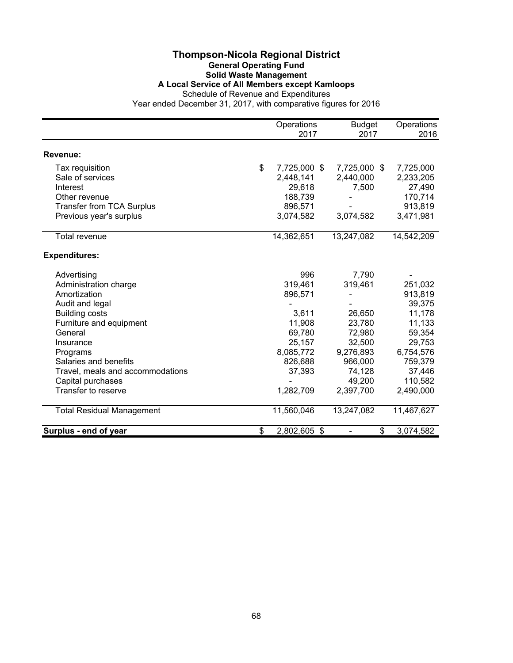#### **Thompson-Nicola Regional District General Operating Fund Solid Waste Management A Local Service of All Members except Kamloops** Schedule of Revenue and Expenditures

|                                  | Operations<br>2017 | <b>Budget</b><br>2017 |    | Operations<br>2016 |  |
|----------------------------------|--------------------|-----------------------|----|--------------------|--|
|                                  |                    |                       |    |                    |  |
| <b>Revenue:</b>                  |                    |                       |    |                    |  |
| Tax requisition                  | \$<br>7,725,000 \$ | 7,725,000 \$          |    | 7,725,000          |  |
| Sale of services                 | 2,448,141          | 2,440,000             |    | 2,233,205          |  |
| Interest                         | 29,618             | 7,500                 |    | 27,490             |  |
| Other revenue                    | 188,739            |                       |    | 170,714            |  |
| <b>Transfer from TCA Surplus</b> | 896,571            |                       |    | 913,819            |  |
| Previous year's surplus          | 3,074,582          | 3,074,582             |    | 3,471,981          |  |
| <b>Total revenue</b>             | 14,362,651         | 13,247,082            |    | 14,542,209         |  |
|                                  |                    |                       |    |                    |  |
| <b>Expenditures:</b>             |                    |                       |    |                    |  |
| Advertising                      | 996                | 7,790                 |    |                    |  |
| Administration charge            | 319,461            | 319,461               |    | 251,032            |  |
| Amortization                     | 896,571            |                       |    | 913,819            |  |
| Audit and legal                  |                    |                       |    | 39,375             |  |
| <b>Building costs</b>            | 3,611              | 26,650                |    | 11,178             |  |
| Furniture and equipment          | 11,908             | 23,780                |    | 11,133             |  |
| General                          | 69,780             | 72,980                |    | 59,354             |  |
| Insurance                        | 25,157             | 32,500                |    | 29,753             |  |
| Programs                         | 8,085,772          | 9,276,893             |    | 6,754,576          |  |
| Salaries and benefits            | 826,688            | 966,000               |    | 759,379            |  |
| Travel, meals and accommodations | 37,393             | 74,128                |    | 37,446             |  |
| Capital purchases                |                    | 49,200                |    | 110,582            |  |
| Transfer to reserve              | 1,282,709          | 2,397,700             |    | 2,490,000          |  |
| <b>Total Residual Management</b> | 11,560,046         | 13,247,082            |    | 11,467,627         |  |
| Surplus - end of year            | \$<br>2,802,605 \$ |                       | \$ | 3,074,582          |  |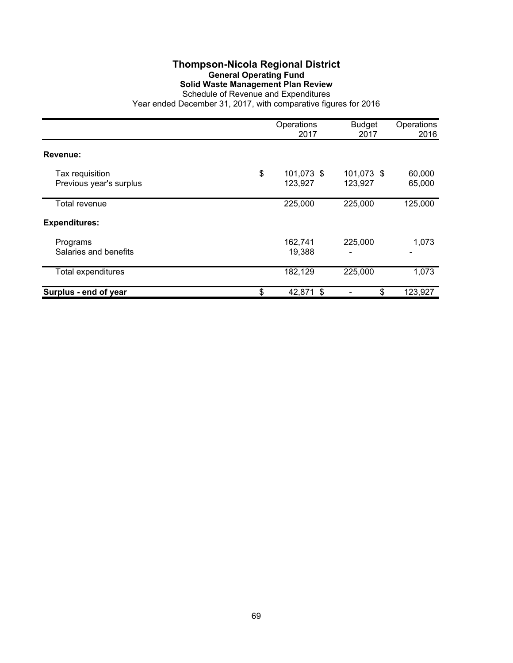# **Thompson-Nicola Regional District General Operating Fund Solid Waste Management Plan Review**

|                                            | Operations<br>2017          | <b>Budget</b><br>2017 | Operations<br>2016 |
|--------------------------------------------|-----------------------------|-----------------------|--------------------|
| Revenue:                                   |                             |                       |                    |
| Tax requisition<br>Previous year's surplus | \$<br>101,073 \$<br>123,927 | 101,073 \$<br>123,927 | 60,000<br>65,000   |
| Total revenue                              | 225,000                     | 225,000               | 125,000            |
| <b>Expenditures:</b>                       |                             |                       |                    |
| Programs<br>Salaries and benefits          | 162,741<br>19,388           | 225,000               | 1,073<br>-         |
| <b>Total expenditures</b>                  | 182,129                     | 225,000               | 1,073              |
| Surplus - end of year                      | \$<br>42,871 \$             | \$                    | 123,927            |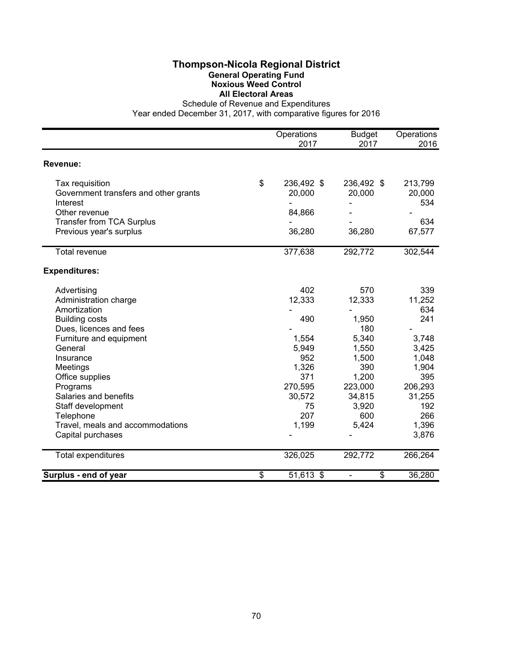## **Thompson-Nicola Regional District General Operating Fund Noxious Weed Control All Electoral Areas**

Schedule of Revenue and Expenditures

|                                       | Operations<br>2017 | <b>Budget</b><br>2017 | Operations<br>2016 |
|---------------------------------------|--------------------|-----------------------|--------------------|
| Revenue:                              |                    |                       |                    |
|                                       |                    |                       |                    |
| Tax requisition                       | \$<br>236,492 \$   | 236,492 \$            | 213,799            |
| Government transfers and other grants | 20,000             | 20,000                | 20,000             |
| Interest                              |                    |                       | 534                |
| Other revenue                         | 84,866             |                       |                    |
| <b>Transfer from TCA Surplus</b>      |                    |                       | 634                |
| Previous year's surplus               | 36,280             | 36,280                | 67,577             |
| <b>Total revenue</b>                  | 377,638            | 292,772               | 302,544            |
| <b>Expenditures:</b>                  |                    |                       |                    |
| Advertising                           | 402                | 570                   | 339                |
| Administration charge                 | 12,333             | 12,333                | 11,252             |
| Amortization                          |                    |                       | 634                |
| <b>Building costs</b>                 | 490                | 1,950                 | 241                |
| Dues, licences and fees               |                    | 180                   |                    |
| Furniture and equipment               | 1,554              | 5,340                 | 3,748              |
| General                               | 5,949              | 1,550                 | 3,425              |
| Insurance                             | 952                | 1,500                 | 1,048              |
| Meetings                              | 1,326              | 390                   | 1,904              |
| Office supplies                       | 371                | 1,200                 | 395                |
| Programs                              | 270,595            | 223,000               | 206,293            |
| Salaries and benefits                 | 30,572             | 34,815                | 31,255             |
| Staff development                     | 75                 | 3,920                 | 192                |
| Telephone                             | 207                | 600                   | 266                |
| Travel, meals and accommodations      | 1,199              | 5,424                 | 1,396              |
| Capital purchases                     |                    |                       | 3,876              |
| Total expenditures                    | 326,025            | 292,772               | 266,264            |
| Surplus - end of year                 | \$<br>51,613 \$    | \$                    | 36,280             |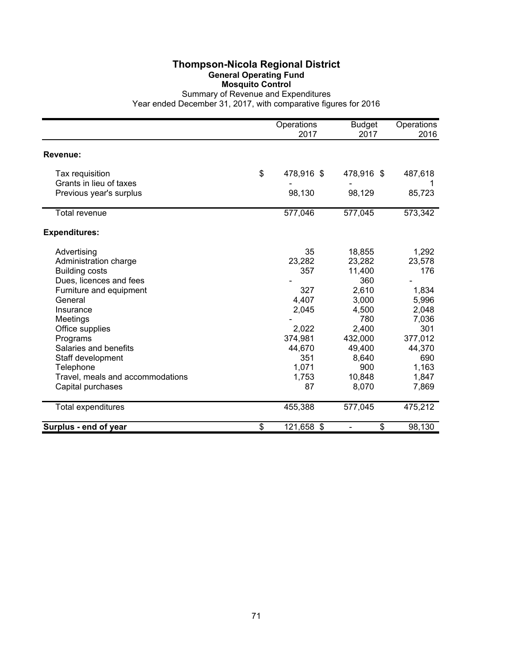## **Thompson-Nicola Regional District General Operating Fund Mosquito Control**

|                                                    | Operations<br>2017 | <b>Budget</b><br>2017 | Operations<br>2016 |
|----------------------------------------------------|--------------------|-----------------------|--------------------|
| Revenue:                                           |                    |                       |                    |
| Tax requisition                                    | \$<br>478,916 \$   | 478,916 \$            | 487,618            |
| Grants in lieu of taxes<br>Previous year's surplus | 98,130             | 98,129                | 85,723             |
| <b>Total revenue</b>                               | 577,046            | 577,045               | 573,342            |
| <b>Expenditures:</b>                               |                    |                       |                    |
| Advertising                                        | 35                 | 18,855                | 1,292              |
| Administration charge                              | 23,282             | 23,282                | 23,578             |
| <b>Building costs</b>                              | 357                | 11,400                | 176                |
| Dues, licences and fees                            |                    | 360                   |                    |
| Furniture and equipment                            | 327                | 2,610                 | 1,834              |
| General                                            | 4,407              | 3,000                 | 5,996              |
| Insurance                                          | 2,045              | 4,500                 | 2,048              |
| Meetings                                           |                    | 780                   | 7,036              |
| Office supplies                                    | 2,022              | 2,400                 | 301                |
| Programs                                           | 374,981            | 432,000               | 377,012            |
| Salaries and benefits                              | 44,670             | 49,400                | 44,370             |
| Staff development                                  | 351                | 8,640                 | 690                |
| Telephone                                          | 1,071              | 900                   | 1,163              |
| Travel, meals and accommodations                   | 1,753              | 10,848                | 1,847              |
| Capital purchases                                  | 87                 | 8,070                 | 7,869              |
| <b>Total expenditures</b>                          | 455,388            | 577,045               | 475,212            |
| Surplus - end of year                              | \$<br>121,658 \$   | \$                    | 98,130             |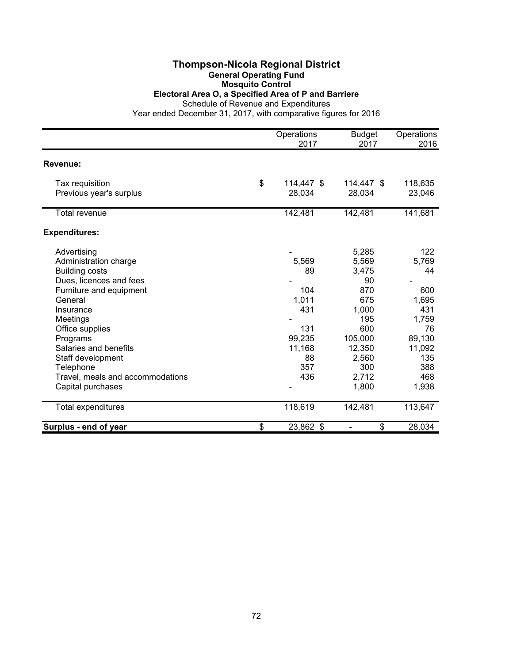## **Thompson-Nicola Regional District General Operating Fund**

## **Mosquito Control**

#### **Electoral Area O, a Specified Area of P and Barriere**

Schedule of Revenue and Expenditures

|                                  | Operations<br>2017 | <b>Budget</b><br>2017 | Operations<br>2016 |
|----------------------------------|--------------------|-----------------------|--------------------|
| <b>Revenue:</b>                  |                    |                       |                    |
|                                  |                    |                       |                    |
| Tax requisition                  | \$<br>114,447 \$   | 114,447 \$            | 118,635            |
| Previous year's surplus          | 28,034             | 28,034                | 23,046             |
| <b>Total revenue</b>             | 142,481            | 142,481               | 141,681            |
| <b>Expenditures:</b>             |                    |                       |                    |
| Advertising                      |                    | 5,285                 | 122                |
| Administration charge            | 5,569              | 5,569                 | 5,769              |
| <b>Building costs</b>            | 89                 | 3,475                 | 44                 |
| Dues, licences and fees          |                    | 90                    |                    |
| Furniture and equipment          | 104                | 870                   | 600                |
| General                          | 1,011              | 675                   | 1,695              |
| Insurance                        | 431                | 1,000                 | 431                |
| Meetings                         |                    | 195                   | 1,759              |
| Office supplies                  | 131                | 600                   | 76                 |
| Programs                         | 99,235             | 105,000               | 89,130             |
| Salaries and benefits            | 11,168             | 12,350                | 11,092             |
| Staff development                | 88                 | 2,560                 | 135                |
| Telephone                        | 357                | 300                   | 388                |
| Travel, meals and accommodations | 436                | 2,712                 | 468                |
| Capital purchases                |                    | 1,800                 | 1,938              |
| Total expenditures               | 118,619            | 142,481               | 113,647            |
| Surplus - end of year            | \$<br>23,862 \$    | \$                    | 28,034             |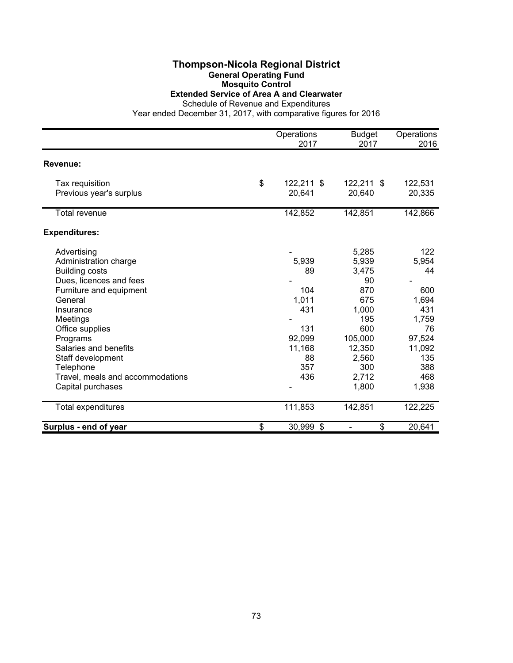## **Thompson-Nicola Regional District General Operating Fund Mosquito Control**

# **Extended Service of Area A and Clearwater**

Schedule of Revenue and Expenditures

|                                  | Operations       | <b>Budget</b> | Operations |
|----------------------------------|------------------|---------------|------------|
|                                  | 2017             | 2017          | 2016       |
| Revenue:                         |                  |               |            |
| Tax requisition                  | \$<br>122,211 \$ | 122,211 \$    | 122,531    |
| Previous year's surplus          | 20,641           | 20,640        | 20,335     |
| Total revenue                    | 142,852          | 142,851       | 142,866    |
| <b>Expenditures:</b>             |                  |               |            |
| Advertising                      |                  | 5,285         | 122        |
| Administration charge            | 5,939            | 5,939         | 5,954      |
| <b>Building costs</b>            | 89               | 3,475         | 44         |
| Dues, licences and fees          |                  | 90            |            |
| Furniture and equipment          | 104              | 870           | 600        |
| General                          | 1,011            | 675           | 1,694      |
| Insurance                        | 431              | 1,000         | 431        |
| Meetings                         |                  | 195           | 1,759      |
| Office supplies                  | 131              | 600           | 76         |
| Programs                         | 92,099           | 105,000       | 97,524     |
| Salaries and benefits            | 11,168           | 12,350        | 11,092     |
| Staff development                | 88               | 2,560         | 135        |
| Telephone                        | 357              | 300           | 388        |
| Travel, meals and accommodations | 436              | 2,712         | 468        |
| Capital purchases                |                  | 1,800         | 1,938      |
| Total expenditures               | 111,853          | 142,851       | 122,225    |
| Surplus - end of year            | \$<br>30,999 \$  | \$            | 20,641     |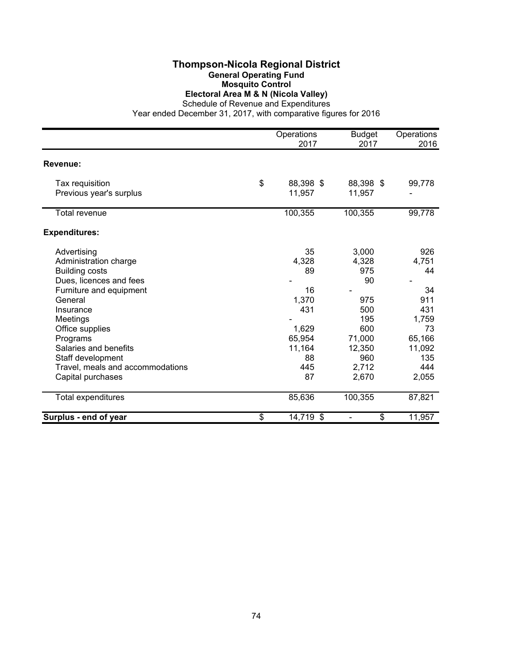## **Thompson-Nicola Regional District General Operating Fund Mosquito Control Electoral Area M & N (Nicola Valley)**

Schedule of Revenue and Expenditures

|                                            | Operations<br>2017        | <b>Budget</b><br>2017 | Operations<br>2016 |
|--------------------------------------------|---------------------------|-----------------------|--------------------|
|                                            |                           |                       |                    |
| Revenue:                                   |                           |                       |                    |
| Tax requisition<br>Previous year's surplus | \$<br>88,398 \$<br>11,957 | 88,398 \$<br>11,957   | 99,778             |
| Total revenue                              | 100,355                   | 100,355               | 99,778             |
| <b>Expenditures:</b>                       |                           |                       |                    |
| Advertising                                | 35                        | 3,000                 | 926                |
| Administration charge                      | 4,328                     | 4,328                 | 4,751              |
| <b>Building costs</b>                      | 89                        | 975                   | 44                 |
| Dues, licences and fees                    |                           | 90                    |                    |
| Furniture and equipment                    | 16                        |                       | 34                 |
| General                                    | 1,370                     | 975                   | 911                |
| Insurance                                  | 431                       | 500                   | 431                |
| Meetings                                   |                           | 195                   | 1,759              |
| Office supplies                            | 1,629                     | 600                   | 73                 |
| Programs                                   | 65,954                    | 71,000                | 65,166             |
| Salaries and benefits                      | 11,164                    | 12,350                | 11,092             |
| Staff development                          | 88                        | 960                   | 135                |
| Travel, meals and accommodations           | 445                       | 2,712                 | 444                |
| Capital purchases                          | 87                        | 2,670                 | 2,055              |
| Total expenditures                         | 85,636                    | 100,355               | 87,821             |
| Surplus - end of year                      | \$<br>14,719 \$           | \$                    | 11,957             |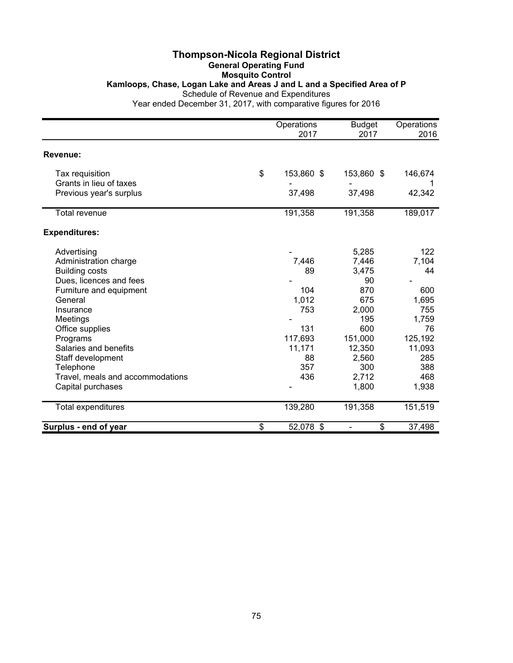## **Thompson-Nicola Regional District General Operating Fund Mosquito Control Kamloops, Chase, Logan Lake and Areas J and L and a Specified Area of P** Schedule of Revenue and Expenditures

|                                  | Operations<br>2017 | <b>Budget</b><br>2017 | Operations<br>2016 |
|----------------------------------|--------------------|-----------------------|--------------------|
|                                  |                    |                       |                    |
| Revenue:                         |                    |                       |                    |
| Tax requisition                  | \$<br>153,860 \$   | 153,860 \$            | 146,674            |
| Grants in lieu of taxes          |                    |                       |                    |
| Previous year's surplus          | 37,498             | 37,498                | 42,342             |
| <b>Total revenue</b>             | 191,358            | 191,358               | 189,017            |
| <b>Expenditures:</b>             |                    |                       |                    |
| Advertising                      |                    | 5,285                 | 122                |
| Administration charge            | 7,446              | 7,446                 | 7,104              |
| <b>Building costs</b>            | 89                 | 3,475                 | 44                 |
| Dues, licences and fees          |                    | 90                    |                    |
| Furniture and equipment          | 104                | 870                   | 600                |
| General                          | 1,012              | 675                   | 1,695              |
| Insurance                        | 753                | 2,000                 | 755                |
| Meetings                         |                    | 195                   | 1,759              |
| Office supplies                  | 131                | 600                   | 76                 |
| Programs                         | 117,693            | 151,000               | 125,192            |
| Salaries and benefits            | 11,171             | 12,350                | 11,093             |
| Staff development                | 88                 | 2,560                 | 285                |
| Telephone                        | 357                | 300                   | 388                |
| Travel, meals and accommodations | 436                | 2,712                 | 468                |
| Capital purchases                |                    | 1,800                 | 1,938              |
| Total expenditures               | 139,280            | 191,358               | 151,519            |
| Surplus - end of year            | \$<br>52,078 \$    | \$                    | 37,498             |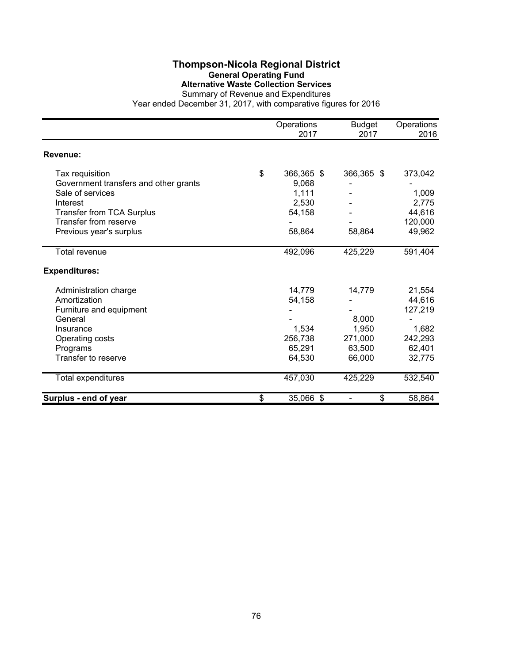# **Thompson-Nicola Regional District General Operating Fund Alternative Waste Collection Services**

|                                       | Operations<br>2017 | <b>Budget</b><br>2017 | Operations<br>2016 |
|---------------------------------------|--------------------|-----------------------|--------------------|
| Revenue:                              |                    |                       |                    |
| Tax requisition                       | \$<br>366,365 \$   | 366,365 \$            | 373,042            |
| Government transfers and other grants | 9,068              |                       |                    |
| Sale of services                      | 1,111              |                       | 1,009              |
| Interest                              | 2,530              |                       | 2,775              |
| <b>Transfer from TCA Surplus</b>      | 54,158             |                       | 44,616             |
| <b>Transfer from reserve</b>          |                    |                       | 120,000            |
| Previous year's surplus               | 58,864             | 58,864                | 49,962             |
| <b>Total revenue</b>                  | 492,096            | 425,229               | 591,404            |
| <b>Expenditures:</b>                  |                    |                       |                    |
| Administration charge                 | 14,779             | 14,779                | 21,554             |
| Amortization                          | 54,158             |                       | 44,616             |
| Furniture and equipment               |                    |                       | 127,219            |
| General                               |                    | 8,000                 |                    |
| Insurance                             | 1,534              | 1,950                 | 1,682              |
| Operating costs                       | 256,738            | 271,000               | 242,293            |
| Programs                              | 65,291             | 63,500                | 62,401             |
| Transfer to reserve                   | 64,530             | 66,000                | 32,775             |
| Total expenditures                    | 457,030            | 425,229               | 532,540            |
| Surplus - end of year                 | \$<br>35,066 \$    | \$                    | 58,864             |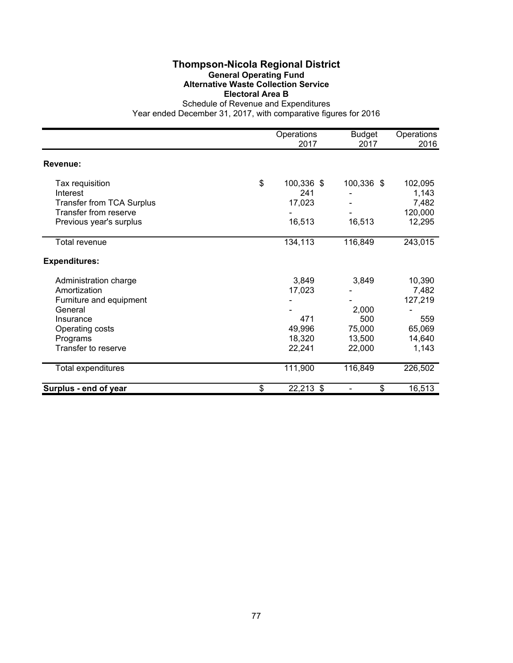## **Thompson-Nicola Regional District General Operating Fund Alternative Waste Collection Service Electoral Area B**

|                                  | Operations<br>2017 | <b>Budget</b><br>2017 | Operations<br>2016 |
|----------------------------------|--------------------|-----------------------|--------------------|
| Revenue:                         |                    |                       |                    |
| Tax requisition                  | \$<br>100,336 \$   | 100,336 \$            | 102,095            |
| Interest                         | 241                |                       | 1,143              |
| <b>Transfer from TCA Surplus</b> | 17,023             |                       | 7,482              |
| Transfer from reserve            |                    |                       | 120,000            |
| Previous year's surplus          | 16,513             | 16,513                | 12,295             |
| Total revenue                    | 134,113            | 116,849               | 243,015            |
| <b>Expenditures:</b>             |                    |                       |                    |
| Administration charge            | 3,849              | 3,849                 | 10,390             |
| Amortization                     | 17,023             |                       | 7,482              |
| Furniture and equipment          |                    |                       | 127,219            |
| General                          |                    | 2,000                 |                    |
| Insurance                        | 471                | 500                   | 559                |
| Operating costs                  | 49,996             | 75,000                | 65,069             |
| Programs                         | 18,320             | 13,500                | 14,640             |
| Transfer to reserve              | 22,241             | 22,000                | 1,143              |
| Total expenditures               | 111,900            | 116,849               | 226,502            |
| Surplus - end of year            | \$<br>22,213 \$    | \$                    | 16,513             |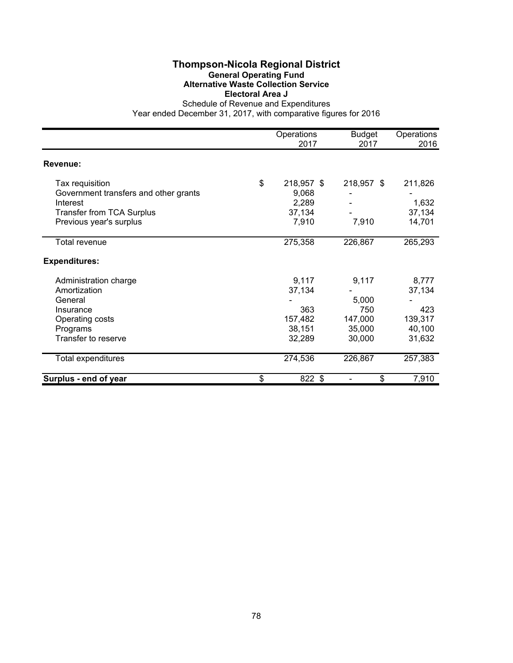## **Thompson-Nicola Regional District General Operating Fund Alternative Waste Collection Service Electoral Area J**

|                                       | Operations<br>2017 | <b>Budget</b><br>2017 | Operations<br>2016 |
|---------------------------------------|--------------------|-----------------------|--------------------|
| Revenue:                              |                    |                       |                    |
| Tax requisition                       | \$<br>218,957 \$   | 218,957 \$            | 211,826            |
| Government transfers and other grants | 9,068              |                       |                    |
| Interest                              | 2,289              |                       | 1,632              |
| <b>Transfer from TCA Surplus</b>      | 37,134             |                       | 37,134             |
| Previous year's surplus               | 7,910              | 7,910                 | 14,701             |
| Total revenue                         | 275,358            | 226,867               | 265,293            |
| <b>Expenditures:</b>                  |                    |                       |                    |
| Administration charge                 | 9,117              | 9,117                 | 8,777              |
| Amortization                          | 37,134             |                       | 37,134             |
| General                               |                    | 5,000                 |                    |
| Insurance                             | 363                | 750                   | 423                |
| Operating costs                       | 157,482            | 147,000               | 139,317            |
| Programs                              | 38,151             | 35,000                | 40,100             |
| Transfer to reserve                   | 32,289             | 30,000                | 31,632             |
| Total expenditures                    | 274,536            | 226,867               | 257,383            |
| Surplus - end of year                 | \$<br>822 \$       | \$                    | 7,910              |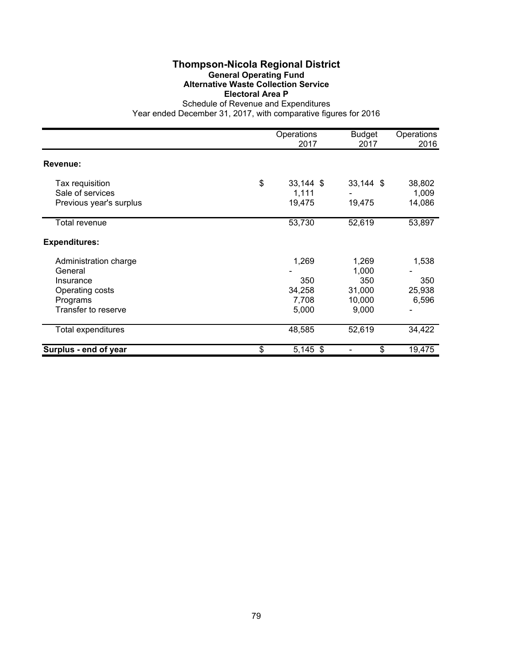## **Thompson-Nicola Regional District General Operating Fund Alternative Waste Collection Service Electoral Area P**

|                         | Operations<br>2017 | <b>Budget</b><br>2017 | Operations<br>2016 |
|-------------------------|--------------------|-----------------------|--------------------|
| Revenue:                |                    |                       |                    |
| Tax requisition         | \$<br>33,144 \$    | $33,144$ \$           | 38,802             |
| Sale of services        | 1,111              |                       | 1,009              |
| Previous year's surplus | 19,475             | 19,475                | 14,086             |
| Total revenue           | 53,730             | 52,619                | 53,897             |
| <b>Expenditures:</b>    |                    |                       |                    |
| Administration charge   | 1,269              | 1,269                 | 1,538              |
| General                 |                    | 1,000                 |                    |
| Insurance               | 350                | 350                   | 350                |
| Operating costs         | 34,258             | 31,000                | 25,938             |
| Programs                | 7,708              | 10,000                | 6,596              |
| Transfer to reserve     | 5,000              | 9,000                 |                    |
| Total expenditures      | 48,585             | 52,619                | 34,422             |
| Surplus - end of year   | \$<br>$5,145$ \$   | \$                    | 19,475             |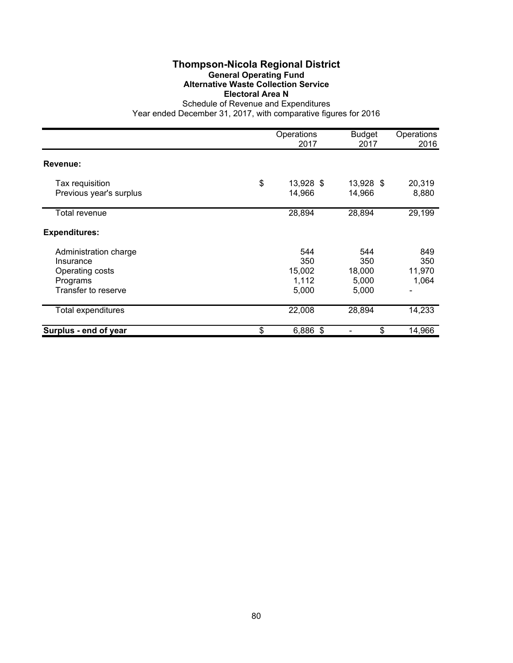## **Thompson-Nicola Regional District General Operating Fund Alternative Waste Collection Service Electoral Area N**

|                                                                                          | Operations<br>2017                     | <b>Budget</b><br>2017                  | Operations<br>2016                              |
|------------------------------------------------------------------------------------------|----------------------------------------|----------------------------------------|-------------------------------------------------|
| Revenue:                                                                                 |                                        |                                        |                                                 |
| Tax requisition<br>Previous year's surplus                                               | \$<br>13,928 \$<br>14,966              | 13,928 \$<br>14,966                    | 20,319<br>8,880                                 |
| Total revenue                                                                            | 28,894                                 | 28,894                                 | 29,199                                          |
| <b>Expenditures:</b>                                                                     |                                        |                                        |                                                 |
| Administration charge<br>Insurance<br>Operating costs<br>Programs<br>Transfer to reserve | 544<br>350<br>15,002<br>1,112<br>5,000 | 544<br>350<br>18,000<br>5,000<br>5,000 | 849<br>350<br>11,970<br>1,064<br>$\blacksquare$ |
| <b>Total expenditures</b>                                                                | 22,008                                 | 28,894                                 | 14,233                                          |
| Surplus - end of year                                                                    | \$<br>6,886 \$                         | \$                                     | 14,966                                          |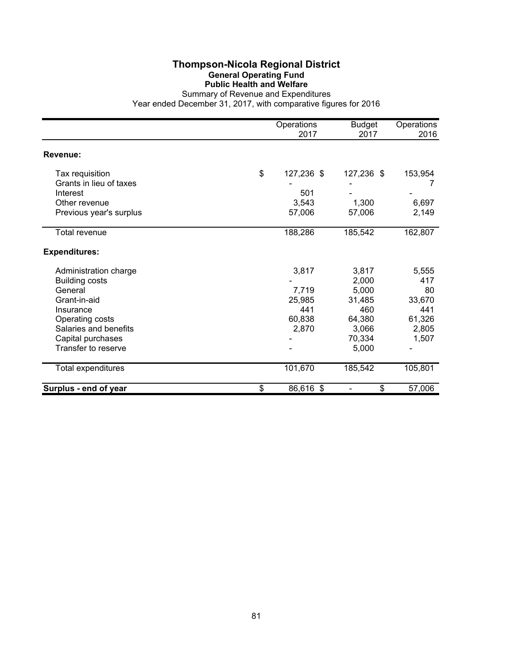## **Thompson-Nicola Regional District General Operating Fund Public Health and Welfare**

|                         | Operations<br>2017 | <b>Budget</b><br>2017 | Operations<br>2016 |
|-------------------------|--------------------|-----------------------|--------------------|
| Revenue:                |                    |                       |                    |
| Tax requisition         | \$<br>127,236 \$   | 127,236 \$            | 153,954            |
| Grants in lieu of taxes |                    |                       |                    |
| Interest                | 501                |                       |                    |
| Other revenue           | 3,543              | 1,300                 | 6,697              |
| Previous year's surplus | 57,006             | 57,006                | 2,149              |
| <b>Total revenue</b>    | 188,286            | 185,542               | 162,807            |
| <b>Expenditures:</b>    |                    |                       |                    |
| Administration charge   | 3,817              | 3,817                 | 5,555              |
| <b>Building costs</b>   |                    | 2,000                 | 417                |
| General                 | 7,719              | 5,000                 | 80                 |
| Grant-in-aid            | 25,985             | 31,485                | 33,670             |
| Insurance               | 441                | 460                   | 441                |
| Operating costs         | 60,838             | 64,380                | 61,326             |
| Salaries and benefits   | 2,870              | 3,066                 | 2,805              |
| Capital purchases       |                    | 70,334                | 1,507              |
| Transfer to reserve     |                    | 5,000                 |                    |
| Total expenditures      | 101,670            | 185,542               | 105,801            |
| Surplus - end of year   | \$<br>86,616 \$    | \$                    | 57,006             |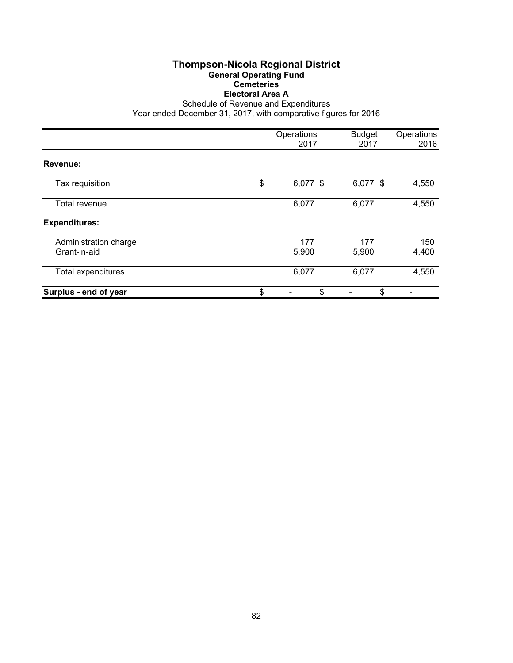## **Thompson-Nicola Regional District General Operating Fund Cemeteries Electoral Area A**

Schedule of Revenue and Expenditures

|                                       | Operations<br>2017 | <b>Budget</b><br>2017 | Operations<br>2016 |
|---------------------------------------|--------------------|-----------------------|--------------------|
|                                       |                    |                       |                    |
| Revenue:                              |                    |                       |                    |
| Tax requisition                       | \$<br>6,077 \$     | 6,077 \$              | 4,550              |
| Total revenue                         | 6,077              | 6,077                 | 4,550              |
| <b>Expenditures:</b>                  |                    |                       |                    |
| Administration charge<br>Grant-in-aid | 177<br>5,900       | 177<br>5,900          | 150<br>4,400       |
| Total expenditures                    | 6,077              | 6,077                 | 4,550              |
| Surplus - end of year                 | \$<br>\$           | \$                    |                    |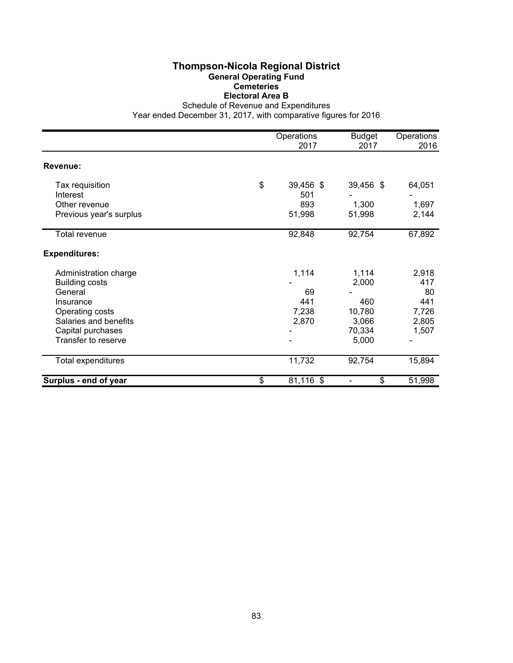## **Thompson-Nicola Regional District General Operating Fund Cemeteries Electoral Area B**

Schedule of Revenue and Expenditures

|                         | Operations<br>2017 | <b>Budget</b><br>2017 | Operations<br>2016 |
|-------------------------|--------------------|-----------------------|--------------------|
| Revenue:                |                    |                       |                    |
| Tax requisition         | \$<br>39,456 \$    | 39,456 \$             | 64,051             |
| Interest                | 501                |                       |                    |
| Other revenue           | 893                | 1,300                 | 1,697              |
| Previous year's surplus | 51,998             | 51,998                | 2,144              |
| Total revenue           | 92,848             | 92,754                | 67,892             |
| <b>Expenditures:</b>    |                    |                       |                    |
| Administration charge   | 1,114              | 1,114                 | 2,918              |
| <b>Building costs</b>   |                    | 2,000                 | 417                |
| General                 | 69                 |                       | 80                 |
| Insurance               | 441                | 460                   | 441                |
| Operating costs         | 7,238              | 10,780                | 7,726              |
| Salaries and benefits   | 2,870              | 3,066                 | 2,805              |
| Capital purchases       |                    | 70,334                | 1,507              |
| Transfer to reserve     |                    | 5,000                 |                    |
| Total expenditures      | 11,732             | 92,754                | 15,894             |
| Surplus - end of year   | \$<br>81,116 \$    | \$                    | 51,998             |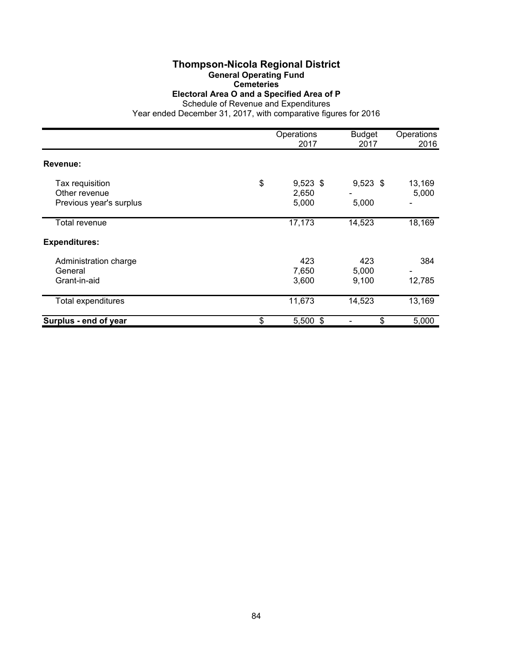# **Thompson-Nicola Regional District**

**General Operating Fund**

**Cemeteries**

**Electoral Area O and a Specified Area of P**

|                                                             | Operations<br>2017                 | <b>Budget</b><br>2017 | Operations<br>2016 |
|-------------------------------------------------------------|------------------------------------|-----------------------|--------------------|
| Revenue:                                                    |                                    |                       |                    |
| Tax requisition<br>Other revenue<br>Previous year's surplus | \$<br>$9,523$ \$<br>2,650<br>5,000 | $9,523$ \$<br>5,000   | 13,169<br>5,000    |
| Total revenue                                               | 17,173                             | 14,523                | 18,169             |
| <b>Expenditures:</b>                                        |                                    |                       |                    |
| Administration charge<br>General<br>Grant-in-aid            | 423<br>7,650<br>3,600              | 423<br>5,000<br>9,100 | 384<br>12,785      |
| Total expenditures                                          | 11,673                             | 14,523                | 13,169             |
| Surplus - end of year                                       | \$<br>$5,500$ \$                   | \$                    | 5,000              |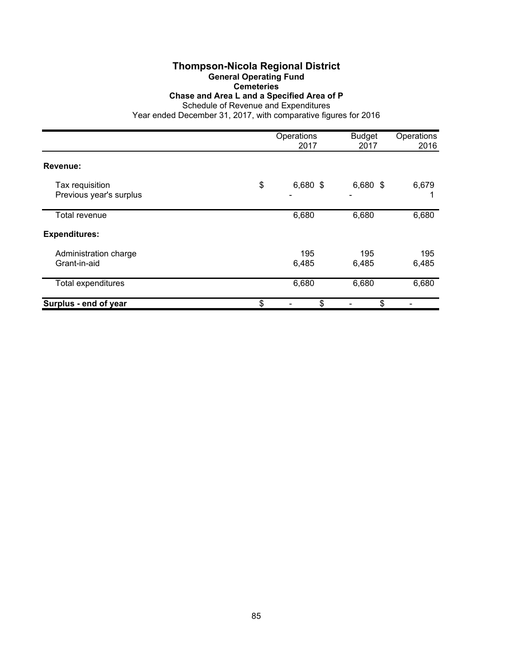## **Thompson-Nicola Regional District General Operating Fund Cemeteries**

**Chase and Area L and a Specified Area of P**

Schedule of Revenue and Expenditures

|                                            | Operations<br>2017  | <b>Budget</b><br>2017 | Operations<br>2016 |
|--------------------------------------------|---------------------|-----------------------|--------------------|
| Revenue:                                   |                     |                       |                    |
| Tax requisition<br>Previous year's surplus | \$<br>6,680 \$<br>٠ | 6,680 \$              | 6,679              |
| <b>Total revenue</b>                       | 6,680               | 6,680                 | 6,680              |
| <b>Expenditures:</b>                       |                     |                       |                    |
| Administration charge<br>Grant-in-aid      | 195<br>6,485        | 195<br>6,485          | 195<br>6,485       |
| Total expenditures                         | 6,680               | 6,680                 | 6,680              |
| Surplus - end of year                      | \$<br>\$            | \$                    |                    |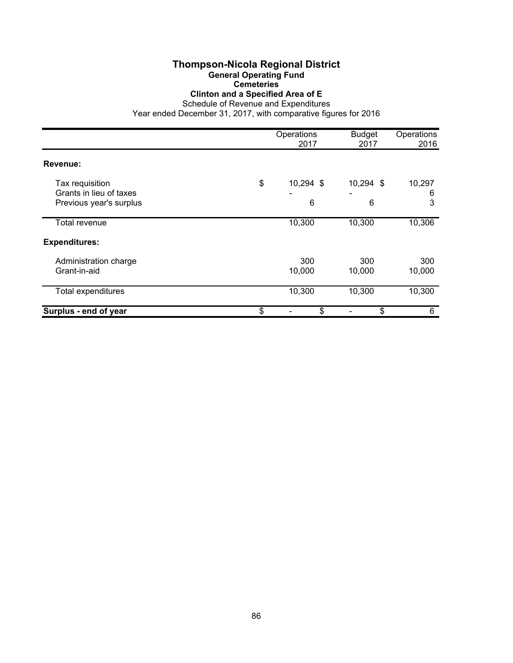## **Thompson-Nicola Regional District General Operating Fund**

**Cemeteries**

**Clinton and a Specified Area of E**

Schedule of Revenue and Expenditures

|                                                                       | Operations<br>2017   | <b>Budget</b><br>2017 | Operations<br>2016 |
|-----------------------------------------------------------------------|----------------------|-----------------------|--------------------|
| Revenue:                                                              |                      |                       |                    |
| Tax requisition<br>Grants in lieu of taxes<br>Previous year's surplus | \$<br>10,294 \$<br>6 | 10,294 \$<br>6        | 10,297<br>6<br>3   |
| Total revenue                                                         | 10,300               | 10,300                | 10,306             |
| <b>Expenditures:</b>                                                  |                      |                       |                    |
| Administration charge<br>Grant-in-aid                                 | 300<br>10,000        | 300<br>10,000         | 300<br>10,000      |
| Total expenditures                                                    | 10,300               | 10,300                | 10,300             |
| Surplus - end of year                                                 | \$<br>\$             | \$                    | 6                  |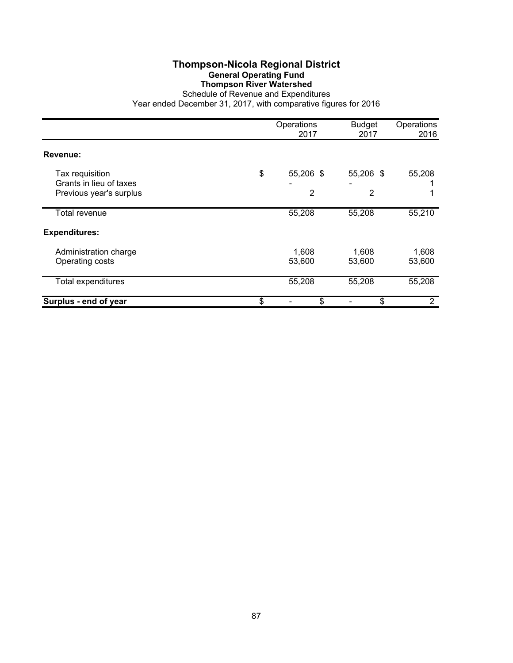## **Thompson-Nicola Regional District General Operating Fund Thompson River Watershed**

|                                            | Operations<br>2017 | <b>Budget</b><br>2017 | Operations<br>2016 |
|--------------------------------------------|--------------------|-----------------------|--------------------|
| Revenue:                                   |                    |                       |                    |
| Tax requisition<br>Grants in lieu of taxes | \$<br>55,206 \$    | 55,206 \$             | 55,208             |
| Previous year's surplus                    | 2                  | 2                     |                    |
| Total revenue                              | 55,208             | 55,208                | 55,210             |
| <b>Expenditures:</b>                       |                    |                       |                    |
| Administration charge<br>Operating costs   | 1,608<br>53,600    | 1,608<br>53,600       | 1,608<br>53,600    |
| <b>Total expenditures</b>                  | 55,208             | 55,208                | 55,208             |
| Surplus - end of year                      | \$<br>\$           | \$                    | 2                  |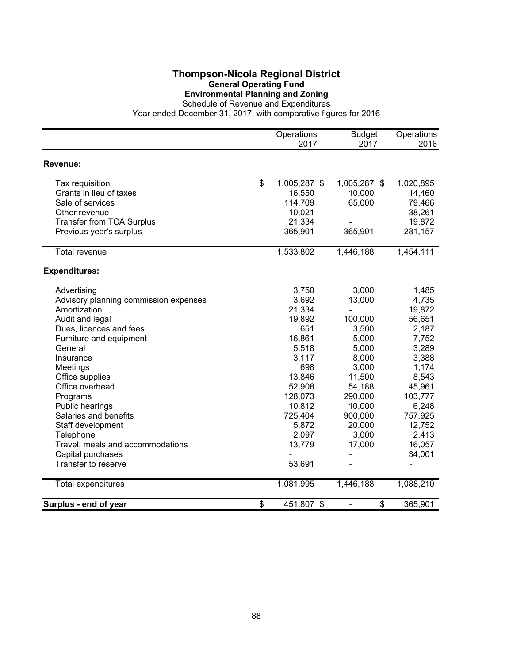## **Thompson-Nicola Regional District General Operating Fund Environmental Planning and Zoning**

Schedule of Revenue and Expenditures

|                                       | Operations<br>2017 | <b>Budget</b><br>2017 | Operations<br>2016 |
|---------------------------------------|--------------------|-----------------------|--------------------|
|                                       |                    |                       |                    |
| Revenue:                              |                    |                       |                    |
| Tax requisition                       | \$<br>1,005,287 \$ | 1,005,287 \$          | 1,020,895          |
| Grants in lieu of taxes               | 16,550             | 10,000                | 14,460             |
| Sale of services                      | 114,709            | 65,000                | 79,466             |
| Other revenue                         | 10,021             |                       | 38,261             |
| <b>Transfer from TCA Surplus</b>      | 21,334             |                       | 19,872             |
| Previous year's surplus               | 365,901            | 365,901               | 281,157            |
| <b>Total revenue</b>                  | 1,533,802          | 1,446,188             | 1,454,111          |
| <b>Expenditures:</b>                  |                    |                       |                    |
| Advertising                           | 3,750              | 3,000                 | 1,485              |
| Advisory planning commission expenses | 3,692              | 13,000                | 4,735              |
| Amortization                          | 21,334             |                       | 19,872             |
| Audit and legal                       | 19,892             | 100,000               | 56,651             |
| Dues, licences and fees               | 651                | 3,500                 | 2,187              |
| Furniture and equipment               | 16,861             | 5,000                 | 7,752              |
| General                               | 5,518              | 5,000                 | 3,289              |
| Insurance                             | 3,117              | 8,000                 | 3,388              |
| Meetings                              | 698                | 3,000                 | 1,174              |
| Office supplies                       | 13,846             | 11,500                | 8,543              |
| Office overhead                       | 52,908             | 54,188                | 45,961             |
| Programs                              | 128,073            | 290,000               | 103,777            |
| Public hearings                       | 10,812             | 10,000                | 6,248              |
| Salaries and benefits                 | 725,404            | 900,000               | 757,925            |
| Staff development                     | 5,872              | 20,000                | 12,752             |
| Telephone                             | 2,097              | 3,000                 | 2,413              |
| Travel, meals and accommodations      | 13,779             | 17,000                | 16,057             |
| Capital purchases                     |                    |                       | 34,001             |
| Transfer to reserve                   | 53,691             |                       |                    |
| Total expenditures                    | 1,081,995          | 1,446,188             | 1,088,210          |
| Surplus - end of year                 | \$<br>451,807 \$   | \$<br>÷,              | 365,901            |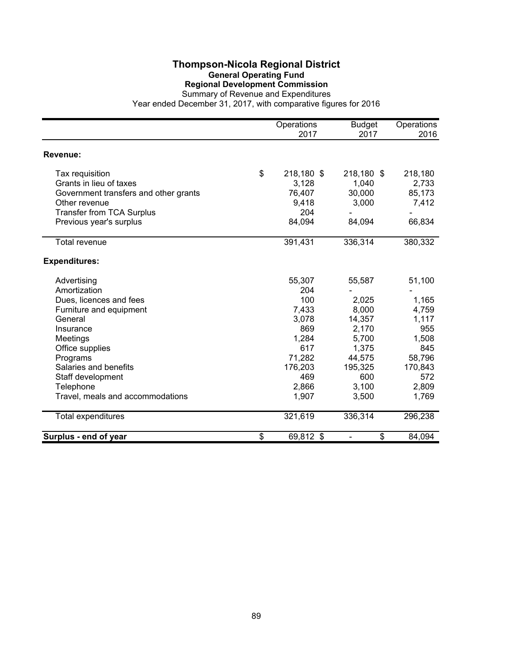## **Thompson-Nicola Regional District General Operating Fund Regional Development Commission**

|                                                                                                                                                                                                                                                     | Operations<br>2017                                                                                          | <b>Budget</b><br>2017                                                                                       | Operations<br>2016                                                                                     |
|-----------------------------------------------------------------------------------------------------------------------------------------------------------------------------------------------------------------------------------------------------|-------------------------------------------------------------------------------------------------------------|-------------------------------------------------------------------------------------------------------------|--------------------------------------------------------------------------------------------------------|
| <b>Revenue:</b>                                                                                                                                                                                                                                     |                                                                                                             |                                                                                                             |                                                                                                        |
| Tax requisition<br>Grants in lieu of taxes<br>Government transfers and other grants<br>Other revenue<br><b>Transfer from TCA Surplus</b><br>Previous year's surplus                                                                                 | \$<br>218,180 \$<br>3,128<br>76,407<br>9,418<br>204<br>84,094                                               | 218,180 \$<br>1,040<br>30,000<br>3,000<br>84,094                                                            | 218,180<br>2,733<br>85,173<br>7,412<br>66,834                                                          |
| <b>Total revenue</b>                                                                                                                                                                                                                                | 391,431                                                                                                     | 336,314                                                                                                     | 380,332                                                                                                |
| <b>Expenditures:</b>                                                                                                                                                                                                                                |                                                                                                             |                                                                                                             |                                                                                                        |
| Advertising<br>Amortization<br>Dues, licences and fees<br>Furniture and equipment<br>General<br>Insurance<br>Meetings<br>Office supplies<br>Programs<br>Salaries and benefits<br>Staff development<br>Telephone<br>Travel, meals and accommodations | 55,307<br>204<br>100<br>7,433<br>3,078<br>869<br>1,284<br>617<br>71,282<br>176,203<br>469<br>2,866<br>1,907 | 55,587<br>2,025<br>8,000<br>14,357<br>2,170<br>5,700<br>1,375<br>44,575<br>195,325<br>600<br>3,100<br>3,500 | 51,100<br>1,165<br>4,759<br>1,117<br>955<br>1,508<br>845<br>58,796<br>170,843<br>572<br>2,809<br>1,769 |
| Total expenditures                                                                                                                                                                                                                                  | 321,619                                                                                                     | 336,314                                                                                                     | 296,238                                                                                                |
| Surplus - end of year                                                                                                                                                                                                                               | \$<br>69,812 \$                                                                                             | \$                                                                                                          | 84,094                                                                                                 |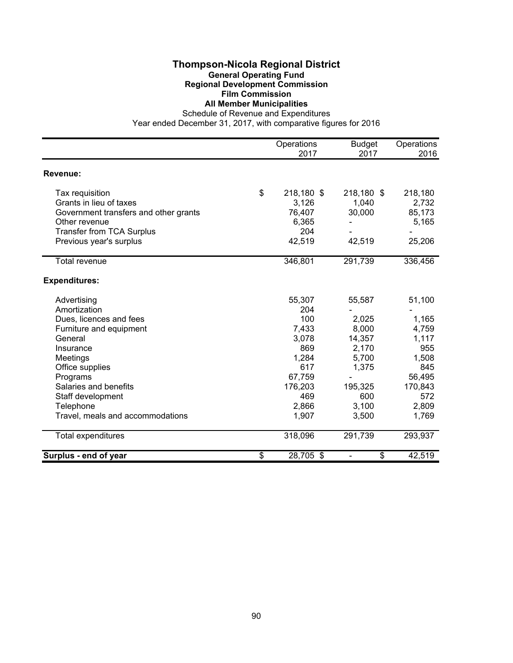#### **Thompson-Nicola Regional District General Operating Fund Regional Development Commission Film Commission**

## **All Member Municipalities**

Schedule of Revenue and Expenditures

|                                       | Operations       | <b>Budget</b> | Operations |
|---------------------------------------|------------------|---------------|------------|
|                                       | 2017             | 2017          | 2016       |
| <b>Revenue:</b>                       |                  |               |            |
| Tax requisition                       | \$<br>218,180 \$ | 218,180 \$    | 218,180    |
| Grants in lieu of taxes               | 3,126            | 1,040         | 2,732      |
| Government transfers and other grants | 76,407           | 30,000        | 85,173     |
| Other revenue                         | 6,365            |               | 5,165      |
| <b>Transfer from TCA Surplus</b>      | 204              |               |            |
| Previous year's surplus               | 42,519           | 42,519        | 25,206     |
| Total revenue                         | 346,801          | 291,739       | 336,456    |
| <b>Expenditures:</b>                  |                  |               |            |
| Advertising                           | 55,307           | 55,587        | 51,100     |
| Amortization                          | 204              |               |            |
| Dues, licences and fees               | 100              | 2,025         | 1,165      |
| Furniture and equipment               | 7,433            | 8,000         | 4,759      |
| General                               | 3,078            | 14,357        | 1,117      |
| Insurance                             | 869              | 2,170         | 955        |
| Meetings                              | 1,284            | 5,700         | 1,508      |
| Office supplies                       | 617              | 1,375         | 845        |
| Programs                              | 67,759           |               | 56,495     |
| Salaries and benefits                 | 176,203          | 195,325       | 170,843    |
| Staff development                     | 469              | 600           | 572        |
| Telephone                             | 2,866            | 3,100         | 2,809      |
| Travel, meals and accommodations      | 1,907            | 3,500         | 1,769      |
| Total expenditures                    | 318,096          | 291,739       | 293,937    |
| Surplus - end of year                 | \$<br>28,705 \$  | \$            | 42,519     |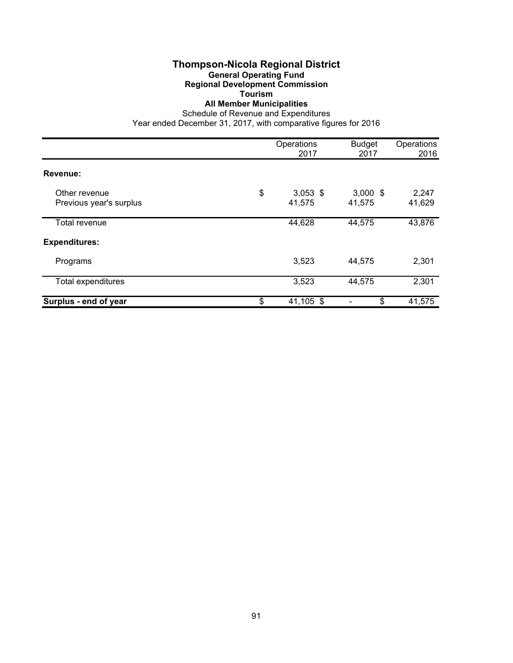# **Thompson-Nicola Regional District**

#### **General Operating Fund Regional Development Commission**

**Tourism**

#### **All Member Municipalities**

Schedule of Revenue and Expenditures

|                                          | Operations<br>2017         | <b>Budget</b><br>2017 | Operations<br>2016 |
|------------------------------------------|----------------------------|-----------------------|--------------------|
| Revenue:                                 |                            |                       |                    |
| Other revenue<br>Previous year's surplus | \$<br>$3,053$ \$<br>41,575 | $3,000$ \$<br>41,575  | 2,247<br>41,629    |
| Total revenue                            | 44,628                     | 44,575                | 43,876             |
| <b>Expenditures:</b>                     |                            |                       |                    |
| Programs                                 | 3,523                      | 44,575                | 2,301              |
| <b>Total expenditures</b>                | 3,523                      | 44,575                | 2,301              |
| Surplus - end of year                    | \$<br>41,105 \$            | \$                    | 41,575             |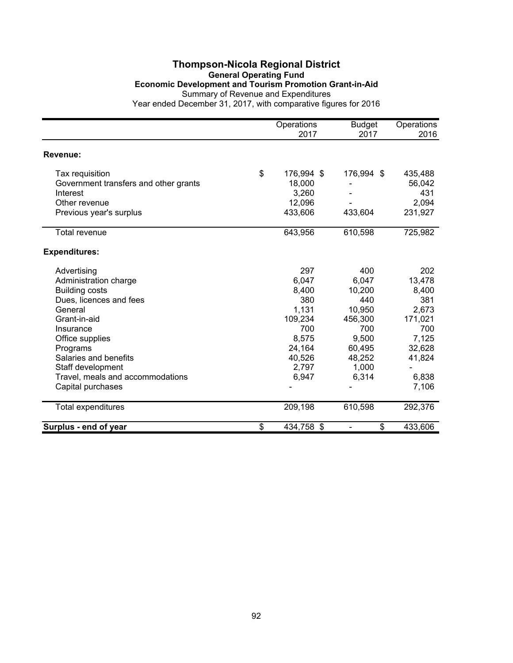# **Thompson-Nicola Regional District General Operating Fund Economic Development and Tourism Promotion Grant-in-Aid** Summary of Revenue and Expenditures

|                                       | Operations<br>2017 | <b>Budget</b><br>2017          | Operations<br>2016 |
|---------------------------------------|--------------------|--------------------------------|--------------------|
| Revenue:                              |                    |                                |                    |
| Tax requisition                       | \$<br>176,994 \$   | 176,994 \$                     | 435,488            |
| Government transfers and other grants | 18,000             |                                | 56,042             |
| Interest                              | 3,260              |                                | 431                |
| Other revenue                         | 12,096             |                                | 2,094              |
| Previous year's surplus               | 433,606            | 433,604                        | 231,927            |
| Total revenue                         | 643,956            | 610,598                        | 725,982            |
| <b>Expenditures:</b>                  |                    |                                |                    |
| Advertising                           | 297                | 400                            | 202                |
| Administration charge                 | 6,047              | 6,047                          | 13,478             |
| <b>Building costs</b>                 | 8,400              | 10,200                         | 8,400              |
| Dues, licences and fees               | 380                | 440                            | 381                |
| General                               | 1,131              | 10,950                         | 2,673              |
| Grant-in-aid                          | 109,234            | 456,300                        | 171,021            |
| Insurance                             | 700                | 700                            | 700                |
| Office supplies                       | 8,575              | 9,500                          | 7,125              |
| Programs                              | 24,164             | 60,495                         | 32,628             |
| Salaries and benefits                 | 40,526             | 48,252                         | 41,824             |
| Staff development                     | 2,797              | 1,000                          |                    |
| Travel, meals and accommodations      | 6,947              | 6,314                          | 6,838              |
| Capital purchases                     |                    |                                | 7,106              |
| Total expenditures                    | 209,198            | 610,598                        | 292,376            |
| Surplus - end of year                 | \$<br>434,758 \$   | \$<br>$\overline{\phantom{a}}$ | 433,606            |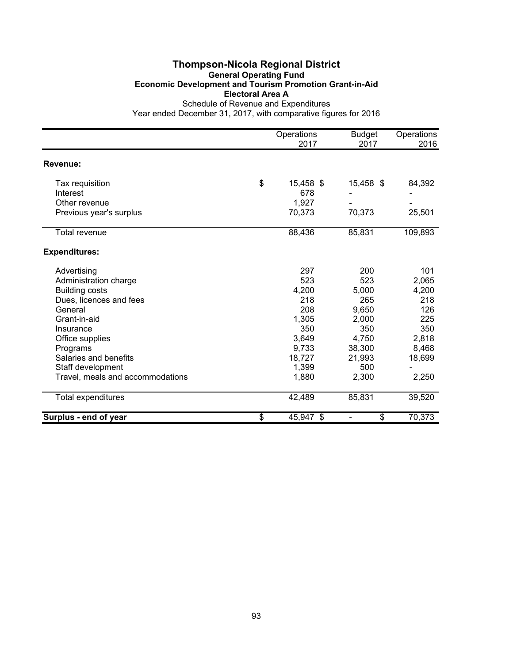#### **Thompson-Nicola Regional District General Operating Fund Economic Development and Tourism Promotion Grant-in-Aid Electoral Area A** Schedule of Revenue and Expenditures

| Other revenue<br>Previous year's surplus | 1,927<br>70,373 | 70,373 | 25,501  |
|------------------------------------------|-----------------|--------|---------|
|                                          |                 |        |         |
| <b>Total revenue</b>                     | 88,436          | 85,831 | 109,893 |
| <b>Expenditures:</b>                     |                 |        |         |
| Advertising                              | 297             | 200    | 101     |
| Administration charge                    | 523             | 523    | 2,065   |
| <b>Building costs</b>                    | 4,200           | 5,000  | 4,200   |
| Dues, licences and fees                  | 218             | 265    | 218     |
| General                                  | 208             | 9,650  | 126     |
| Grant-in-aid                             | 1,305           | 2,000  | 225     |
| Insurance                                | 350             | 350    | 350     |
| Office supplies                          | 3,649           | 4,750  | 2,818   |
| Programs                                 | 9,733           | 38,300 | 8,468   |
| Salaries and benefits                    | 18,727          | 21,993 | 18,699  |
| Staff development                        | 1,399           | 500    |         |
| Travel, meals and accommodations         | 1,880           | 2,300  | 2,250   |
| Total expenditures                       | 42,489          | 85,831 | 39,520  |
| Surplus - end of year                    | \$<br>45,947 \$ | \$     | 70,373  |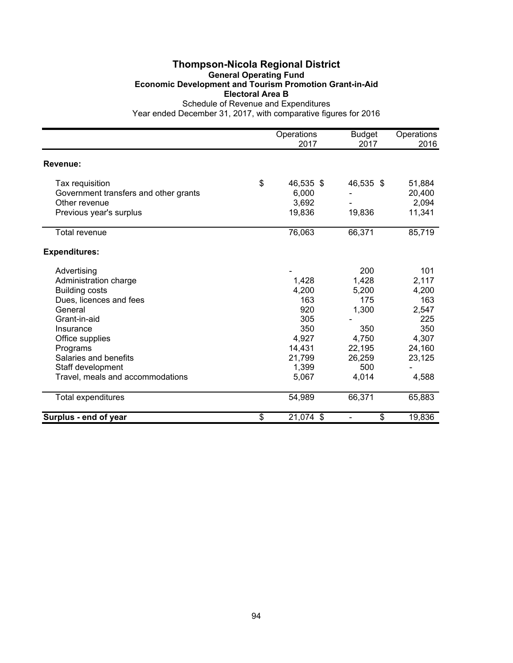#### **Thompson-Nicola Regional District General Operating Fund Economic Development and Tourism Promotion Grant-in-Aid Electoral Area B** Schedule of Revenue and Expenditures

|                                                                                                      | Operations                                  | <b>Budget</b>       | Operations                          |
|------------------------------------------------------------------------------------------------------|---------------------------------------------|---------------------|-------------------------------------|
|                                                                                                      | 2017                                        | 2017                | 2016                                |
| Revenue:                                                                                             |                                             |                     |                                     |
| Tax requisition<br>Government transfers and other grants<br>Other revenue<br>Previous year's surplus | \$<br>46,535 \$<br>6,000<br>3,692<br>19,836 | 46,535 \$<br>19,836 | 51,884<br>20,400<br>2,094<br>11,341 |
| <b>Total revenue</b>                                                                                 | 76,063                                      | 66,371              | 85,719                              |
| <b>Expenditures:</b>                                                                                 |                                             |                     |                                     |
| Advertising                                                                                          |                                             | 200                 | 101                                 |
| Administration charge                                                                                | 1,428                                       | 1,428               | 2,117                               |
| <b>Building costs</b>                                                                                | 4,200                                       | 5,200               | 4,200                               |
| Dues, licences and fees                                                                              | 163                                         | 175                 | 163                                 |
| General                                                                                              | 920                                         | 1,300               | 2,547                               |
| Grant-in-aid                                                                                         | 305                                         |                     | 225                                 |
| Insurance                                                                                            | 350                                         | 350                 | 350                                 |
| Office supplies                                                                                      | 4,927                                       | 4,750               | 4,307                               |
| Programs                                                                                             | 14,431                                      | 22,195              | 24,160                              |
| Salaries and benefits                                                                                | 21,799                                      | 26,259              | 23,125                              |
| Staff development                                                                                    | 1,399                                       | 500                 |                                     |
| Travel, meals and accommodations                                                                     | 5,067                                       | 4,014               | 4,588                               |
| Total expenditures                                                                                   | 54,989                                      | 66,371              | 65,883                              |
| Surplus - end of year                                                                                | \$<br>21,074 \$                             | \$                  | 19,836                              |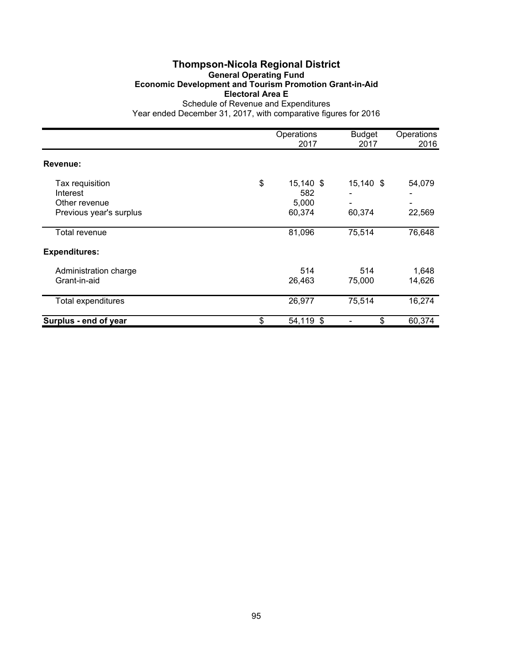## **Thompson-Nicola Regional District General Operating Fund Economic Development and Tourism Promotion Grant-in-Aid Electoral Area E** Schedule of Revenue and Expenditures

|                         | Operations      | <b>Budget</b> | Operations |
|-------------------------|-----------------|---------------|------------|
|                         | 2017            | 2017          | 2016       |
| Revenue:                |                 |               |            |
| Tax requisition         | \$<br>15,140 \$ | 15,140 \$     | 54,079     |
| Interest                | 582             |               |            |
| Other revenue           | 5,000           |               | ۰          |
| Previous year's surplus | 60,374          | 60,374        | 22,569     |
|                         |                 |               |            |
| Total revenue           | 81,096          | 75,514        | 76,648     |
| <b>Expenditures:</b>    |                 |               |            |
| Administration charge   | 514             | 514           | 1,648      |
| Grant-in-aid            | 26,463          | 75,000        | 14,626     |
| Total expenditures      | 26,977          | 75,514        | 16,274     |
| Surplus - end of year   | \$<br>54,119 \$ | \$            | 60,374     |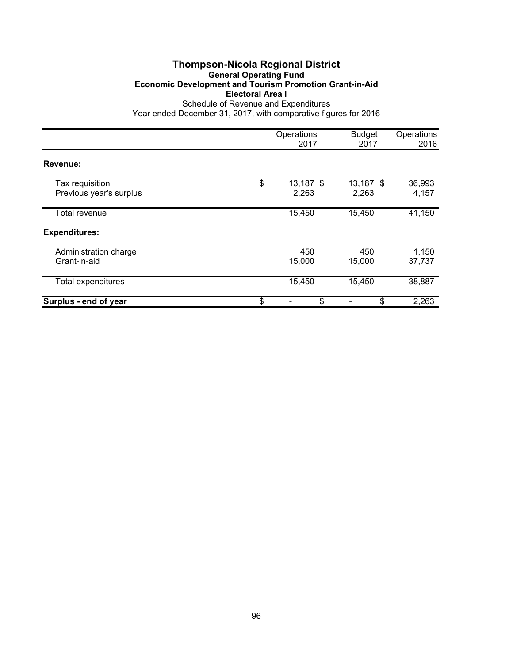## **Thompson-Nicola Regional District General Operating Fund Economic Development and Tourism Promotion Grant-in-Aid Electoral Area I** Schedule of Revenue and Expenditures

|                                            | Operations<br>2017       | <b>Budget</b><br>2017 | Operations<br>2016 |
|--------------------------------------------|--------------------------|-----------------------|--------------------|
| Revenue:                                   |                          |                       |                    |
| Tax requisition<br>Previous year's surplus | \$<br>13,187 \$<br>2,263 | 13,187 \$<br>2,263    | 36,993<br>4,157    |
| Total revenue                              | 15,450                   | 15,450                | 41,150             |
| <b>Expenditures:</b>                       |                          |                       |                    |
| Administration charge<br>Grant-in-aid      | 450<br>15,000            | 450<br>15,000         | 1,150<br>37,737    |
| Total expenditures                         | 15,450                   | 15,450                | 38,887             |
| Surplus - end of year                      | \$<br>\$                 | \$                    | 2,263              |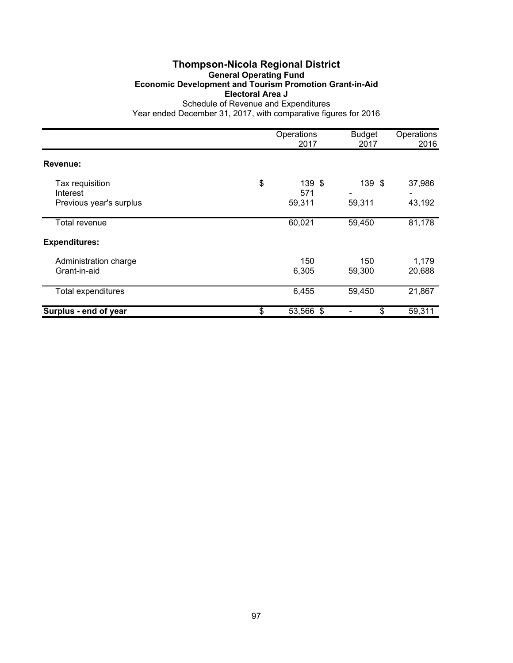## **Thompson-Nicola Regional District General Operating Fund Economic Development and Tourism Promotion Grant-in-Aid Electoral Area J** Schedule of Revenue and Expenditures

|                         | Operations<br>2017 | <b>Budget</b><br>2017 | Operations<br>2016 |
|-------------------------|--------------------|-----------------------|--------------------|
| Revenue:                |                    |                       |                    |
|                         |                    |                       |                    |
| Tax requisition         | \$<br>139 \$       | 139 \$                | 37,986             |
| Interest                | 571                |                       |                    |
| Previous year's surplus | 59,311             | 59,311                | 43,192             |
| Total revenue           | 60,021             | 59,450                | 81,178             |
| <b>Expenditures:</b>    |                    |                       |                    |
| Administration charge   | 150                | 150                   | 1,179              |
| Grant-in-aid            | 6,305              | 59,300                | 20,688             |
| Total expenditures      | 6,455              | 59,450                | 21,867             |
| Surplus - end of year   | \$<br>53,566 \$    | \$                    | 59,311             |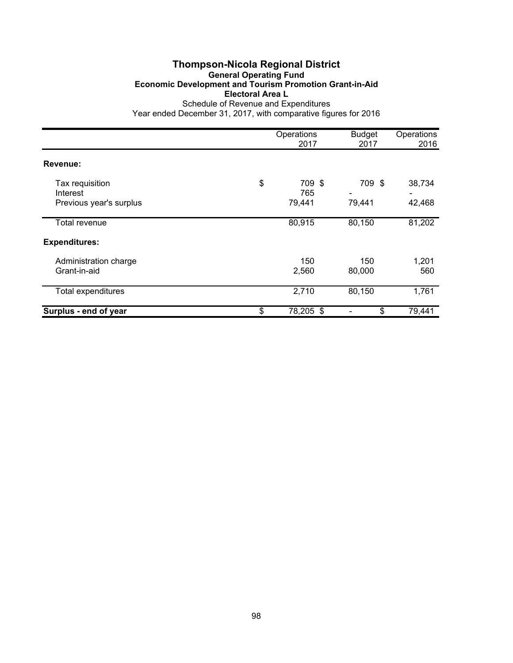## **Thompson-Nicola Regional District General Operating Fund Economic Development and Tourism Promotion Grant-in-Aid Electoral Area L** Schedule of Revenue and Expenditures

|                                                        | Operations<br>2017            | <b>Budget</b><br>2017 | Operations<br>2016 |
|--------------------------------------------------------|-------------------------------|-----------------------|--------------------|
| Revenue:                                               |                               |                       |                    |
| Tax requisition<br>Interest<br>Previous year's surplus | \$<br>709 \$<br>765<br>79,441 | 709 \$<br>79,441      | 38,734<br>42,468   |
| Total revenue                                          | 80,915                        | 80,150                | 81,202             |
| <b>Expenditures:</b>                                   |                               |                       |                    |
| Administration charge<br>Grant-in-aid                  | 150<br>2,560                  | 150<br>80,000         | 1,201<br>560       |
| Total expenditures                                     | 2,710                         | 80,150                | 1,761              |
| Surplus - end of year                                  | \$<br>78,205 \$               | \$                    | 79,441             |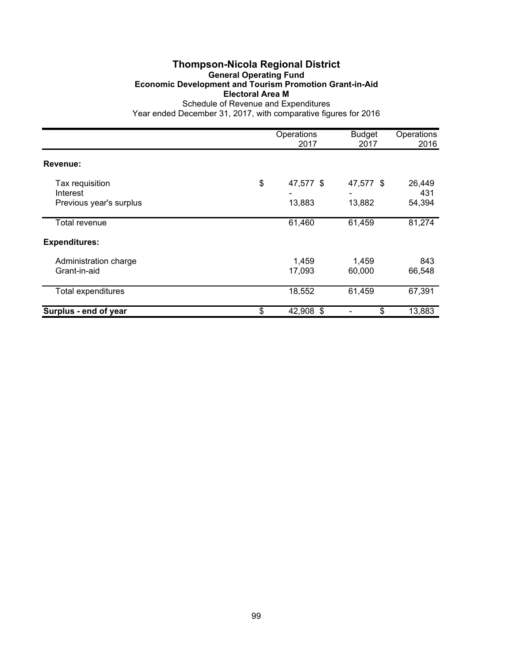## **Thompson-Nicola Regional District General Operating Fund Economic Development and Tourism Promotion Grant-in-Aid Electoral Area M** Schedule of Revenue and Expenditures

|                                                        | Operations<br>2017        | <b>Budget</b><br>2017 | Operations<br>2016      |
|--------------------------------------------------------|---------------------------|-----------------------|-------------------------|
| Revenue:                                               |                           |                       |                         |
| Tax requisition<br>Interest<br>Previous year's surplus | \$<br>47,577 \$<br>13,883 | 47,577 \$<br>13,882   | 26,449<br>431<br>54,394 |
| Total revenue                                          | 61,460                    | 61,459                | 81,274                  |
| <b>Expenditures:</b>                                   |                           |                       |                         |
| Administration charge<br>Grant-in-aid                  | 1,459<br>17,093           | 1,459<br>60,000       | 843<br>66,548           |
| <b>Total expenditures</b>                              | 18,552                    | 61,459                | 67,391                  |
| Surplus - end of year                                  | \$<br>42,908 \$           | \$                    | 13,883                  |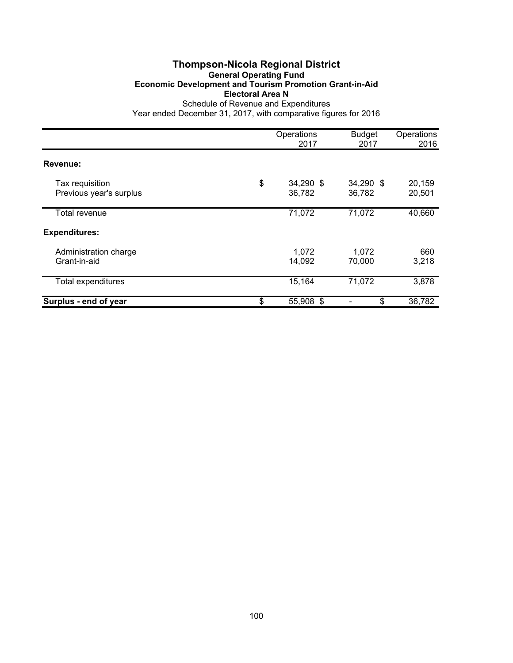## **Thompson-Nicola Regional District General Operating Fund Economic Development and Tourism Promotion Grant-in-Aid Electoral Area N** Schedule of Revenue and Expenditures

|                                            | Operations<br>2017        | <b>Budget</b><br>2017 | Operations<br>2016 |
|--------------------------------------------|---------------------------|-----------------------|--------------------|
| Revenue:                                   |                           |                       |                    |
| Tax requisition<br>Previous year's surplus | \$<br>34,290 \$<br>36,782 | 34,290 \$<br>36,782   | 20,159<br>20,501   |
| Total revenue                              | 71,072                    | 71,072                | 40,660             |
| <b>Expenditures:</b>                       |                           |                       |                    |
| Administration charge<br>Grant-in-aid      | 1,072<br>14,092           | 1,072<br>70,000       | 660<br>3,218       |
| <b>Total expenditures</b>                  | 15,164                    | 71,072                | 3,878              |
| Surplus - end of year                      | \$<br>55,908 \$           | \$                    | 36,782             |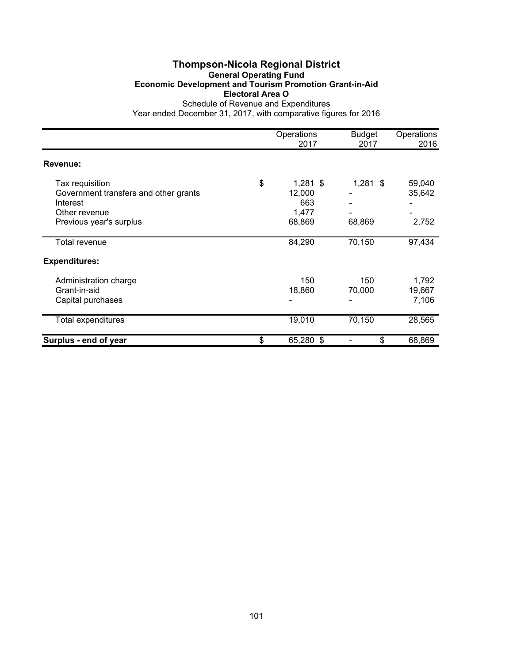# **Thompson-Nicola Regional District General Operating Fund Economic Development and Tourism Promotion Grant-in-Aid Electoral Area O**

|                                                                                                                  | Operations<br>2017                                   | <b>Budget</b><br>2017 | Operations<br>2016        |
|------------------------------------------------------------------------------------------------------------------|------------------------------------------------------|-----------------------|---------------------------|
| Revenue:                                                                                                         |                                                      |                       |                           |
| Tax requisition<br>Government transfers and other grants<br>Interest<br>Other revenue<br>Previous year's surplus | \$<br>$1,281$ \$<br>12,000<br>663<br>1,477<br>68,869 | $1,281$ \$<br>68,869  | 59,040<br>35,642<br>2,752 |
| Total revenue                                                                                                    | 84,290                                               | 70,150                | 97,434                    |
| <b>Expenditures:</b>                                                                                             |                                                      |                       |                           |
| Administration charge<br>Grant-in-aid<br>Capital purchases                                                       | 150<br>18,860                                        | 150<br>70,000         | 1,792<br>19,667<br>7,106  |
| Total expenditures                                                                                               | 19,010                                               | 70,150                | 28,565                    |
| Surplus - end of year                                                                                            | \$<br>65,280 \$                                      | \$                    | 68,869                    |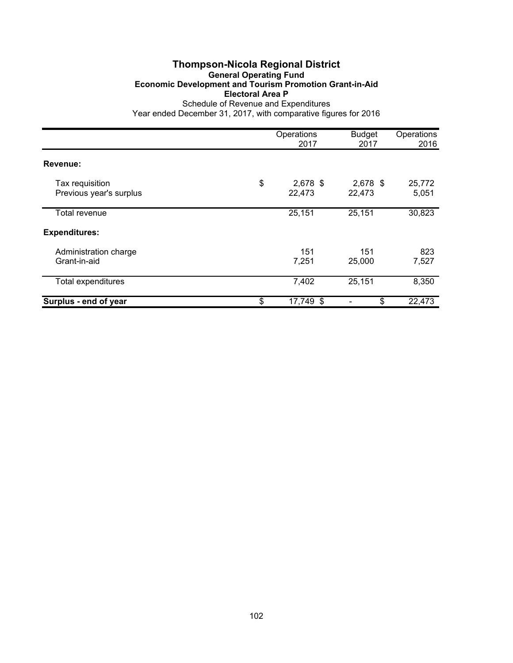## **Thompson-Nicola Regional District General Operating Fund Economic Development and Tourism Promotion Grant-in-Aid Electoral Area P** Schedule of Revenue and Expenditures

|                                            | Operations<br>2017         | <b>Budget</b><br>2017 | Operations<br>2016 |
|--------------------------------------------|----------------------------|-----------------------|--------------------|
| Revenue:                                   |                            |                       |                    |
| Tax requisition<br>Previous year's surplus | \$<br>$2,678$ \$<br>22,473 | 2,678 \$<br>22,473    | 25,772<br>5,051    |
| Total revenue                              | 25,151                     | 25,151                | 30,823             |
| <b>Expenditures:</b>                       |                            |                       |                    |
| Administration charge<br>Grant-in-aid      | 151<br>7,251               | 151<br>25,000         | 823<br>7,527       |
| <b>Total expenditures</b>                  | 7,402                      | 25,151                | 8,350              |
| Surplus - end of year                      | \$<br>17,749 \$            | \$                    | 22,473             |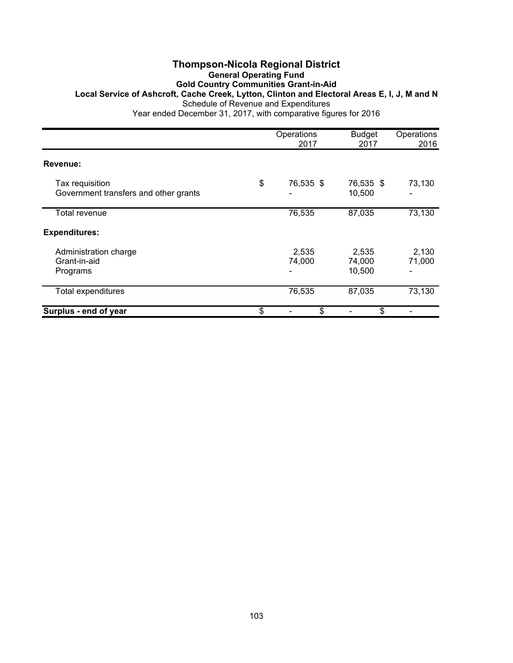#### **Thompson-Nicola Regional District General Operating Fund Gold Country Communities Grant-in-Aid Local Service of Ashcroft, Cache Creek, Lytton, Clinton and Electoral Areas E, I, J, M and N** Schedule of Revenue and Expenditures Year ended December 31, 2017, with comparative figures for 2016

Operations Budget Operations<br>2017 2017 2016 2017 2017 2016 **Revenue:** Tax requisition <br>Government transfers and other grants <br>Government transfers and other grants <br>Government transfers and other grants Government transfers and other grants Total revenue 76,535 87,035 73,130 **Expenditures:** Administration charge 2,535 2,130 Grant-in-aid 74,000 74,000 71,000 Programs - 10,500 - Total expenditures 100 and 200 and 200 and 200 and 201 and 201 and 201 and 201 and 201 and 201 and 201 and 201 and 201 and 201 and 201 and 201 and 201 and 201 and 201 and 201 and 201 and 201 and 201 and 201 and 201 and 201 **Surplus - end of year \$**  $\frac{1}{3}$  **-** \$  $\frac{1}{3}$  **-**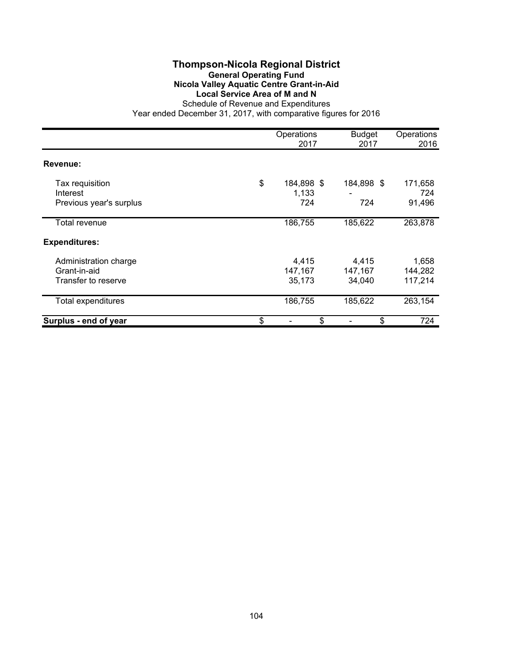## **Thompson-Nicola Regional District General Operating Fund Nicola Valley Aquatic Centre Grant-in-Aid Local Service Area of M and N** Schedule of Revenue and Expenditures

|                                                              | Operations<br>2017               | <b>Budget</b><br>2017      | Operations<br>2016          |
|--------------------------------------------------------------|----------------------------------|----------------------------|-----------------------------|
| Revenue:                                                     |                                  |                            |                             |
| Tax requisition<br>Interest<br>Previous year's surplus       | \$<br>184,898 \$<br>1,133<br>724 | 184,898 \$<br>724          | 171,658<br>724<br>91,496    |
| Total revenue                                                | 186,755                          | 185,622                    | 263,878                     |
| <b>Expenditures:</b>                                         |                                  |                            |                             |
| Administration charge<br>Grant-in-aid<br>Transfer to reserve | 4,415<br>147,167<br>35,173       | 4,415<br>147,167<br>34,040 | 1,658<br>144,282<br>117,214 |
| <b>Total expenditures</b>                                    | 186,755                          | 185,622                    | 263,154                     |
| Surplus - end of year                                        | \$<br>\$                         | \$                         | 724                         |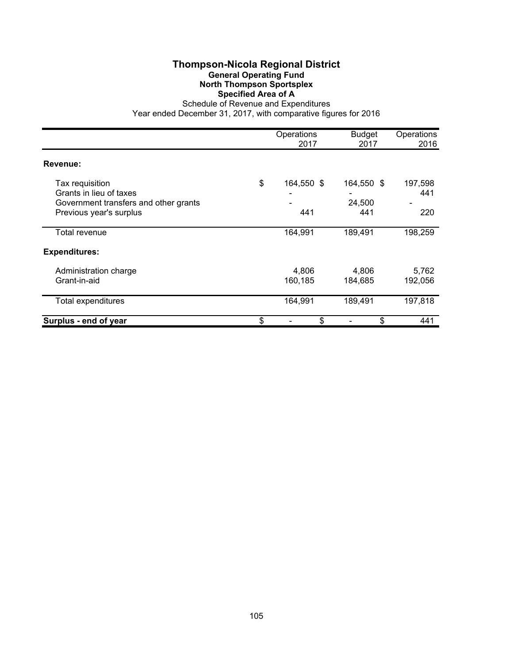## **Thompson-Nicola Regional District General Operating Fund North Thompson Sportsplex Specified Area of A**

Schedule of Revenue and Expenditures Year ended December 31, 2017, with comparative figures for 2016

|                                                                                                                | Operations<br>2017      | <b>Budget</b><br>2017       | Operations<br>2016    |
|----------------------------------------------------------------------------------------------------------------|-------------------------|-----------------------------|-----------------------|
| Revenue:                                                                                                       |                         |                             |                       |
| Tax requisition<br>Grants in lieu of taxes<br>Government transfers and other grants<br>Previous year's surplus | \$<br>164,550 \$<br>441 | 164,550 \$<br>24,500<br>441 | 197,598<br>441<br>220 |
| Total revenue                                                                                                  | 164,991                 | 189,491                     | 198,259               |
| <b>Expenditures:</b>                                                                                           |                         |                             |                       |
| Administration charge<br>Grant-in-aid                                                                          | 4,806<br>160,185        | 4,806<br>184,685            | 5,762<br>192,056      |
| Total expenditures                                                                                             | 164,991                 | 189,491                     | 197,818               |
| Surplus - end of year                                                                                          | \$<br>\$                | \$                          | 441                   |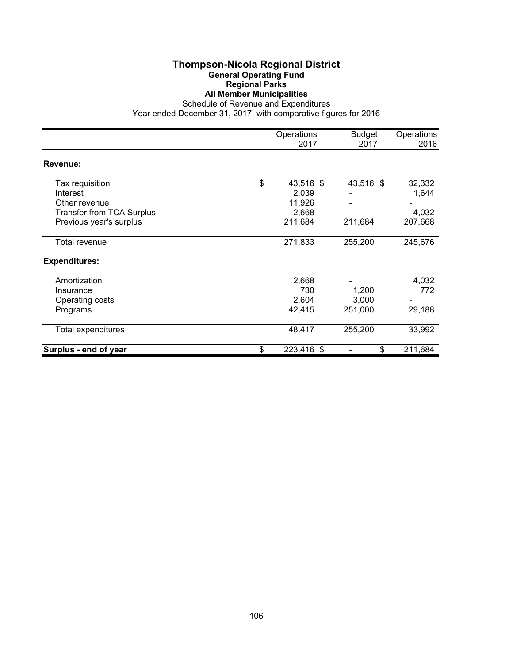#### **Thompson-Nicola Regional District General Operating Fund Regional Parks All Member Municipalities**

Schedule of Revenue and Expenditures

|                                  | Operations<br>2017 | <b>Budget</b><br>2017 | Operations<br>2016 |
|----------------------------------|--------------------|-----------------------|--------------------|
| <b>Revenue:</b>                  |                    |                       |                    |
| Tax requisition                  | \$<br>43,516 \$    | 43,516 \$             | 32,332             |
| Interest                         | 2,039              |                       | 1,644              |
| Other revenue                    | 11,926             |                       |                    |
| <b>Transfer from TCA Surplus</b> | 2,668              |                       | 4,032              |
| Previous year's surplus          | 211,684            | 211,684               | 207,668            |
| Total revenue                    | 271,833            | 255,200               | 245,676            |
| <b>Expenditures:</b>             |                    |                       |                    |
| Amortization                     | 2,668              |                       | 4,032              |
| Insurance                        | 730                | 1,200                 | 772                |
| Operating costs                  | 2,604              | 3,000                 |                    |
| Programs                         | 42,415             | 251,000               | 29,188             |
| Total expenditures               | 48,417             | 255,200               | 33,992             |
| Surplus - end of year            | \$<br>223,416 \$   | \$                    | 211,684            |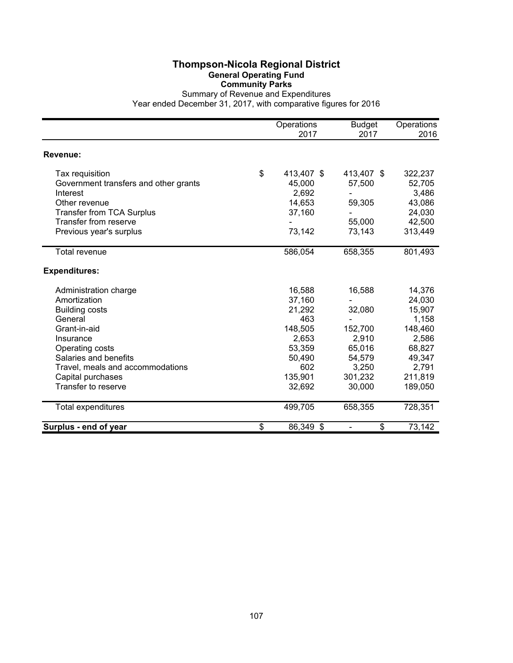## **Thompson-Nicola Regional District General Operating Fund Community Parks**

Summary of Revenue and Expenditures Year ended December 31, 2017, with comparative figures for 2016

|                                                   | Operations<br>2017 | <b>Budget</b><br>2017 | Operations<br>2016 |
|---------------------------------------------------|--------------------|-----------------------|--------------------|
| Revenue:                                          |                    |                       |                    |
| Tax requisition                                   | \$<br>413,407 \$   | 413,407 \$            | 322,237            |
| Government transfers and other grants<br>Interest | 45,000<br>2,692    | 57,500                | 52,705<br>3,486    |
| Other revenue                                     | 14,653             | 59,305                | 43,086             |
| <b>Transfer from TCA Surplus</b>                  | 37,160             |                       | 24,030             |
| Transfer from reserve                             |                    | 55,000                | 42,500             |
| Previous year's surplus                           | 73,142             | 73,143                | 313,449            |
| <b>Total revenue</b>                              | 586,054            | 658,355               | 801,493            |
| <b>Expenditures:</b>                              |                    |                       |                    |
| Administration charge                             | 16,588             | 16,588                | 14,376             |
| Amortization                                      | 37,160             |                       | 24,030             |
| <b>Building costs</b>                             | 21,292             | 32,080                | 15,907             |
| General                                           | 463                |                       | 1,158              |
| Grant-in-aid                                      | 148,505            | 152,700               | 148,460            |
| Insurance                                         | 2,653              | 2,910                 | 2,586              |
| Operating costs                                   | 53,359             | 65,016                | 68,827             |
| Salaries and benefits                             | 50,490             | 54,579                | 49,347             |
| Travel, meals and accommodations                  | 602                | 3,250                 | 2,791              |
| Capital purchases                                 | 135,901            | 301,232               | 211,819            |
| Transfer to reserve                               | 32,692             | 30,000                | 189,050            |
| Total expenditures                                | 499,705            | 658,355               | 728,351            |
| Surplus - end of year                             | \$<br>86,349 \$    | \$                    | 73,142             |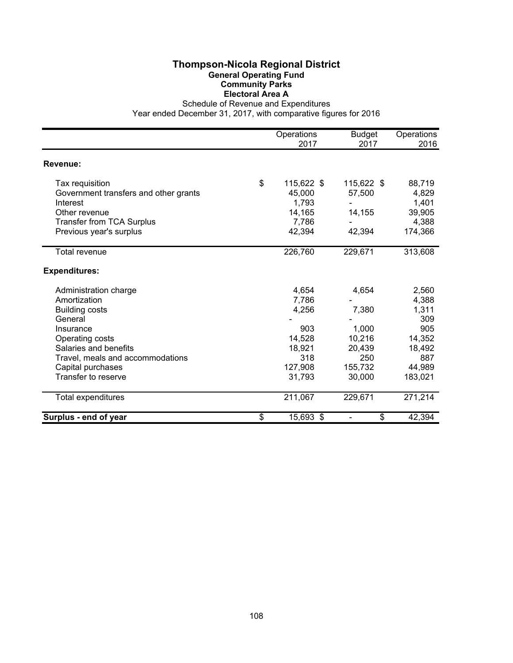## **Thompson-Nicola Regional District General Operating Fund Community Parks Electoral Area A**

Schedule of Revenue and Expenditures

|                                       | Operations<br>2017 | <b>Budget</b><br>2017 | Operations<br>2016 |
|---------------------------------------|--------------------|-----------------------|--------------------|
|                                       |                    |                       |                    |
| Revenue:                              |                    |                       |                    |
| Tax requisition                       | \$<br>115,622 \$   | 115,622 \$            | 88,719             |
| Government transfers and other grants | 45,000             | 57,500                | 4,829              |
| Interest                              | 1,793              |                       | 1,401              |
| Other revenue                         | 14,165             | 14,155                | 39,905             |
| <b>Transfer from TCA Surplus</b>      | 7,786              |                       | 4,388              |
| Previous year's surplus               | 42,394             | 42,394                | 174,366            |
| <b>Total revenue</b>                  | 226,760            | 229,671               | 313,608            |
| <b>Expenditures:</b>                  |                    |                       |                    |
| Administration charge                 | 4,654              | 4,654                 | 2,560              |
| Amortization                          | 7,786              |                       | 4,388              |
| <b>Building costs</b>                 | 4,256              | 7,380                 | 1,311              |
| General                               |                    |                       | 309                |
| Insurance                             | 903                | 1,000                 | 905                |
| Operating costs                       | 14,528             | 10,216                | 14,352             |
| Salaries and benefits                 | 18,921             | 20,439                | 18,492             |
| Travel, meals and accommodations      | 318                | 250                   | 887                |
| Capital purchases                     | 127,908            | 155,732               | 44,989             |
| Transfer to reserve                   | 31,793             | 30,000                | 183,021            |
| Total expenditures                    | 211,067            | 229,671               | 271,214            |
| Surplus - end of year                 | \$<br>15,693 \$    | \$                    | 42,394             |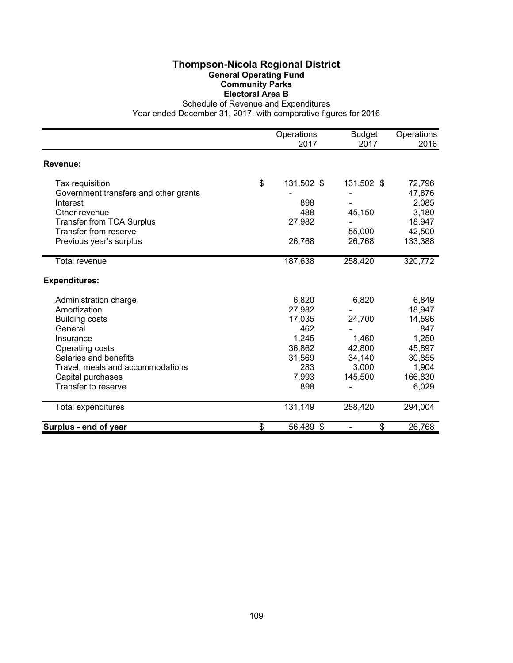## **Thompson-Nicola Regional District General Operating Fund Community Parks Electoral Area B**

Schedule of Revenue and Expenditures

|                                       | Operations       | <b>Budget</b> | Operations |
|---------------------------------------|------------------|---------------|------------|
|                                       | 2017             | 2017          | 2016       |
| <b>Revenue:</b>                       |                  |               |            |
| Tax requisition                       | \$<br>131,502 \$ | 131,502 \$    | 72,796     |
| Government transfers and other grants |                  |               | 47,876     |
| Interest                              | 898              |               | 2,085      |
| Other revenue                         | 488              | 45,150        | 3,180      |
| <b>Transfer from TCA Surplus</b>      | 27,982           |               | 18,947     |
| <b>Transfer from reserve</b>          |                  | 55,000        | 42,500     |
| Previous year's surplus               | 26,768           | 26,768        | 133,388    |
| <b>Total revenue</b>                  | 187,638          | 258,420       | 320,772    |
| <b>Expenditures:</b>                  |                  |               |            |
| Administration charge                 | 6,820            | 6,820         | 6,849      |
| Amortization                          | 27,982           |               | 18,947     |
| <b>Building costs</b>                 | 17,035           | 24,700        | 14,596     |
| General                               | 462              |               | 847        |
| Insurance                             | 1,245            | 1,460         | 1,250      |
| Operating costs                       | 36,862           | 42,800        | 45,897     |
| Salaries and benefits                 | 31,569           | 34,140        | 30,855     |
| Travel, meals and accommodations      | 283              | 3,000         | 1,904      |
| Capital purchases                     | 7,993            | 145,500       | 166,830    |
| Transfer to reserve                   | 898              |               | 6,029      |
| <b>Total expenditures</b>             | 131,149          | 258,420       | 294,004    |
| Surplus - end of year                 | \$<br>56,489 \$  | \$            | 26,768     |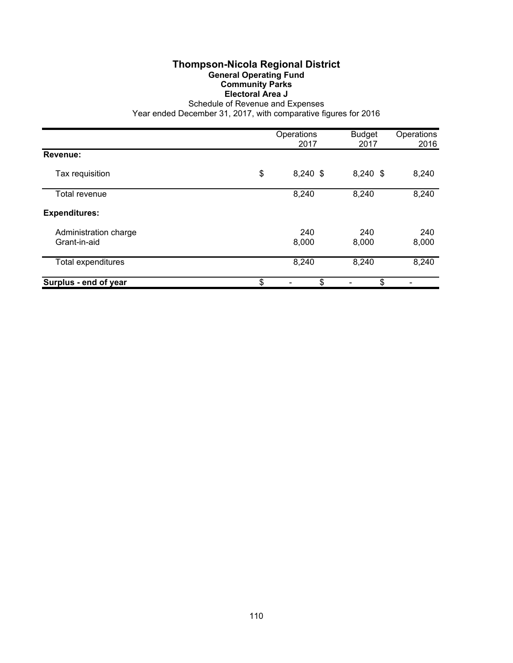#### **Thompson-Nicola Regional District General Operating Fund Community Parks Electoral Area J**

Schedule of Revenue and Expenses

|                                       | Operations<br>2017 | <b>Budget</b><br>2017 | Operations<br>2016 |
|---------------------------------------|--------------------|-----------------------|--------------------|
| Revenue:                              |                    |                       |                    |
| Tax requisition                       | \$<br>$8,240$ \$   | $8,240$ \$            | 8,240              |
| Total revenue                         | 8,240              | 8,240                 | 8,240              |
| <b>Expenditures:</b>                  |                    |                       |                    |
| Administration charge<br>Grant-in-aid | 240<br>8,000       | 240<br>8,000          | 240<br>8,000       |
| Total expenditures                    | 8,240              | 8,240                 | 8,240              |
| Surplus - end of year                 | \$<br>\$           | \$                    |                    |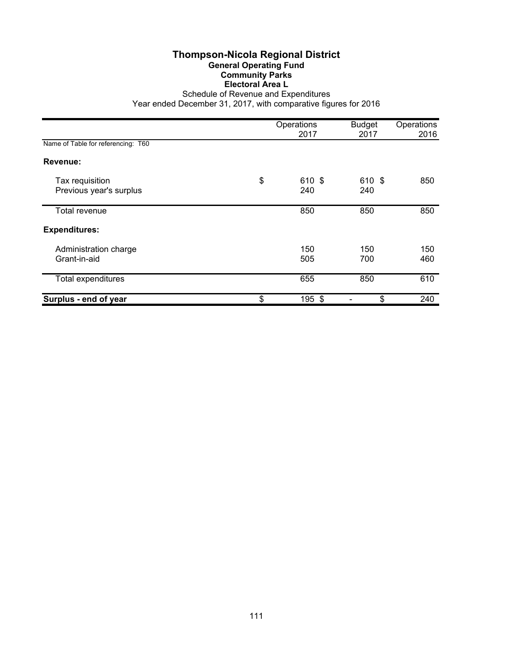#### **Thompson-Nicola Regional District General Operating Fund Community Parks Electoral Area L** Schedule of Revenue and Expenditures

|                                            | Operations<br>2017  | <b>Budget</b><br>2017 | Operations<br>2016 |
|--------------------------------------------|---------------------|-----------------------|--------------------|
| Name of Table for referencing: T60         |                     |                       |                    |
| Revenue:                                   |                     |                       |                    |
| Tax requisition<br>Previous year's surplus | \$<br>610 \$<br>240 | 610 \$<br>240         | 850                |
| Total revenue                              | 850                 | 850                   | 850                |
| <b>Expenditures:</b>                       |                     |                       |                    |
| Administration charge<br>Grant-in-aid      | 150<br>505          | 150<br>700            | 150<br>460         |
| Total expenditures                         | 655                 | 850                   | 610                |
| Surplus - end of year                      | \$<br>195 \$        | \$                    | 240                |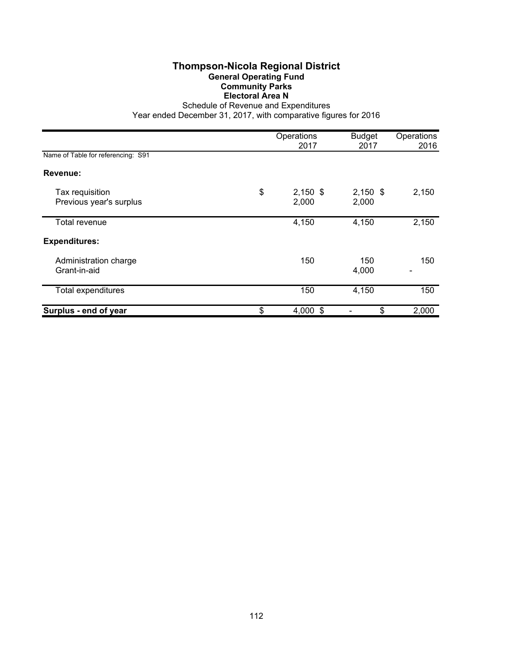## **Thompson-Nicola Regional District General Operating Fund Community Parks Electoral Area N**

Schedule of Revenue and Expenditures

|                                            | Operations<br>2017        | <b>Budget</b><br>2017 | Operations<br>2016 |
|--------------------------------------------|---------------------------|-----------------------|--------------------|
| Name of Table for referencing: S91         |                           |                       |                    |
| Revenue:                                   |                           |                       |                    |
| Tax requisition<br>Previous year's surplus | \$<br>$2,150$ \$<br>2,000 | $2,150$ \$<br>2,000   | 2,150              |
| Total revenue                              | 4,150                     | 4,150                 | 2,150              |
| <b>Expenditures:</b>                       |                           |                       |                    |
| Administration charge<br>Grant-in-aid      | 150                       | 150<br>4,000          | 150                |
| Total expenditures                         | 150                       | 4,150                 | 150                |
| Surplus - end of year                      | \$<br>4,000 \$            | \$                    | 2,000              |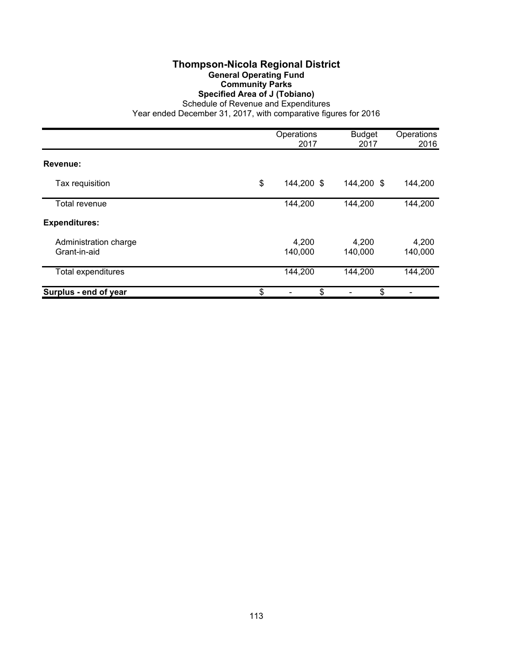### **Thompson-Nicola Regional District General Operating Fund Community Parks Specified Area of J (Tobiano)**

Schedule of Revenue and Expenditures

|                                       | Operations<br>2017 | <b>Budget</b><br>2017 | Operations<br>2016 |
|---------------------------------------|--------------------|-----------------------|--------------------|
| Revenue:                              |                    |                       |                    |
| Tax requisition                       | \$<br>144,200 \$   | 144,200 \$            | 144,200            |
| Total revenue                         | 144,200            | 144,200               | 144,200            |
| <b>Expenditures:</b>                  |                    |                       |                    |
| Administration charge<br>Grant-in-aid | 4,200<br>140,000   | 4,200<br>140,000      | 4,200<br>140,000   |
| Total expenditures                    | 144,200            | 144,200               | 144,200            |
| Surplus - end of year                 | \$<br>\$           | \$                    |                    |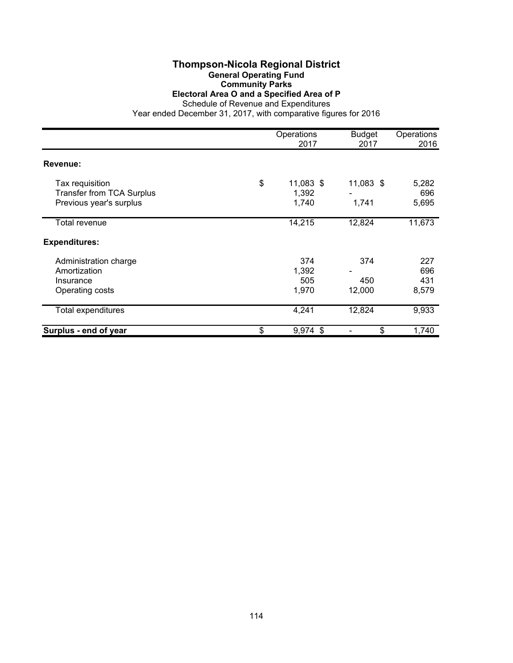## **Thompson-Nicola Regional District General Operating Fund Community Parks**

**Electoral Area O and a Specified Area of P**

Schedule of Revenue and Expenditures

|                                                                                | Operations<br>2017                | <b>Budget</b><br>2017 | Operations<br>2016    |
|--------------------------------------------------------------------------------|-----------------------------------|-----------------------|-----------------------|
| Revenue:                                                                       |                                   |                       |                       |
| Tax requisition<br><b>Transfer from TCA Surplus</b><br>Previous year's surplus | \$<br>11,083 \$<br>1,392<br>1,740 | 11,083 \$<br>1,741    | 5,282<br>696<br>5,695 |
| Total revenue                                                                  | 14,215                            | 12,824                | 11,673                |
| <b>Expenditures:</b>                                                           |                                   |                       |                       |
| Administration charge<br>Amortization<br>Insurance                             | 374<br>1,392<br>505<br>1,970      | 374<br>450<br>12,000  | 227<br>696<br>431     |
| Operating costs<br><b>Total expenditures</b>                                   | 4,241                             | 12,824                | 8,579<br>9,933        |
| Surplus - end of year                                                          | \$<br>9,974 \$                    | \$                    | 1,740                 |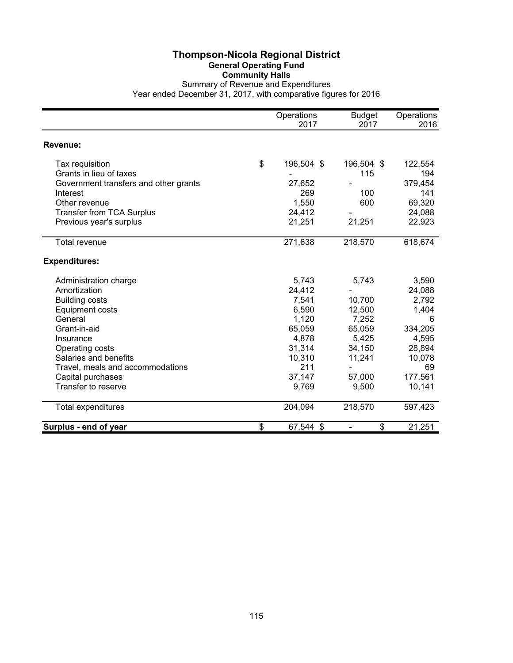#### **Thompson-Nicola Regional District General Operating Fund Community Halls** Summary of Revenue and Expenditures Year ended December 31, 2017, with comparative figures for 2016

|                                       | Operations<br>2017 | <b>Budget</b><br>2017          | Operations<br>2016 |
|---------------------------------------|--------------------|--------------------------------|--------------------|
|                                       |                    |                                |                    |
| <b>Revenue:</b>                       |                    |                                |                    |
| Tax requisition                       | \$<br>196,504 \$   | 196,504 \$                     | 122,554            |
| Grants in lieu of taxes               |                    | 115                            | 194                |
| Government transfers and other grants | 27,652             |                                | 379,454            |
| Interest                              | 269                | 100                            | 141                |
| Other revenue                         | 1,550              | 600                            | 69,320             |
| <b>Transfer from TCA Surplus</b>      | 24,412             |                                | 24,088             |
| Previous year's surplus               | 21,251             | 21,251                         | 22,923             |
| <b>Total revenue</b>                  | 271,638            | 218,570                        | 618,674            |
| <b>Expenditures:</b>                  |                    |                                |                    |
| Administration charge                 | 5,743              | 5,743                          | 3,590              |
| Amortization                          | 24,412             |                                | 24,088             |
| <b>Building costs</b>                 | 7,541              | 10,700                         | 2,792              |
| <b>Equipment costs</b>                | 6,590              | 12,500                         | 1,404              |
| General                               | 1,120              | 7,252                          | 6                  |
| Grant-in-aid                          | 65,059             | 65,059                         | 334,205            |
| Insurance                             | 4,878              | 5,425                          | 4,595              |
| Operating costs                       | 31,314             | 34,150                         | 28,894             |
| Salaries and benefits                 | 10,310             | 11,241                         | 10,078             |
| Travel, meals and accommodations      | 211                |                                | 69                 |
| Capital purchases                     | 37,147             | 57,000                         | 177,561            |
| Transfer to reserve                   | 9,769              | 9,500                          | 10,141             |
| Total expenditures                    | 204,094            | 218,570                        | 597,423            |
| Surplus - end of year                 | \$<br>67,544 \$    | \$<br>$\overline{\phantom{0}}$ | 21,251             |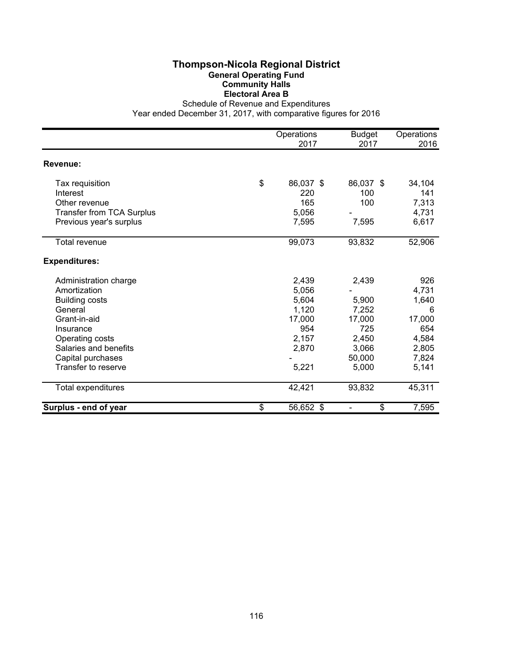## **Thompson-Nicola Regional District General Operating Fund Community Halls Electoral Area B**

Schedule of Revenue and Expenditures

|                                  | Operations<br>2017 | <b>Budget</b><br>2017          | Operations<br>2016 |
|----------------------------------|--------------------|--------------------------------|--------------------|
|                                  |                    |                                |                    |
| Revenue:                         |                    |                                |                    |
| Tax requisition                  | \$<br>86,037 \$    | 86,037 \$                      | 34,104             |
| Interest                         | 220                | 100                            | 141                |
| Other revenue                    | 165                | 100                            | 7,313              |
| <b>Transfer from TCA Surplus</b> | 5,056              |                                | 4,731              |
| Previous year's surplus          | 7,595              | 7,595                          | 6,617              |
| Total revenue                    | 99,073             | 93,832                         | 52,906             |
| <b>Expenditures:</b>             |                    |                                |                    |
| Administration charge            | 2,439              | 2,439                          | 926                |
| Amortization                     | 5,056              |                                | 4,731              |
| <b>Building costs</b>            | 5,604              | 5,900                          | 1,640              |
| General                          | 1,120              | 7,252                          | 6                  |
| Grant-in-aid                     | 17,000             | 17,000                         | 17,000             |
| Insurance                        | 954                | 725                            | 654                |
| Operating costs                  | 2,157              | 2,450                          | 4,584              |
| Salaries and benefits            | 2,870              | 3,066                          | 2,805              |
| Capital purchases                |                    | 50,000                         | 7,824              |
| Transfer to reserve              | 5,221              | 5,000                          | 5,141              |
| Total expenditures               | 42,421             | 93,832                         | 45,311             |
| Surplus - end of year            | \$<br>56,652 \$    | \$<br>$\overline{\phantom{0}}$ | 7,595              |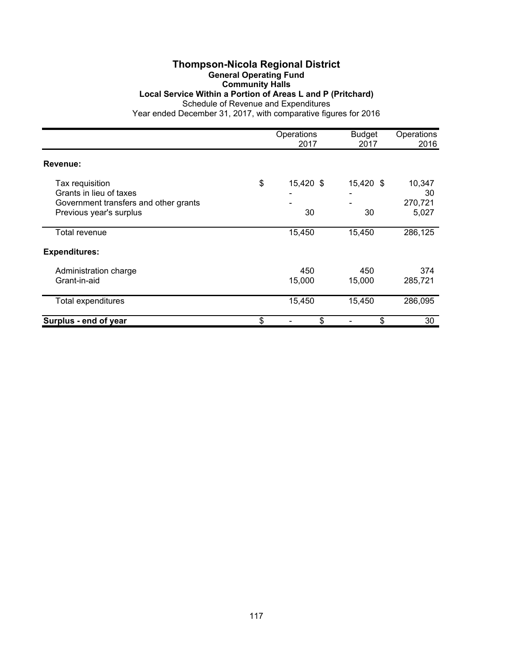#### **Thompson-Nicola Regional District General Operating Fund Community Halls**

#### **Local Service Within a Portion of Areas L and P (Pritchard)**

Schedule of Revenue and Expenditures

|                                                                                                                | Operations<br>2017    | <b>Budget</b><br>2017 | Operations<br>2016               |
|----------------------------------------------------------------------------------------------------------------|-----------------------|-----------------------|----------------------------------|
| Revenue:                                                                                                       |                       |                       |                                  |
| Tax requisition<br>Grants in lieu of taxes<br>Government transfers and other grants<br>Previous year's surplus | \$<br>15,420 \$<br>30 | 15,420 \$<br>30       | 10,347<br>30<br>270,721<br>5,027 |
| Total revenue                                                                                                  | 15,450                | 15,450                | 286,125                          |
| <b>Expenditures:</b>                                                                                           |                       |                       |                                  |
| Administration charge<br>Grant-in-aid                                                                          | 450<br>15,000         | 450<br>15,000         | 374<br>285,721                   |
| <b>Total expenditures</b>                                                                                      | 15,450                | 15,450                | 286,095                          |
| Surplus - end of year                                                                                          | \$<br>\$              | \$                    | 30                               |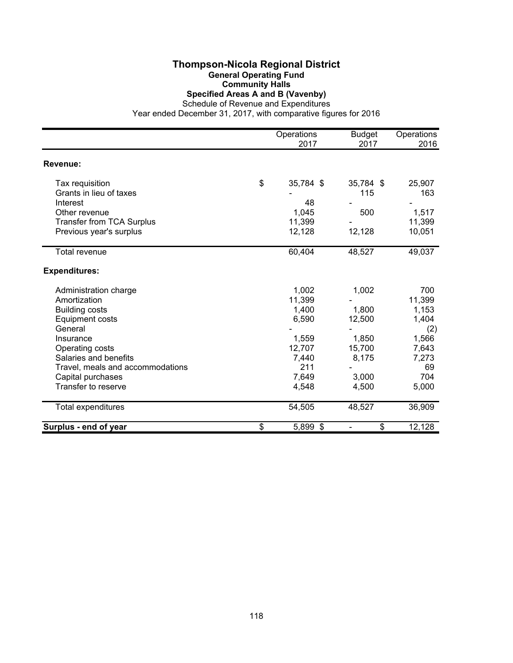#### **Thompson-Nicola Regional District General Operating Fund Community Halls Specified Areas A and B (Vavenby)**

Schedule of Revenue and Expenditures

|                                  | Operations      | <b>Budget</b> | Operations |
|----------------------------------|-----------------|---------------|------------|
|                                  | 2017            | 2017          | 2016       |
| Revenue:                         |                 |               |            |
|                                  |                 |               |            |
| Tax requisition                  | \$<br>35,784 \$ | 35,784 \$     | 25,907     |
| Grants in lieu of taxes          |                 | 115           | 163        |
| Interest                         | 48              |               |            |
| Other revenue                    | 1,045           | 500           | 1,517      |
| <b>Transfer from TCA Surplus</b> | 11,399          |               | 11,399     |
| Previous year's surplus          | 12,128          | 12,128        | 10,051     |
| <b>Total revenue</b>             | 60,404          | 48,527        | 49,037     |
| <b>Expenditures:</b>             |                 |               |            |
| Administration charge            | 1,002           | 1,002         | 700        |
| Amortization                     | 11,399          |               | 11,399     |
| <b>Building costs</b>            | 1,400           | 1,800         | 1,153      |
| <b>Equipment costs</b>           | 6,590           | 12,500        | 1,404      |
| General                          |                 |               | (2)        |
| Insurance                        | 1,559           | 1,850         | 1,566      |
| Operating costs                  | 12,707          | 15,700        | 7,643      |
| Salaries and benefits            | 7,440           | 8,175         | 7,273      |
| Travel, meals and accommodations | 211             |               | 69         |
| Capital purchases                | 7,649           | 3,000         | 704        |
| Transfer to reserve              | 4,548           | 4,500         | 5,000      |
| Total expenditures               | 54,505          | 48,527        | 36,909     |
| Surplus - end of year            | \$<br>5,899 \$  | \$            | 12,128     |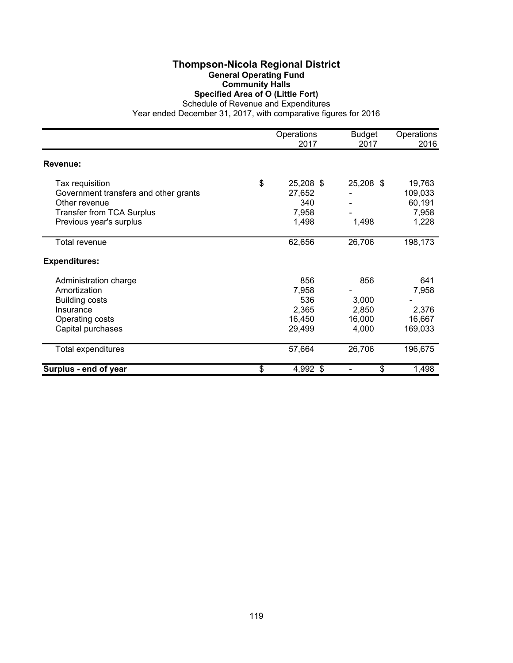#### **Thompson-Nicola Regional District General Operating Fund Community Halls Specified Area of O (Little Fort)**

Schedule of Revenue and Expenditures

|                                       | Operations<br>2017 | <b>Budget</b><br>2017 | Operations<br>2016 |
|---------------------------------------|--------------------|-----------------------|--------------------|
| <b>Revenue:</b>                       |                    |                       |                    |
| Tax requisition                       | \$<br>25,208 \$    | 25,208 \$             | 19,763             |
| Government transfers and other grants | 27,652             |                       | 109,033            |
| Other revenue                         | 340                |                       | 60,191             |
| <b>Transfer from TCA Surplus</b>      | 7,958              |                       | 7,958              |
| Previous year's surplus               | 1,498              | 1,498                 | 1,228              |
| Total revenue                         | 62,656             | 26,706                | 198,173            |
| <b>Expenditures:</b>                  |                    |                       |                    |
| Administration charge                 | 856                | 856                   | 641                |
| Amortization                          | 7,958              |                       | 7,958              |
| <b>Building costs</b>                 | 536                | 3,000                 |                    |
| Insurance                             | 2,365              | 2,850                 | 2,376              |
| Operating costs                       | 16,450             | 16,000                | 16,667             |
| Capital purchases                     | 29,499             | 4,000                 | 169,033            |
| Total expenditures                    | 57,664             | 26,706                | 196,675            |
| Surplus - end of year                 | \$<br>4,992 \$     | \$                    | 1,498              |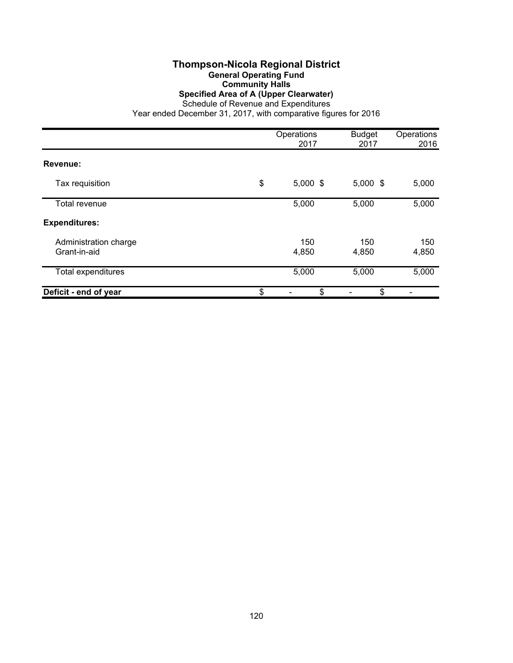#### **Thompson-Nicola Regional District General Operating Fund Community Halls Specified Area of A (Upper Clearwater)**

Schedule of Revenue and Expenditures

|                                       | Operations<br>2017 | <b>Budget</b><br>2017 | Operations<br>2016 |
|---------------------------------------|--------------------|-----------------------|--------------------|
| Revenue:                              |                    |                       |                    |
| Tax requisition                       | \$<br>$5,000$ \$   | $5,000$ \$            | 5,000              |
| Total revenue                         | 5,000              | 5,000                 | 5,000              |
| <b>Expenditures:</b>                  |                    |                       |                    |
| Administration charge<br>Grant-in-aid | 150<br>4,850       | 150<br>4,850          | 150<br>4,850       |
| Total expenditures                    | 5,000              | 5,000                 | 5,000              |
| Deficit - end of year                 | \$<br>\$           | \$                    |                    |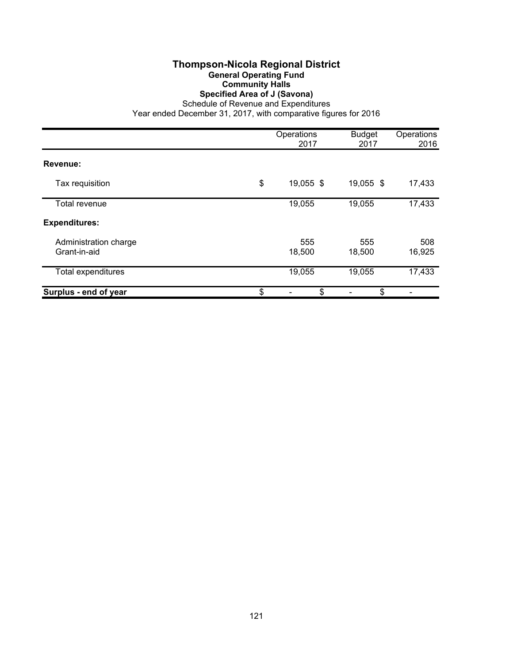## **Thompson-Nicola Regional District General Operating Fund Community Halls Specified Area of J (Savona)**

Schedule of Revenue and Expenditures

|                                       | Operations<br>2017 | <b>Budget</b><br>2017 | Operations<br>2016 |
|---------------------------------------|--------------------|-----------------------|--------------------|
| Revenue:                              |                    |                       |                    |
| Tax requisition                       | \$<br>19,055 \$    | 19,055 \$             | 17,433             |
| Total revenue                         | 19,055             | 19,055                | 17,433             |
| <b>Expenditures:</b>                  |                    |                       |                    |
| Administration charge<br>Grant-in-aid | 555<br>18,500      | 555<br>18,500         | 508<br>16,925      |
| Total expenditures                    | 19,055             | 19,055                | 17,433             |
| Surplus - end of year                 | \$<br>\$           | \$                    |                    |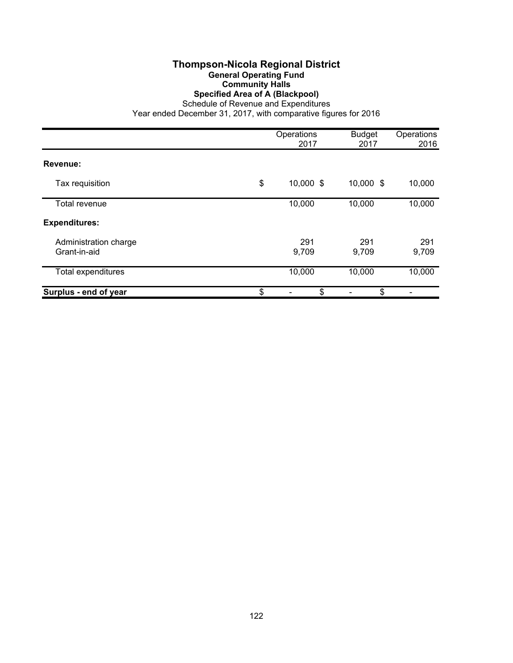#### **Thompson-Nicola Regional District General Operating Fund Community Halls Specified Area of A (Blackpool)**

Schedule of Revenue and Expenditures

|                                       | Operations<br>2017 | <b>Budget</b><br>2017 | Operations<br>2016 |
|---------------------------------------|--------------------|-----------------------|--------------------|
| Revenue:                              |                    |                       |                    |
| Tax requisition                       | \$<br>10,000 \$    | 10,000 \$             | 10,000             |
| Total revenue                         | 10,000             | 10,000                | 10,000             |
| <b>Expenditures:</b>                  |                    |                       |                    |
| Administration charge<br>Grant-in-aid | 291<br>9,709       | 291<br>9,709          | 291<br>9,709       |
| Total expenditures                    | 10,000             | 10,000                | 10,000             |
| Surplus - end of year                 | \$<br>\$           | \$                    |                    |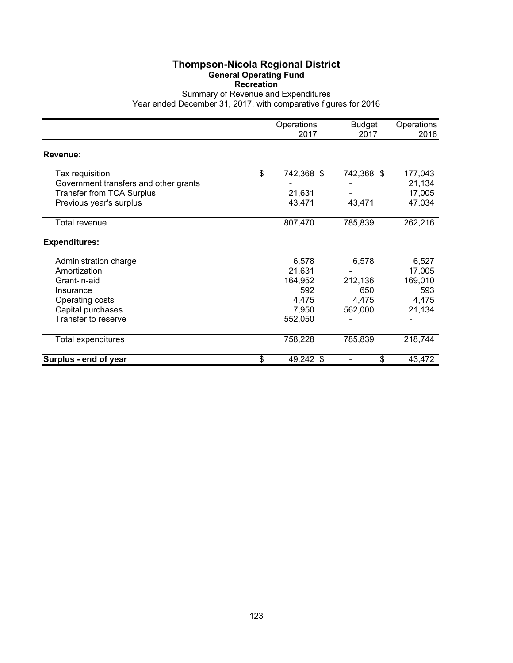#### **Thompson-Nicola Regional District General Operating Fund Recreation**

Summary of Revenue and Expenditures

|                                                                                                                                   | Operations<br>2017                                             | <b>Budget</b><br>2017                       | Operations<br>2016                                   |
|-----------------------------------------------------------------------------------------------------------------------------------|----------------------------------------------------------------|---------------------------------------------|------------------------------------------------------|
| Revenue:                                                                                                                          |                                                                |                                             |                                                      |
| Tax requisition<br>Government transfers and other grants<br><b>Transfer from TCA Surplus</b><br>Previous year's surplus           | \$<br>742,368 \$<br>21,631<br>43,471                           | 742,368 \$<br>43,471                        | 177,043<br>21,134<br>17,005<br>47,034                |
| Total revenue                                                                                                                     | 807,470                                                        | 785,839                                     | 262,216                                              |
| <b>Expenditures:</b>                                                                                                              |                                                                |                                             |                                                      |
| Administration charge<br>Amortization<br>Grant-in-aid<br>Insurance<br>Operating costs<br>Capital purchases<br>Transfer to reserve | 6,578<br>21,631<br>164,952<br>592<br>4,475<br>7,950<br>552,050 | 6,578<br>212,136<br>650<br>4,475<br>562,000 | 6,527<br>17,005<br>169,010<br>593<br>4,475<br>21,134 |
| Total expenditures                                                                                                                | 758,228                                                        | 785,839                                     | 218,744                                              |
| Surplus - end of year                                                                                                             | \$<br>49,242 \$                                                | \$                                          | 43,472                                               |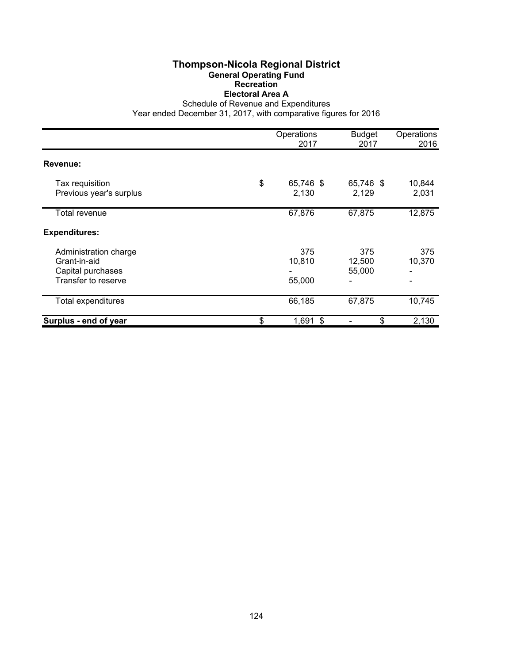## **Thompson-Nicola Regional District General Operating Fund Recreation Electoral Area A**

Schedule of Revenue and Expenditures

|                                                                                   | Operations<br>2017       | <b>Budget</b><br>2017   | Operations<br>2016 |
|-----------------------------------------------------------------------------------|--------------------------|-------------------------|--------------------|
| Revenue:                                                                          |                          |                         |                    |
| Tax requisition<br>Previous year's surplus                                        | \$<br>65,746 \$<br>2,130 | 65,746 \$<br>2,129      | 10,844<br>2,031    |
| Total revenue                                                                     | 67,876                   | 67,875                  | 12,875             |
| <b>Expenditures:</b>                                                              |                          |                         |                    |
| Administration charge<br>Grant-in-aid<br>Capital purchases<br>Transfer to reserve | 375<br>10,810<br>55,000  | 375<br>12,500<br>55,000 | 375<br>10,370<br>- |
| Total expenditures                                                                | 66,185                   | 67,875                  | 10,745             |
| Surplus - end of year                                                             | \$<br>$1,691$ \$         | \$                      | 2,130              |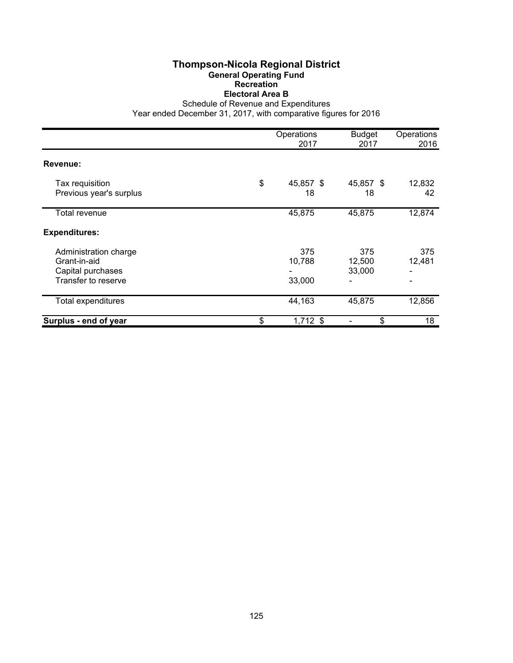## **Thompson-Nicola Regional District General Operating Fund Recreation Electoral Area B**

Schedule of Revenue and Expenditures

|                                                                                   | Operations<br>2017      | <b>Budget</b><br>2017   | Operations<br>2016 |
|-----------------------------------------------------------------------------------|-------------------------|-------------------------|--------------------|
| Revenue:                                                                          |                         |                         |                    |
| Tax requisition<br>Previous year's surplus                                        | \$<br>45,857 \$<br>18   | 45,857 \$<br>18         | 12,832<br>42       |
| Total revenue                                                                     | 45,875                  | 45,875                  | 12,874             |
| <b>Expenditures:</b>                                                              |                         |                         |                    |
| Administration charge<br>Grant-in-aid<br>Capital purchases<br>Transfer to reserve | 375<br>10,788<br>33,000 | 375<br>12,500<br>33,000 | 375<br>12,481      |
| Total expenditures                                                                | 44,163                  | 45,875                  | 12,856             |
| Surplus - end of year                                                             | \$<br>$1,712$ \$        | \$                      | 18                 |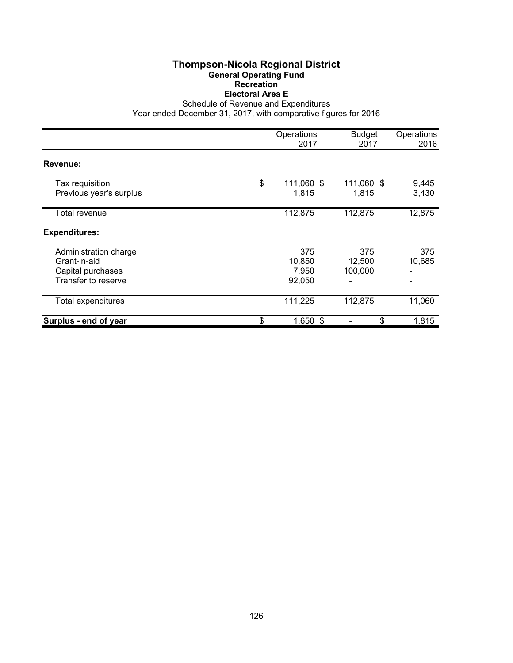## **Thompson-Nicola Regional District General Operating Fund Recreation Electoral Area E**

Schedule of Revenue and Expenditures

|                                                                                   | Operations<br>2017               | <b>Budget</b><br>2017    | Operations<br>2016 |
|-----------------------------------------------------------------------------------|----------------------------------|--------------------------|--------------------|
| Revenue:                                                                          |                                  |                          |                    |
| Tax requisition<br>Previous year's surplus                                        | \$<br>111,060 \$<br>1,815        | 111,060 \$<br>1,815      | 9,445<br>3,430     |
| Total revenue                                                                     | 112,875                          | 112,875                  | 12,875             |
| <b>Expenditures:</b>                                                              |                                  |                          |                    |
| Administration charge<br>Grant-in-aid<br>Capital purchases<br>Transfer to reserve | 375<br>10,850<br>7,950<br>92,050 | 375<br>12,500<br>100,000 | 375<br>10,685      |
| Total expenditures                                                                | 111,225                          | 112,875                  | 11,060             |
| Surplus - end of year                                                             | \$<br>$1,650$ \$                 | \$                       | 1,815              |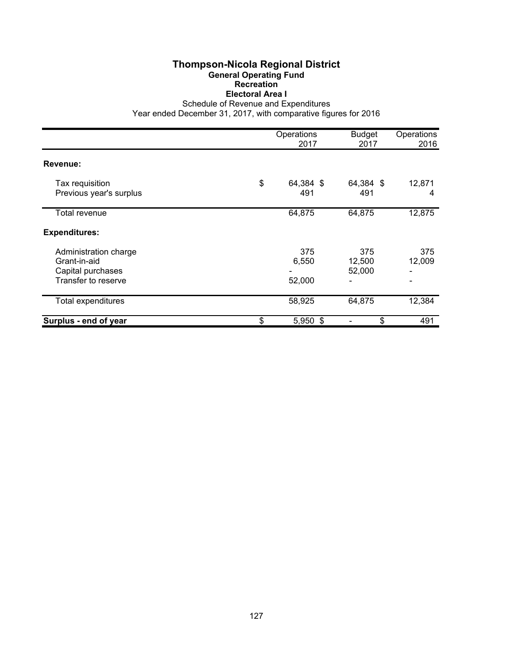## **Thompson-Nicola Regional District General Operating Fund Recreation Electoral Area I**

Schedule of Revenue and Expenditures

|                                                                                   | Operations<br>2017     | <b>Budget</b><br>2017   | Operations<br>2016 |
|-----------------------------------------------------------------------------------|------------------------|-------------------------|--------------------|
| Revenue:                                                                          |                        |                         |                    |
| Tax requisition<br>Previous year's surplus                                        | \$<br>64,384 \$<br>491 | 64,384 \$<br>491        | 12,871<br>4        |
| Total revenue                                                                     | 64,875                 | 64,875                  | 12,875             |
| <b>Expenditures:</b>                                                              |                        |                         |                    |
| Administration charge<br>Grant-in-aid<br>Capital purchases<br>Transfer to reserve | 375<br>6,550<br>52,000 | 375<br>12,500<br>52,000 | 375<br>12,009      |
| <b>Total expenditures</b>                                                         | 58,925                 | 64,875                  | 12,384             |
| Surplus - end of year                                                             | \$<br>5,950 \$         | \$                      | 491                |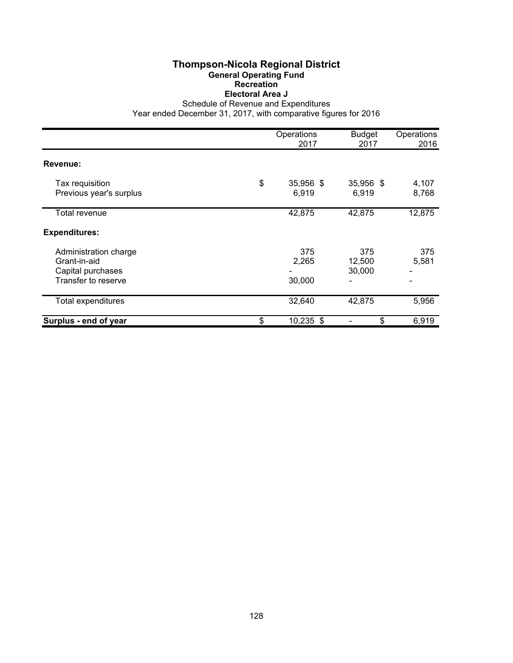## **Thompson-Nicola Regional District General Operating Fund Recreation Electoral Area J**

Schedule of Revenue and Expenditures

|                                                                                   | Operations<br>2017       | <b>Budget</b><br>2017   | Operations<br>2016 |
|-----------------------------------------------------------------------------------|--------------------------|-------------------------|--------------------|
| Revenue:                                                                          |                          |                         |                    |
| Tax requisition<br>Previous year's surplus                                        | \$<br>35,956 \$<br>6,919 | 35,956 \$<br>6,919      | 4,107<br>8,768     |
| Total revenue                                                                     | 42,875                   | 42,875                  | 12,875             |
| <b>Expenditures:</b>                                                              |                          |                         |                    |
| Administration charge<br>Grant-in-aid<br>Capital purchases<br>Transfer to reserve | 375<br>2,265<br>30,000   | 375<br>12,500<br>30,000 | 375<br>5,581       |
| <b>Total expenditures</b>                                                         | 32,640                   | 42,875                  | 5,956              |
| Surplus - end of year                                                             | \$<br>$10,235$ \$        | \$                      | 6,919              |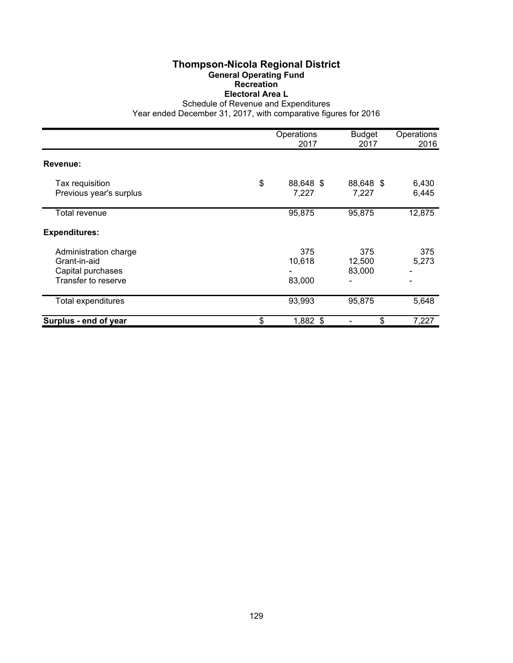## **Thompson-Nicola Regional District General Operating Fund Recreation Electoral Area L**

Schedule of Revenue and Expenditures

|                                                                                   | Operations<br>2017       | <b>Budget</b><br>2017   | Operations<br>2016 |
|-----------------------------------------------------------------------------------|--------------------------|-------------------------|--------------------|
| Revenue:                                                                          |                          |                         |                    |
| Tax requisition<br>Previous year's surplus                                        | \$<br>88,648 \$<br>7,227 | 88,648 \$<br>7,227      | 6,430<br>6,445     |
| Total revenue                                                                     | 95,875                   | 95,875                  | 12,875             |
| <b>Expenditures:</b>                                                              |                          |                         |                    |
| Administration charge<br>Grant-in-aid<br>Capital purchases<br>Transfer to reserve | 375<br>10,618<br>83,000  | 375<br>12,500<br>83,000 | 375<br>5,273       |
| <b>Total expenditures</b>                                                         | 93,993                   | 95,875                  | 5,648              |
| Surplus - end of year                                                             | \$<br>1,882 \$           | \$                      | 7,227              |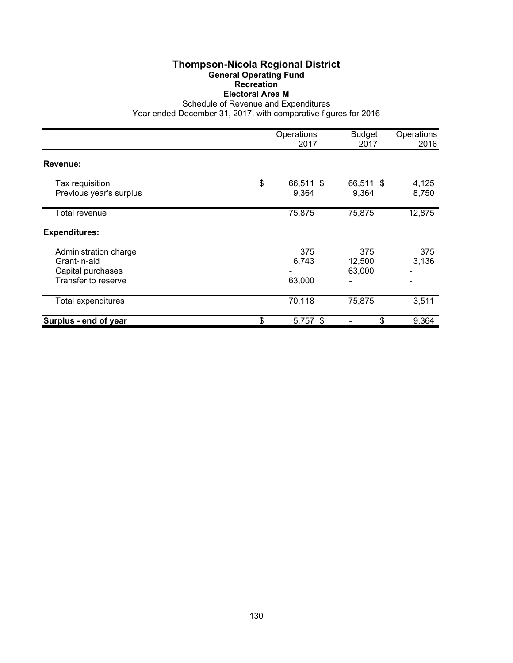#### **Thompson-Nicola Regional District General Operating Fund Recreation Electoral Area M**

Schedule of Revenue and Expenditures

|                                                                                   | Operations<br>2017       | <b>Budget</b><br>2017   | Operations<br>2016 |
|-----------------------------------------------------------------------------------|--------------------------|-------------------------|--------------------|
| Revenue:                                                                          |                          |                         |                    |
| Tax requisition<br>Previous year's surplus                                        | \$<br>66,511 \$<br>9,364 | 66,511 \$<br>9,364      | 4,125<br>8,750     |
| Total revenue                                                                     | 75,875                   | 75,875                  | 12,875             |
| <b>Expenditures:</b>                                                              |                          |                         |                    |
| Administration charge<br>Grant-in-aid<br>Capital purchases<br>Transfer to reserve | 375<br>6,743<br>63,000   | 375<br>12,500<br>63,000 | 375<br>3,136<br>-  |
| Total expenditures                                                                | 70,118                   | 75,875                  | 3,511              |
| Surplus - end of year                                                             | \$<br>$5,757$ \$         | \$                      | 9,364              |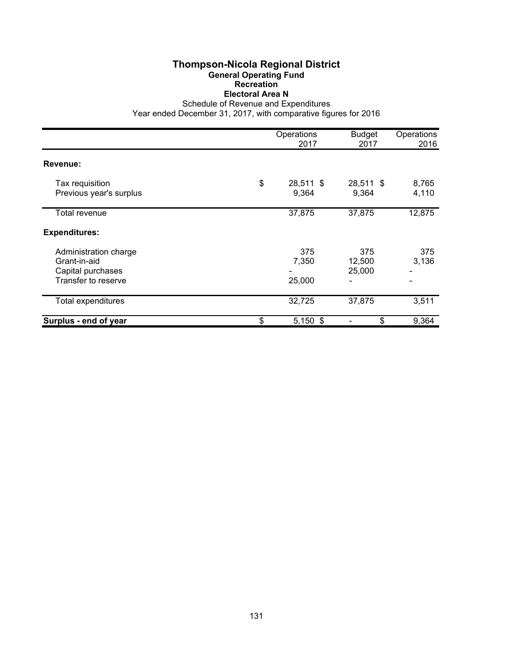## **Thompson-Nicola Regional District General Operating Fund Recreation Electoral Area N**

Schedule of Revenue and Expenditures

|                                                                                   | Operations<br>2017       | <b>Budget</b><br>2017        | Operations<br>2016 |
|-----------------------------------------------------------------------------------|--------------------------|------------------------------|--------------------|
| Revenue:                                                                          |                          |                              |                    |
| Tax requisition<br>Previous year's surplus                                        | \$<br>28,511 \$<br>9,364 | 28,511 \$<br>9,364           | 8,765<br>4,110     |
| Total revenue                                                                     | 37,875                   | 37,875                       | 12,875             |
| <b>Expenditures:</b>                                                              |                          |                              |                    |
| Administration charge<br>Grant-in-aid<br>Capital purchases<br>Transfer to reserve | 375<br>7,350<br>25,000   | 375<br>12,500<br>25,000<br>- | 375<br>3,136<br>۰  |
| <b>Total expenditures</b>                                                         | 32,725                   | 37,875                       | 3,511              |
| Surplus - end of year                                                             | \$<br>$5,150$ \$         | \$                           | 9,364              |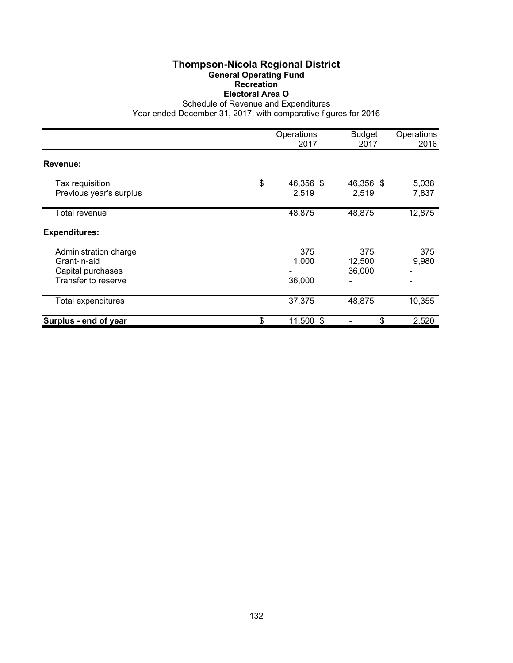## **Thompson-Nicola Regional District General Operating Fund Recreation Electoral Area O**

Schedule of Revenue and Expenditures

|                                                                                   | Operations<br>2017       | <b>Budget</b><br>2017   | Operations<br>2016 |
|-----------------------------------------------------------------------------------|--------------------------|-------------------------|--------------------|
| Revenue:                                                                          |                          |                         |                    |
| Tax requisition<br>Previous year's surplus                                        | \$<br>46,356 \$<br>2,519 | 46,356 \$<br>2,519      | 5,038<br>7,837     |
| Total revenue                                                                     | 48,875                   | 48,875                  | 12,875             |
| <b>Expenditures:</b>                                                              |                          |                         |                    |
| Administration charge<br>Grant-in-aid<br>Capital purchases<br>Transfer to reserve | 375<br>1,000<br>36,000   | 375<br>12,500<br>36,000 | 375<br>9,980       |
| <b>Total expenditures</b>                                                         | 37,375                   | 48,875                  | 10,355             |
| Surplus - end of year                                                             | \$<br>11,500 \$          | \$                      | 2,520              |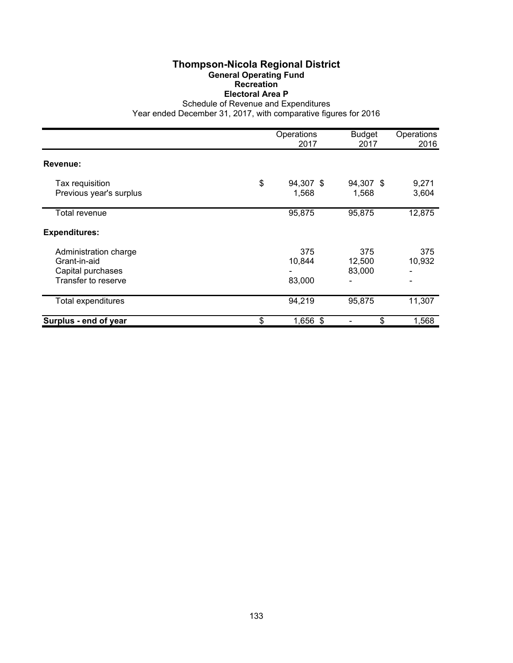## **Thompson-Nicola Regional District General Operating Fund Recreation Electoral Area P**

Schedule of Revenue and Expenditures

|                                                                                   | Operations<br>2017       | <b>Budget</b><br>2017   | Operations<br>2016 |
|-----------------------------------------------------------------------------------|--------------------------|-------------------------|--------------------|
| Revenue:                                                                          |                          |                         |                    |
| Tax requisition<br>Previous year's surplus                                        | \$<br>94,307 \$<br>1,568 | 94,307 \$<br>1,568      | 9,271<br>3,604     |
| Total revenue                                                                     | 95,875                   | 95,875                  | 12,875             |
| <b>Expenditures:</b>                                                              |                          |                         |                    |
| Administration charge<br>Grant-in-aid<br>Capital purchases<br>Transfer to reserve | 375<br>10,844<br>83,000  | 375<br>12,500<br>83,000 | 375<br>10,932      |
| <b>Total expenditures</b>                                                         | 94,219                   | 95,875                  | 11,307             |
| Surplus - end of year                                                             | \$<br>1,656 \$           | \$                      | 1,568              |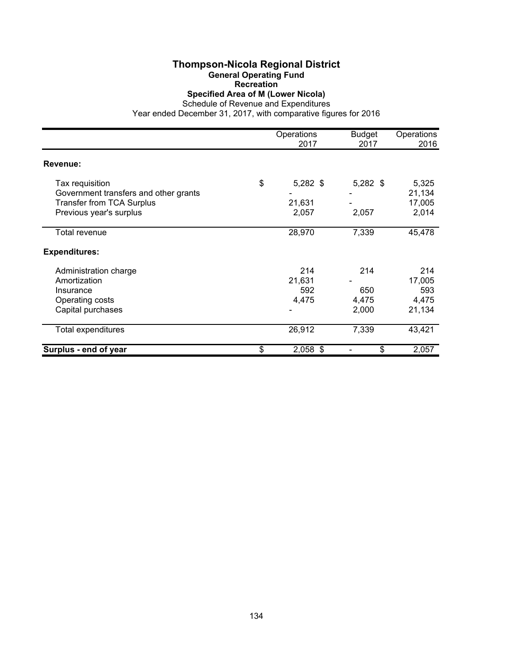# **Thompson-Nicola Regional District**

**General Operating Fund**

**Recreation**

**Specified Area of M (Lower Nicola)**

Schedule of Revenue and Expenditures

|                                       | Operations<br>2017 | <b>Budget</b><br>2017 | Operations<br>2016 |
|---------------------------------------|--------------------|-----------------------|--------------------|
| <b>Revenue:</b>                       |                    |                       |                    |
| Tax requisition                       | \$<br>$5,282$ \$   | $5,282$ \$            | 5,325              |
| Government transfers and other grants |                    |                       | 21,134             |
| <b>Transfer from TCA Surplus</b>      | 21,631             |                       | 17,005             |
| Previous year's surplus               | 2,057              | 2,057                 | 2,014              |
| Total revenue                         | 28,970             | 7,339                 | 45,478             |
| <b>Expenditures:</b>                  |                    |                       |                    |
| Administration charge                 | 214                | 214                   | 214                |
| Amortization                          | 21,631             |                       | 17,005             |
| Insurance                             | 592                | 650                   | 593                |
| Operating costs                       | 4,475              | 4,475                 | 4,475              |
| Capital purchases                     |                    | 2,000                 | 21,134             |
| Total expenditures                    | 26,912             | 7,339                 | 43,421             |
| Surplus - end of year                 | \$<br>$2,058$ \$   | \$                    | 2,057              |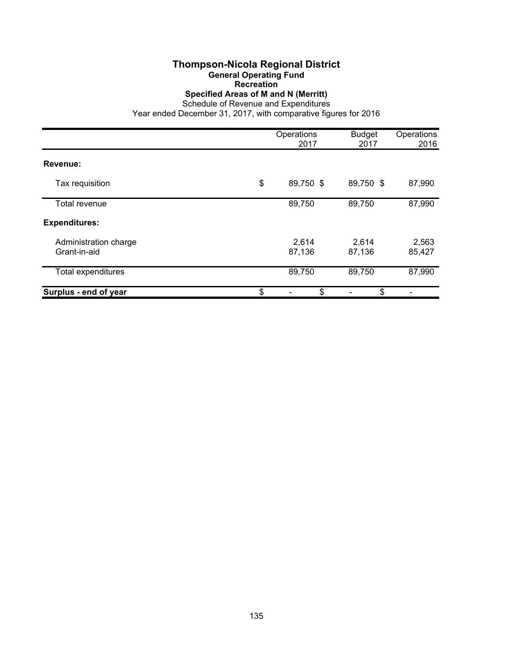# **Thompson-Nicola Regional District**

**General Operating Fund**

**Recreation**

**Specified Areas of M and N (Merritt)**

Schedule of Revenue and Expenditures

|                                       | Operations<br>2017 | <b>Budget</b><br>2017 | Operations<br>2016 |
|---------------------------------------|--------------------|-----------------------|--------------------|
| Revenue:                              |                    |                       |                    |
| Tax requisition                       | \$<br>89,750 \$    | 89,750 \$             | 87,990             |
| Total revenue                         | 89,750             | 89,750                | 87,990             |
| <b>Expenditures:</b>                  |                    |                       |                    |
| Administration charge<br>Grant-in-aid | 2,614<br>87,136    | 2,614<br>87,136       | 2,563<br>85,427    |
| Total expenditures                    | 89,750             | 89,750                | 87,990             |
| Surplus - end of year                 | \$<br>\$           | \$                    |                    |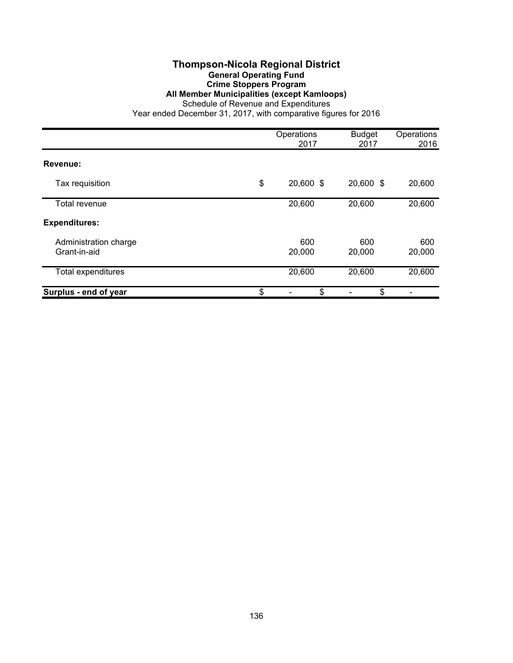#### **Thompson-Nicola Regional District General Operating Fund Crime Stoppers Program All Member Municipalities (except Kamloops)**

Schedule of Revenue and Expenditures

|                                       | Operations<br>2017 | <b>Budget</b><br>2017 | Operations<br>2016 |
|---------------------------------------|--------------------|-----------------------|--------------------|
| Revenue:                              |                    |                       |                    |
| Tax requisition                       | \$<br>20,600 \$    | 20,600 \$             | 20,600             |
| Total revenue                         | 20,600             | 20,600                | 20,600             |
| <b>Expenditures:</b>                  |                    |                       |                    |
| Administration charge<br>Grant-in-aid | 600<br>20,000      | 600<br>20,000         | 600<br>20,000      |
| Total expenditures                    | 20,600             | 20,600                | 20,600             |
| Surplus - end of year                 | \$<br>\$           | \$                    |                    |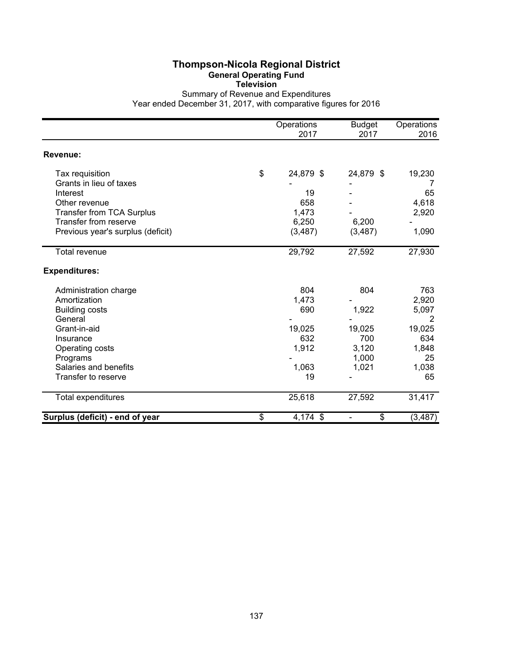## **Thompson-Nicola Regional District General Operating Fund**

**Television**

Summary of Revenue and Expenditures Year ended December 31, 2017, with comparative figures for 2016

|                                   | Operations<br>2017 | <b>Budget</b><br>2017 | Operations<br>2016 |
|-----------------------------------|--------------------|-----------------------|--------------------|
| Revenue:                          |                    |                       |                    |
| Tax requisition                   | \$<br>24,879 \$    | 24,879 \$             | 19,230             |
| Grants in lieu of taxes           |                    |                       | 7                  |
| Interest                          | 19                 |                       | 65                 |
| Other revenue                     | 658                |                       | 4,618              |
| Transfer from TCA Surplus         | 1,473              |                       | 2,920              |
| Transfer from reserve             | 6,250              | 6,200                 |                    |
| Previous year's surplus (deficit) | (3, 487)           | (3, 487)              | 1,090              |
| <b>Total revenue</b>              | 29,792             | 27,592                | 27,930             |
| <b>Expenditures:</b>              |                    |                       |                    |
| Administration charge             | 804                | 804                   | 763                |
| Amortization                      | 1,473              |                       | 2,920              |
| <b>Building costs</b>             | 690                | 1,922                 | 5,097              |
| General                           |                    |                       | 2                  |
| Grant-in-aid                      | 19,025             | 19,025                | 19,025             |
| Insurance                         | 632                | 700                   | 634                |
| Operating costs                   | 1,912              | 3,120                 | 1,848              |
| Programs                          |                    | 1,000                 | 25                 |
| Salaries and benefits             | 1,063              | 1,021                 | 1,038              |
| Transfer to reserve               | 19                 |                       | 65                 |
| Total expenditures                | 25,618             | 27,592                | 31,417             |
| Surplus (deficit) - end of year   | \$<br>4,174 \$     | \$                    | (3, 487)           |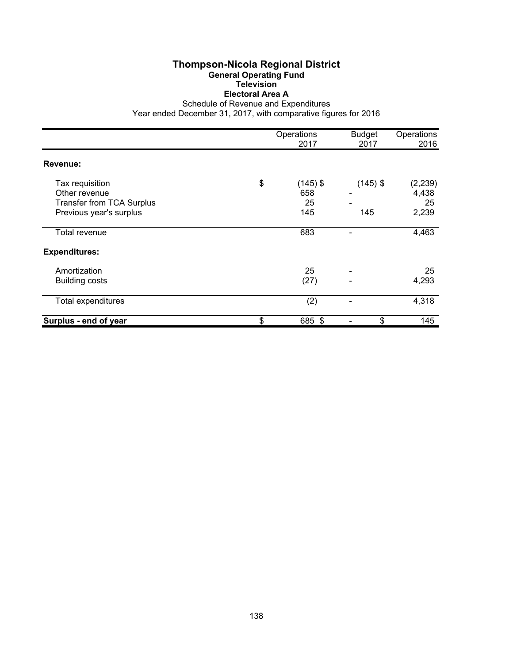#### **Thompson-Nicola Regional District General Operating Fund Television Electoral Area A**

Schedule of Revenue and Expenditures

|                                                                                                 | Operations<br>2017                   | <b>Budget</b><br>2017 | Operations<br>2016               |
|-------------------------------------------------------------------------------------------------|--------------------------------------|-----------------------|----------------------------------|
| Revenue:                                                                                        |                                      |                       |                                  |
| Tax requisition<br>Other revenue<br><b>Transfer from TCA Surplus</b><br>Previous year's surplus | \$<br>$(145)$ \$<br>658<br>25<br>145 | $(145)$ \$<br>145     | (2, 239)<br>4,438<br>25<br>2,239 |
| Total revenue                                                                                   | 683                                  |                       | 4,463                            |
| <b>Expenditures:</b>                                                                            |                                      |                       |                                  |
| Amortization<br><b>Building costs</b>                                                           | 25<br>(27)                           | ٠                     | 25<br>4,293                      |
| Total expenditures                                                                              | (2)                                  |                       | 4,318                            |
| Surplus - end of year                                                                           | \$<br>685 \$                         | \$                    | 145                              |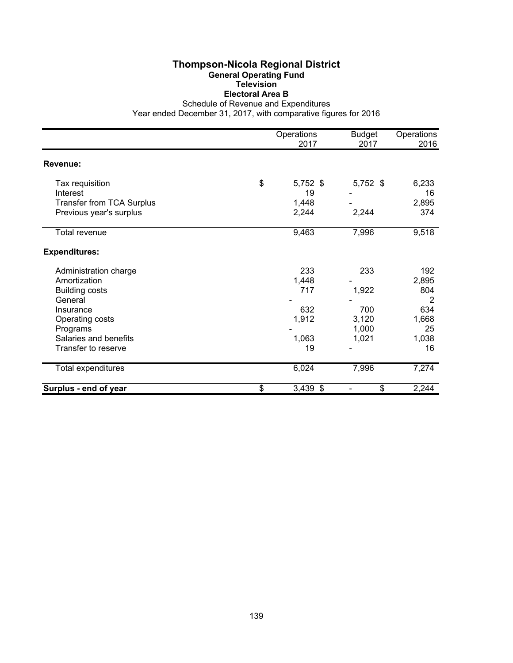#### **Thompson-Nicola Regional District General Operating Fund Television Electoral Area B**

Schedule of Revenue and Expenditures

|                                  | Operations<br>2017 | <b>Budget</b><br>2017 | Operations<br>2016 |
|----------------------------------|--------------------|-----------------------|--------------------|
| Revenue:                         |                    |                       |                    |
|                                  |                    |                       |                    |
| Tax requisition                  | \$<br>$5,752$ \$   | $5,752$ \$            | 6,233              |
| Interest                         | 19                 |                       | 16                 |
| <b>Transfer from TCA Surplus</b> | 1,448              |                       | 2,895              |
| Previous year's surplus          | 2,244              | 2,244                 | 374                |
| Total revenue                    | 9,463              | 7,996                 | 9,518              |
| <b>Expenditures:</b>             |                    |                       |                    |
| Administration charge            | 233                | 233                   | 192                |
| Amortization                     | 1,448              |                       | 2,895              |
| <b>Building costs</b>            | 717                | 1,922                 | 804                |
| General                          |                    |                       | 2                  |
| Insurance                        | 632                | 700                   | 634                |
| Operating costs                  | 1,912              | 3,120                 | 1,668              |
| Programs                         |                    | 1,000                 | 25                 |
| Salaries and benefits            | 1,063              | 1,021                 | 1,038              |
| Transfer to reserve              | 19                 |                       | 16                 |
| Total expenditures               | 6,024              | 7,996                 | 7,274              |
| Surplus - end of year            | \$<br>$3,439$ \$   | \$                    | 2,244              |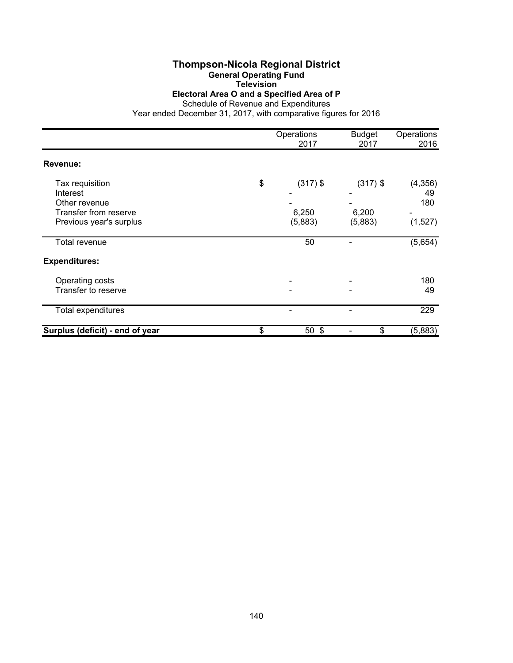## **Thompson-Nicola Regional District**

**General Operating Fund**

**Television**

**Electoral Area O and a Specified Area of P**

Schedule of Revenue and Expenditures Year ended December 31, 2017, with comparative figures for 2016

|                                                                                                  | Operations<br>2017                   | <b>Budget</b><br>2017          | Operations<br>2016               |
|--------------------------------------------------------------------------------------------------|--------------------------------------|--------------------------------|----------------------------------|
| <b>Revenue:</b>                                                                                  |                                      |                                |                                  |
| Tax requisition<br>Interest<br>Other revenue<br>Transfer from reserve<br>Previous year's surplus | \$<br>$(317)$ \$<br>6,250<br>(5,883) | $(317)$ \$<br>6,200<br>(5,883) | (4, 356)<br>49<br>180<br>(1,527) |
| Total revenue                                                                                    | 50                                   |                                | (5,654)                          |
| <b>Expenditures:</b>                                                                             |                                      |                                |                                  |
| Operating costs<br>Transfer to reserve                                                           |                                      |                                | 180<br>49                        |
| Total expenditures                                                                               |                                      |                                | 229                              |
| Surplus (deficit) - end of year                                                                  | \$<br>50 <sup>°</sup>                | \$                             | (5,883)                          |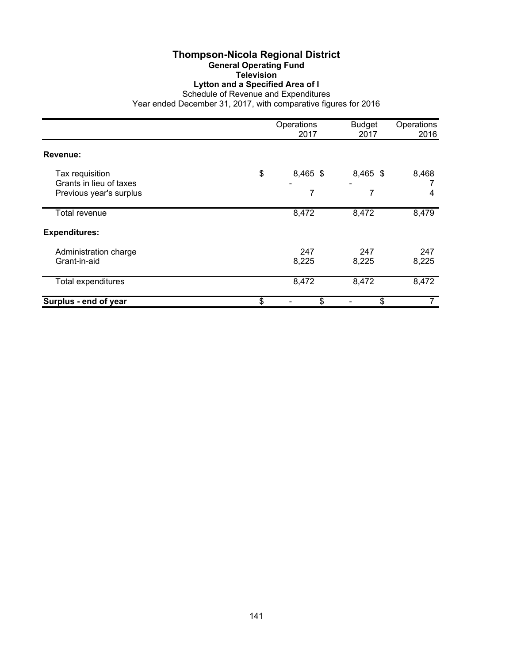## **Thompson-Nicola Regional District**

**General Operating Fund**

#### **Television Lytton and a Specified Area of I**

Schedule of Revenue and Expenditures

|                                                    | Operations<br>2017 | <b>Budget</b><br>2017 | Operations<br>2016 |
|----------------------------------------------------|--------------------|-----------------------|--------------------|
| Revenue:                                           |                    |                       |                    |
| Tax requisition                                    | \$<br>$8,465$ \$   | 8,465 \$              | 8,468              |
| Grants in lieu of taxes<br>Previous year's surplus | 7                  | 7                     | 4                  |
| Total revenue                                      | 8,472              | 8,472                 | 8,479              |
| <b>Expenditures:</b>                               |                    |                       |                    |
| Administration charge<br>Grant-in-aid              | 247<br>8,225       | 247<br>8,225          | 247<br>8,225       |
| Total expenditures                                 | 8,472              | 8,472                 | 8,472              |
| Surplus - end of year                              | \$<br>\$           | \$                    |                    |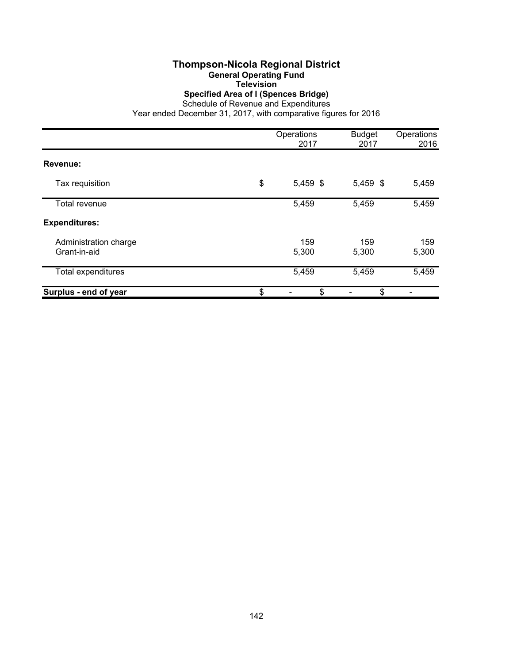# **Thompson-Nicola Regional District**

**General Operating Fund**

**Television**

**Specified Area of I (Spences Bridge)**

Schedule of Revenue and Expenditures

|                                       | Operations<br>2017 | <b>Budget</b><br>2017 | Operations<br>2016 |
|---------------------------------------|--------------------|-----------------------|--------------------|
| Revenue:                              |                    |                       |                    |
| Tax requisition                       | \$<br>5,459 \$     | 5,459 \$              | 5,459              |
| Total revenue                         | 5,459              | 5,459                 | 5,459              |
| <b>Expenditures:</b>                  |                    |                       |                    |
| Administration charge<br>Grant-in-aid | 159<br>5,300       | 159<br>5,300          | 159<br>5,300       |
| <b>Total expenditures</b>             | 5,459              | 5,459                 | 5,459              |
| Surplus - end of year                 | \$<br>\$           | \$                    |                    |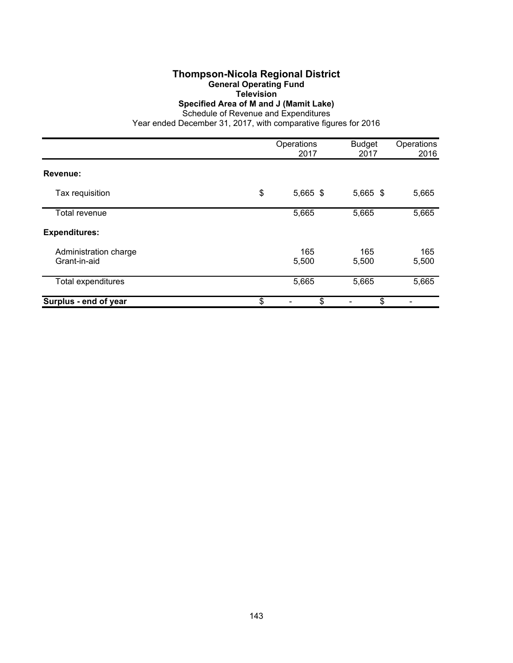#### **Thompson-Nicola Regional District General Operating Fund Television Specified Area of M and J (Mamit Lake)**

Schedule of Revenue and Expenditures

|                                       | Operations<br>2017 | <b>Budget</b><br>2017 | Operations<br>2016 |
|---------------------------------------|--------------------|-----------------------|--------------------|
| Revenue:                              |                    |                       |                    |
| Tax requisition                       | \$<br>$5,665$ \$   | 5,665 \$              | 5,665              |
| Total revenue                         | 5,665              | 5,665                 | 5,665              |
| <b>Expenditures:</b>                  |                    |                       |                    |
| Administration charge<br>Grant-in-aid | 165<br>5,500       | 165<br>5,500          | 165<br>5,500       |
| Total expenditures                    | 5,665              | 5,665                 | 5,665              |
| Surplus - end of year                 | \$<br>\$           | \$                    |                    |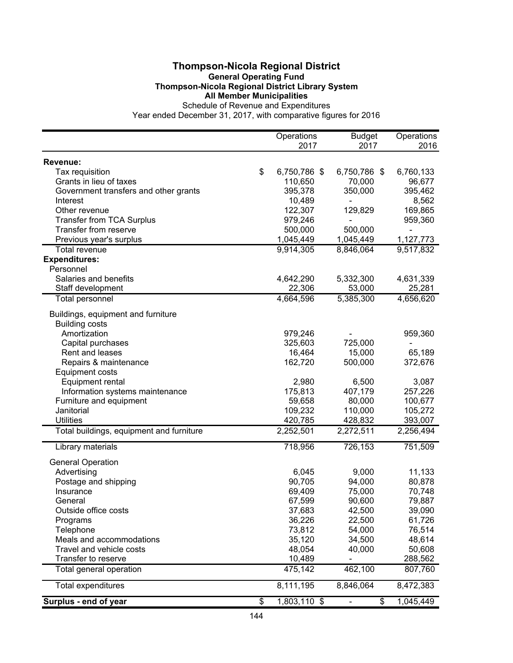#### **Thompson-Nicola Regional District General Operating Fund Thompson-Nicola Regional District Library System All Member Municipalities**

Schedule of Revenue and Expenditures

|                                          | Operations         | <b>Budget</b>  | Operations |
|------------------------------------------|--------------------|----------------|------------|
|                                          | 2017               | 2017           | 2016       |
| Revenue:                                 |                    |                |            |
| Tax requisition                          | \$<br>6,750,786 \$ | 6,750,786 \$   | 6,760,133  |
| Grants in lieu of taxes                  | 110,650            | 70,000         | 96,677     |
| Government transfers and other grants    | 395,378            | 350,000        | 395,462    |
| Interest                                 | 10,489             | $\blacksquare$ | 8,562      |
| Other revenue                            | 122,307            | 129,829        | 169,865    |
| <b>Transfer from TCA Surplus</b>         | 979,246            |                | 959,360    |
| Transfer from reserve                    | 500,000            | 500,000        |            |
| Previous year's surplus                  | 1,045,449          | 1,045,449      | 1,127,773  |
| Total revenue                            | 9,914,305          | 8,846,064      | 9,517,832  |
| <b>Expenditures:</b>                     |                    |                |            |
| Personnel                                |                    |                |            |
| Salaries and benefits                    | 4,642,290          | 5,332,300      | 4,631,339  |
| Staff development                        | 22,306             | 53,000         | 25,281     |
| Total personnel                          | 4,664,596          | 5,385,300      | 4,656,620  |
| Buildings, equipment and furniture       |                    |                |            |
| <b>Building costs</b>                    |                    |                |            |
| Amortization                             | 979,246            |                | 959,360    |
| Capital purchases                        | 325,603            | 725,000        |            |
| Rent and leases                          | 16,464             | 15,000         | 65,189     |
| Repairs & maintenance                    | 162,720            | 500,000        | 372,676    |
| <b>Equipment costs</b>                   |                    |                |            |
| Equipment rental                         | 2,980              | 6,500          | 3,087      |
| Information systems maintenance          | 175,813            | 407,179        | 257,226    |
| Furniture and equipment                  | 59,658             | 80,000         | 100,677    |
| Janitorial                               | 109,232            | 110,000        | 105,272    |
| <b>Utilities</b>                         | 420,785            | 428,832        | 393,007    |
| Total buildings, equipment and furniture | 2,252,501          | 2,272,511      | 2,256,494  |
| Library materials                        | 718,956            | 726,153        | 751,509    |
| <b>General Operation</b>                 |                    |                |            |
| Advertising                              | 6,045              | 9,000          | 11,133     |
| Postage and shipping                     | 90,705             | 94,000         | 80,878     |
| Insurance                                | 69,409             | 75,000         | 70,748     |
| General                                  | 67,599             | 90,600         | 79,887     |
| Outside office costs                     | 37,683             | 42,500         | 39,090     |
| Programs                                 | 36,226             | 22,500         | 61,726     |
| Telephone                                | 73,812             | 54,000         | 76,514     |
| Meals and accommodations                 | 35,120             | 34,500         | 48,614     |
| Travel and vehicle costs                 | 48,054             | 40,000         | 50,608     |
| Transfer to reserve                      | 10,489             |                | 288,562    |
| Total general operation                  | 475,142            | 462,100        | 807,760    |
| <b>Total expenditures</b>                | 8,111,195          | 8,846,064      | 8,472,383  |
| Surplus - end of year                    | \$<br>1,803,110 \$ | \$             | 1,045,449  |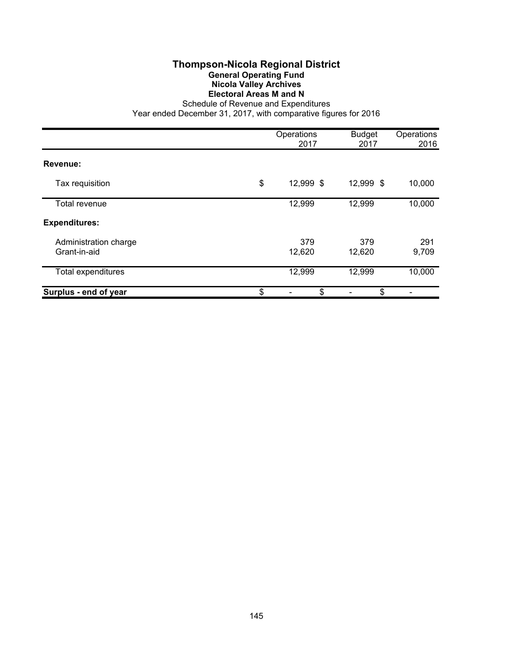## **Thompson-Nicola Regional District General Operating Fund Nicola Valley Archives Electoral Areas M and N**

|                                       | Operations<br>2017 | <b>Budget</b><br>2017 | Operations<br>2016 |
|---------------------------------------|--------------------|-----------------------|--------------------|
| Revenue:                              |                    |                       |                    |
| Tax requisition                       | \$<br>12,999 \$    | 12,999 \$             | 10,000             |
| Total revenue                         | 12,999             | 12,999                | 10,000             |
| <b>Expenditures:</b>                  |                    |                       |                    |
| Administration charge<br>Grant-in-aid | 379<br>12,620      | 379<br>12,620         | 291<br>9,709       |
| <b>Total expenditures</b>             | 12,999             | 12,999                | 10,000             |
| Surplus - end of year                 | \$<br>\$           | \$                    |                    |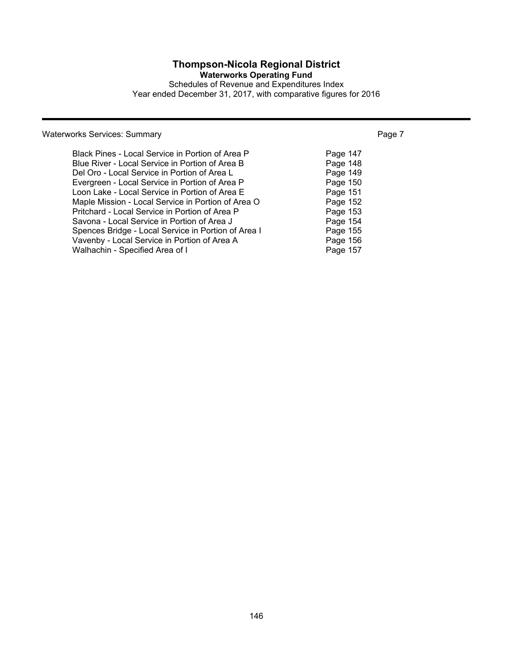## **Thompson-Nicola Regional District**

**Waterworks Operating Fund**

Schedules of Revenue and Expenditures Index Year ended December 31, 2017, with comparative figures for 2016

## Waterworks Services: Summary **Page 7** Number 2014 19:30 Number 2014

| Black Pines - Local Service in Portion of Area P    | Page 147 |
|-----------------------------------------------------|----------|
| Blue River - Local Service in Portion of Area B     | Page 148 |
| Del Oro - Local Service in Portion of Area L        | Page 149 |
| Evergreen - Local Service in Portion of Area P      | Page 150 |
| Loon Lake - Local Service in Portion of Area E      | Page 151 |
| Maple Mission - Local Service in Portion of Area O  | Page 152 |
| Pritchard - Local Service in Portion of Area P      | Page 153 |
| Savona - Local Service in Portion of Area J         | Page 154 |
| Spences Bridge - Local Service in Portion of Area I | Page 155 |
| Vavenby - Local Service in Portion of Area A        | Page 156 |
| Walhachin - Specified Area of I                     | Page 157 |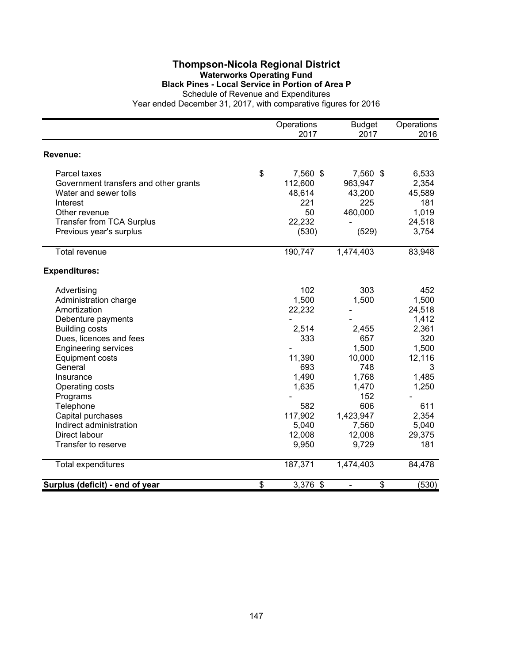#### **Thompson-Nicola Regional District Waterworks Operating Fund Black Pines - Local Service in Portion of Area P** Schedule of Revenue and Expenditures

|                                       | Operations<br>2017 | <b>Budget</b><br>2017 | Operations<br>2016 |
|---------------------------------------|--------------------|-----------------------|--------------------|
| Revenue:                              |                    |                       |                    |
| Parcel taxes                          | \$<br>7,560 \$     | 7,560 \$              | 6,533              |
| Government transfers and other grants | 112,600            | 963,947               | 2,354              |
| Water and sewer tolls                 | 48,614             | 43,200                | 45,589             |
| Interest                              | 221                | 225                   | 181                |
| Other revenue                         | 50                 | 460,000               | 1,019              |
| <b>Transfer from TCA Surplus</b>      | 22,232             |                       | 24,518             |
| Previous year's surplus               | (530)              | (529)                 | 3,754              |
| <b>Total revenue</b>                  | 190,747            | 1,474,403             | 83,948             |
| <b>Expenditures:</b>                  |                    |                       |                    |
| Advertising                           | 102                | 303                   | 452                |
| Administration charge                 | 1,500              | 1,500                 | 1,500              |
| Amortization                          | 22,232             |                       | 24,518             |
| Debenture payments                    |                    |                       | 1,412              |
| <b>Building costs</b>                 | 2,514              | 2,455                 | 2,361              |
| Dues, licences and fees               | 333                | 657                   | 320                |
| <b>Engineering services</b>           |                    | 1,500                 | 1,500              |
| <b>Equipment costs</b>                | 11,390             | 10,000                | 12,116             |
| General                               | 693                | 748                   | 3                  |
| Insurance                             | 1,490              | 1,768                 | 1,485              |
| Operating costs                       | 1,635              | 1,470                 | 1,250              |
| Programs                              |                    | 152                   |                    |
| Telephone                             | 582                | 606                   | 611                |
| Capital purchases                     | 117,902            | 1,423,947             | 2,354              |
| Indirect administration               | 5,040              | 7,560                 | 5,040              |
| Direct labour                         | 12,008             | 12,008                | 29,375             |
| Transfer to reserve                   | 9,950              | 9,729                 | 181                |
| Total expenditures                    | 187,371            | 1,474,403             | 84,478             |
| Surplus (deficit) - end of year       | \$<br>$3,376$ \$   | \$                    | (530)              |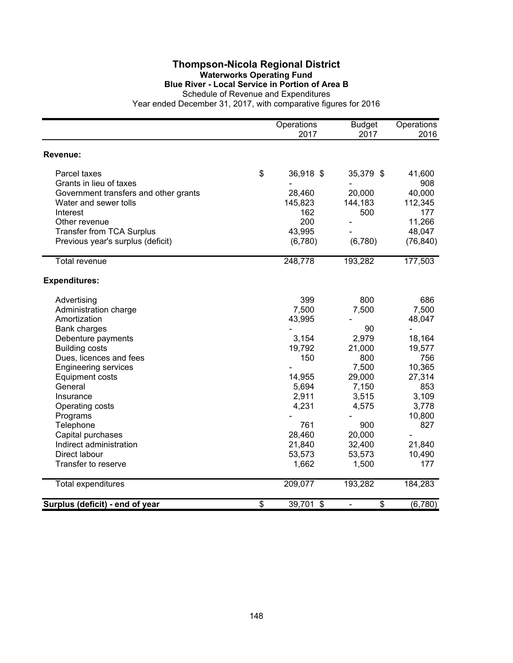#### **Thompson-Nicola Regional District Waterworks Operating Fund Blue River - Local Service in Portion of Area B** Schedule of Revenue and Expenditures

|                                       |                 | Operations<br>2017 | <b>Budget</b><br>2017          | Operations<br>2016 |
|---------------------------------------|-----------------|--------------------|--------------------------------|--------------------|
| Revenue:                              |                 |                    |                                |                    |
| Parcel taxes                          | \$              | 36,918 \$          | 35,379 \$                      | 41,600             |
| Grants in lieu of taxes               |                 |                    |                                | 908                |
| Government transfers and other grants |                 | 28,460             | 20,000                         | 40,000             |
| Water and sewer tolls                 |                 | 145,823            | 144,183                        | 112,345            |
| Interest                              |                 | 162                | 500                            | 177                |
| Other revenue                         |                 | 200                |                                | 11,266             |
| <b>Transfer from TCA Surplus</b>      |                 | 43,995             |                                | 48,047             |
| Previous year's surplus (deficit)     |                 | (6,780)            | (6,780)                        | (76, 840)          |
| <b>Total revenue</b>                  |                 | 248,778            | 193,282                        | 177,503            |
| <b>Expenditures:</b>                  |                 |                    |                                |                    |
| Advertising                           |                 | 399                | 800                            | 686                |
| Administration charge                 |                 | 7,500              | 7,500                          | 7,500              |
| Amortization                          |                 | 43,995             |                                | 48,047             |
| <b>Bank charges</b>                   |                 |                    | 90                             | $\blacksquare$     |
| Debenture payments                    |                 | 3,154              | 2,979                          | 18,164             |
| <b>Building costs</b>                 |                 | 19,792             | 21,000                         | 19,577             |
| Dues, licences and fees               |                 | 150                | 800                            | 756                |
| <b>Engineering services</b>           |                 |                    | 7,500                          | 10,365             |
| <b>Equipment costs</b>                |                 | 14,955             | 29,000                         | 27,314             |
| General                               |                 | 5,694              | 7,150                          | 853                |
| Insurance                             |                 | 2,911              | 3,515                          | 3,109              |
| Operating costs                       |                 | 4,231              | 4,575                          | 3,778              |
| Programs                              |                 |                    |                                | 10,800             |
| Telephone                             |                 | 761                | 900                            | 827                |
| Capital purchases                     |                 | 28,460             | 20,000                         |                    |
| Indirect administration               |                 | 21,840             | 32,400                         | 21,840             |
| Direct labour                         |                 | 53,573             | 53,573                         | 10,490             |
| Transfer to reserve                   |                 | 1,662              | 1,500                          | 177                |
| <b>Total expenditures</b>             |                 | 209,077            | 193,282                        | 184,283            |
| Surplus (deficit) - end of year       | $\overline{\$}$ | 39,701 \$          | \$<br>$\overline{\phantom{0}}$ | (6,780)            |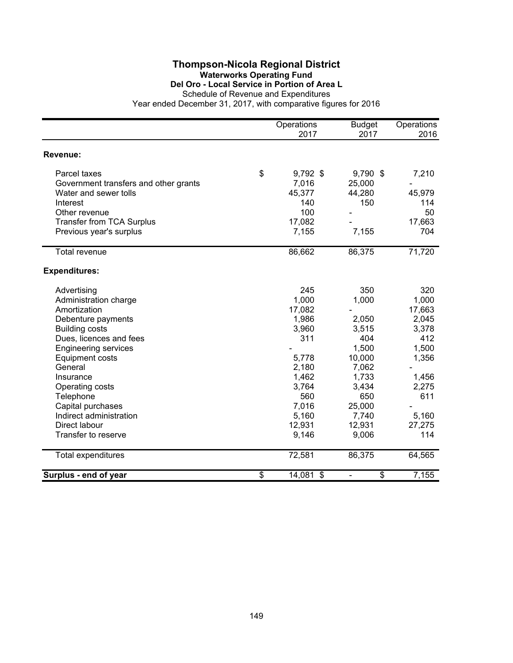### **Thompson-Nicola Regional District Waterworks Operating Fund Del Oro - Local Service in Portion of Area L**

|                                       |                          | Operations<br>2017 | <b>Budget</b><br>2017 | Operations<br>2016 |
|---------------------------------------|--------------------------|--------------------|-----------------------|--------------------|
| Revenue:                              |                          |                    |                       |                    |
| Parcel taxes                          | \$                       | 9,792 \$           | 9,790 \$              | 7,210              |
| Government transfers and other grants |                          | 7,016              | 25,000                |                    |
| Water and sewer tolls                 |                          | 45,377             | 44,280                | 45,979             |
| Interest                              |                          | 140                | 150                   | 114                |
| Other revenue                         |                          | 100                |                       | 50                 |
| <b>Transfer from TCA Surplus</b>      |                          | 17,082             |                       | 17,663             |
| Previous year's surplus               |                          | 7,155              | 7,155                 | 704                |
| <b>Total revenue</b>                  |                          | 86,662             | 86,375                | 71,720             |
| <b>Expenditures:</b>                  |                          |                    |                       |                    |
| Advertising                           |                          | 245                | 350                   | 320                |
| Administration charge                 |                          | 1,000              | 1,000                 | 1,000              |
| Amortization                          |                          | 17,082             |                       | 17,663             |
| Debenture payments                    |                          | 1,986              | 2,050                 | 2,045              |
| <b>Building costs</b>                 |                          | 3,960              | 3,515                 | 3,378              |
| Dues, licences and fees               |                          | 311                | 404                   | 412                |
| <b>Engineering services</b>           |                          |                    | 1,500                 | 1,500              |
| <b>Equipment costs</b>                |                          | 5,778              | 10,000                | 1,356              |
| General                               |                          | 2,180              | 7,062                 |                    |
| Insurance                             |                          | 1,462              | 1,733                 | 1,456              |
| Operating costs                       |                          | 3,764              | 3,434                 | 2,275              |
| Telephone                             |                          | 560                | 650                   | 611                |
| Capital purchases                     |                          | 7,016              | 25,000                |                    |
| Indirect administration               |                          | 5,160              | 7,740                 | 5,160              |
| Direct labour                         |                          | 12,931             | 12,931                | 27,275             |
| Transfer to reserve                   |                          | 9,146              | 9,006                 | 114                |
| <b>Total expenditures</b>             |                          | 72,581             | 86,375                | 64,565             |
| Surplus - end of year                 | $\overline{\mathcal{L}}$ | 14,081 \$          | \$                    | 7,155              |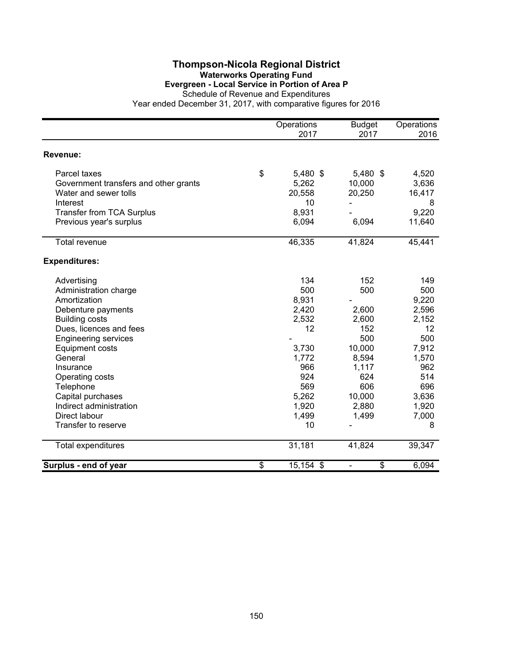#### **Thompson-Nicola Regional District Waterworks Operating Fund Evergreen - Local Service in Portion of Area P**

Schedule of Revenue and Expenditures

|                                       | Operations<br>2017 | <b>Budget</b><br>2017 | Operations<br>2016 |
|---------------------------------------|--------------------|-----------------------|--------------------|
| Revenue:                              |                    |                       |                    |
| Parcel taxes                          | \$<br>5,480 \$     | 5,480 \$              | 4,520              |
| Government transfers and other grants | 5,262              | 10,000                | 3,636              |
| Water and sewer tolls                 | 20,558             | 20,250                | 16,417             |
| Interest                              | 10                 |                       | 8                  |
| <b>Transfer from TCA Surplus</b>      | 8,931              |                       | 9,220              |
| Previous year's surplus               | 6,094              | 6,094                 | 11,640             |
| <b>Total revenue</b>                  | 46,335             | 41,824                | 45,441             |
| <b>Expenditures:</b>                  |                    |                       |                    |
| Advertising                           | 134                | 152                   | 149                |
| Administration charge                 | 500                | 500                   | 500                |
| Amortization                          | 8,931              |                       | 9,220              |
| Debenture payments                    | 2,420              | 2,600                 | 2,596              |
| <b>Building costs</b>                 | 2,532              | 2,600                 | 2,152              |
| Dues, licences and fees               | 12                 | 152                   | 12                 |
| <b>Engineering services</b>           |                    | 500                   | 500                |
| <b>Equipment costs</b>                | 3,730              | 10,000                | 7,912              |
| General                               | 1,772              | 8,594                 | 1,570              |
| Insurance                             | 966                | 1,117                 | 962                |
| Operating costs                       | 924                | 624                   | 514                |
| Telephone                             | 569                | 606                   | 696                |
| Capital purchases                     | 5,262              | 10,000                | 3,636              |
| Indirect administration               | 1,920              | 2,880                 | 1,920              |
| Direct labour                         | 1,499              | 1,499                 | 7,000              |
| Transfer to reserve                   | 10                 |                       | 8                  |
| Total expenditures                    | 31,181             | 41,824                | 39,347             |
| Surplus - end of year                 | \$<br>15,154 \$    | \$<br>۰               | 6,094              |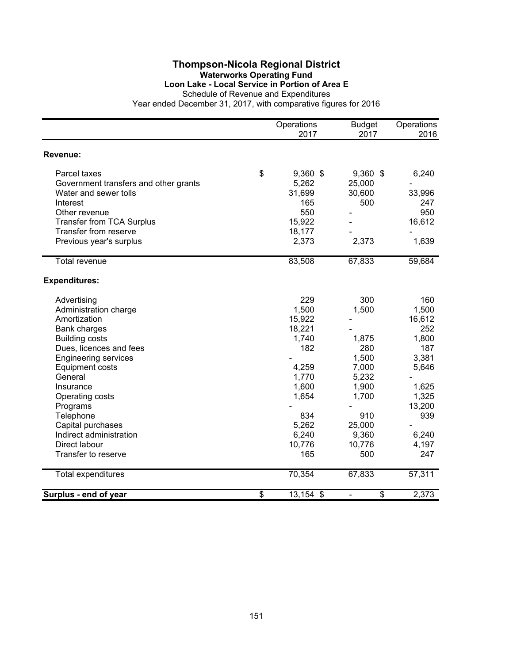#### **Thompson-Nicola Regional District Waterworks Operating Fund Loon Lake - Local Service in Portion of Area E**

Schedule of Revenue and Expenditures

|                                       |                          | Operations<br>2017 | <b>Budget</b><br>2017    | Operations<br>2016 |
|---------------------------------------|--------------------------|--------------------|--------------------------|--------------------|
| Revenue:                              |                          |                    |                          |                    |
| Parcel taxes                          | \$                       | $9,360$ \$         | $9,360$ \$               | 6,240              |
| Government transfers and other grants |                          | 5,262              | 25,000                   |                    |
| Water and sewer tolls                 |                          | 31,699             | 30,600                   | 33,996             |
| Interest                              |                          | 165                | 500                      | 247                |
| Other revenue                         |                          | 550                |                          | 950                |
| <b>Transfer from TCA Surplus</b>      |                          | 15,922             |                          | 16,612             |
| Transfer from reserve                 |                          | 18,177             |                          |                    |
| Previous year's surplus               |                          | 2,373              | 2,373                    | 1,639              |
| <b>Total revenue</b>                  |                          | 83,508             | 67,833                   | 59,684             |
|                                       |                          |                    |                          |                    |
| <b>Expenditures:</b>                  |                          |                    |                          |                    |
| Advertising                           |                          | 229                | 300                      | 160                |
| Administration charge                 |                          | 1,500              | 1,500                    | 1,500              |
| Amortization                          |                          | 15,922             |                          | 16,612             |
| <b>Bank charges</b>                   |                          | 18,221             |                          | 252                |
| <b>Building costs</b>                 |                          | 1,740              | 1,875                    | 1,800              |
| Dues, licences and fees               |                          | 182                | 280                      | 187                |
| <b>Engineering services</b>           |                          |                    | 1,500                    | 3,381              |
| <b>Equipment costs</b>                |                          | 4,259              | 7,000                    | 5,646              |
| General                               |                          | 1,770              | 5,232                    |                    |
| Insurance                             |                          | 1,600              | 1,900                    | 1,625              |
| Operating costs                       |                          | 1,654              | 1,700                    | 1,325              |
| Programs                              |                          |                    |                          | 13,200             |
| Telephone                             |                          | 834                | 910                      | 939                |
| Capital purchases                     |                          | 5,262              | 25,000                   |                    |
| Indirect administration               |                          | 6,240              | 9,360                    | 6,240              |
| Direct labour                         |                          | 10,776             | 10,776                   | 4,197              |
| Transfer to reserve                   |                          | 165                | 500                      | 247                |
| Total expenditures                    |                          | 70,354             | 67,833                   | 57,311             |
| Surplus - end of year                 | $\overline{\mathcal{S}}$ | 13,154 \$          | $\overline{\mathcal{S}}$ | 2,373              |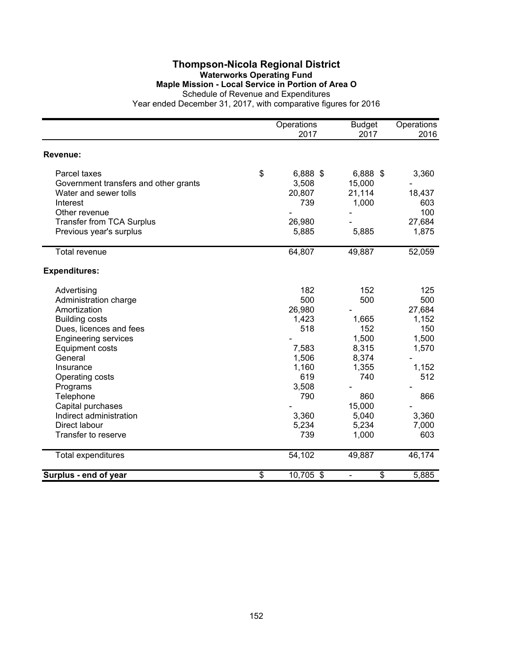#### **Thompson-Nicola Regional District Waterworks Operating Fund Maple Mission - Local Service in Portion of Area O** Schedule of Revenue and Expenditures

|                                       |                          | Operations<br>2017 | <b>Budget</b><br>2017 | Operations<br>2016 |
|---------------------------------------|--------------------------|--------------------|-----------------------|--------------------|
| Revenue:                              |                          |                    |                       |                    |
| Parcel taxes                          | \$                       | 6,888 \$           | 6,888 \$              | 3,360              |
| Government transfers and other grants |                          | 3,508              | 15,000                |                    |
| Water and sewer tolls                 |                          | 20,807             | 21,114                | 18,437             |
| Interest                              |                          | 739                | 1,000                 | 603                |
| Other revenue                         |                          |                    |                       | 100                |
| <b>Transfer from TCA Surplus</b>      |                          | 26,980             |                       | 27,684             |
| Previous year's surplus               |                          | 5,885              | 5,885                 | 1,875              |
| Total revenue                         |                          | 64,807             | 49,887                | 52,059             |
| <b>Expenditures:</b>                  |                          |                    |                       |                    |
| Advertising                           |                          | 182                | 152                   | 125                |
| Administration charge                 |                          | 500                | 500                   | 500                |
| Amortization                          |                          | 26,980             |                       | 27,684             |
| <b>Building costs</b>                 |                          | 1,423              | 1,665                 | 1,152              |
| Dues, licences and fees               |                          | 518                | 152                   | 150                |
| <b>Engineering services</b>           |                          |                    | 1,500                 | 1,500              |
| <b>Equipment costs</b>                |                          | 7,583              | 8,315                 | 1,570              |
| General                               |                          | 1,506              | 8,374                 |                    |
| Insurance                             |                          | 1,160              | 1,355                 | 1,152              |
| Operating costs                       |                          | 619                | 740                   | 512                |
| Programs                              |                          | 3,508              |                       |                    |
| Telephone                             |                          | 790                | 860                   | 866                |
| Capital purchases                     |                          |                    | 15,000                |                    |
| Indirect administration               |                          | 3,360              | 5,040                 | 3,360              |
| Direct labour                         |                          | 5,234              | 5,234                 | 7,000              |
| Transfer to reserve                   |                          | 739                | 1,000                 | 603                |
| Total expenditures                    |                          | 54,102             | 49,887                | 46,174             |
| Surplus - end of year                 | $\overline{\mathcal{L}}$ | 10,705 \$          | \$                    | 5,885              |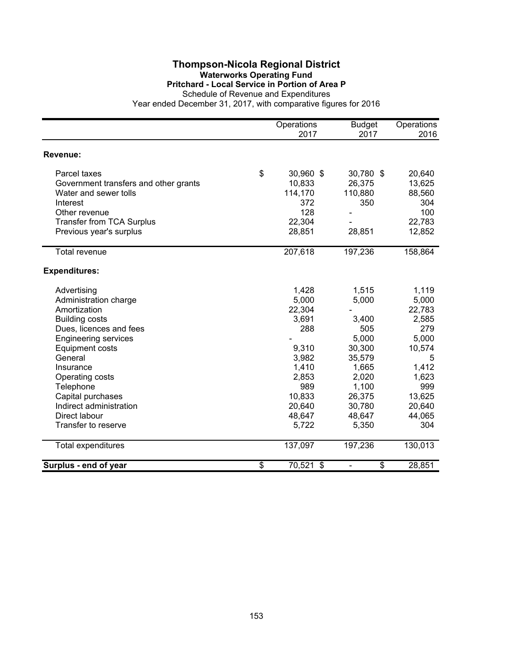#### **Thompson-Nicola Regional District Waterworks Operating Fund Pritchard - Local Service in Portion of Area P**

Schedule of Revenue and Expenditures

|                                       | Operations<br>2017 | <b>Budget</b><br>2017 | Operations<br>2016 |
|---------------------------------------|--------------------|-----------------------|--------------------|
|                                       |                    |                       |                    |
| Revenue:                              |                    |                       |                    |
| Parcel taxes                          | \$<br>30,960 \$    | 30,780 \$             | 20,640             |
| Government transfers and other grants | 10,833             | 26,375                | 13,625             |
| Water and sewer tolls                 | 114,170            | 110,880               | 88,560             |
| Interest                              | 372                | 350                   | 304                |
| Other revenue                         | 128                |                       | 100                |
| <b>Transfer from TCA Surplus</b>      | 22,304             |                       | 22,783             |
| Previous year's surplus               | 28,851             | 28,851                | 12,852             |
| <b>Total revenue</b>                  | 207,618            | 197,236               | 158,864            |
|                                       |                    |                       |                    |
| <b>Expenditures:</b>                  |                    |                       |                    |
| Advertising                           | 1,428              | 1,515                 | 1,119              |
| Administration charge                 | 5,000              | 5,000                 | 5,000              |
| Amortization                          | 22,304             |                       | 22,783             |
| <b>Building costs</b>                 | 3,691              | 3,400                 | 2,585              |
| Dues, licences and fees               | 288                | 505                   | 279                |
| <b>Engineering services</b>           |                    | 5,000                 | 5,000              |
| <b>Equipment costs</b>                | 9,310              | 30,300                | 10,574             |
| General                               | 3,982              | 35,579                | 5                  |
| Insurance                             | 1,410              | 1,665                 | 1,412              |
| Operating costs                       | 2,853              | 2,020                 | 1,623              |
| Telephone                             | 989                | 1,100                 | 999                |
| Capital purchases                     | 10,833             | 26,375                | 13,625             |
| Indirect administration               | 20,640             | 30,780                | 20,640             |
| Direct labour                         | 48,647             | 48,647                | 44,065             |
| Transfer to reserve                   | 5,722              | 5,350                 | 304                |
| Total expenditures                    | 137,097            | 197,236               | 130,013            |
| Surplus - end of year                 | \$<br>70,521 \$    | \$                    | 28,851             |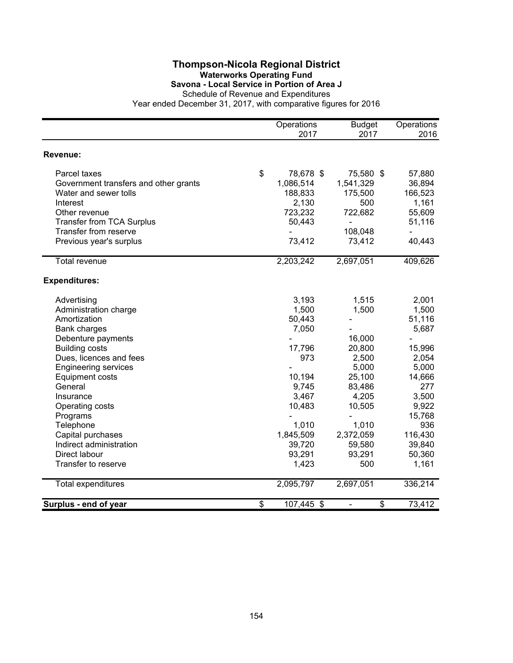### **Thompson-Nicola Regional District Waterworks Operating Fund Savona - Local Service in Portion of Area J**

|                                       | Operations<br>2017 | <b>Budget</b><br>2017          | Operations<br>2016 |
|---------------------------------------|--------------------|--------------------------------|--------------------|
| Revenue:                              |                    |                                |                    |
| Parcel taxes                          | \$<br>78,678 \$    | 75,580 \$                      | 57,880             |
| Government transfers and other grants | 1,086,514          | 1,541,329                      | 36,894             |
| Water and sewer tolls                 | 188,833            | 175,500                        | 166,523            |
| Interest                              | 2,130              | 500                            | 1,161              |
| Other revenue                         | 723,232            | 722,682                        | 55,609             |
| <b>Transfer from TCA Surplus</b>      | 50,443             | ÷,                             | 51,116             |
| Transfer from reserve                 |                    | 108,048                        |                    |
| Previous year's surplus               | 73,412             | 73,412                         | 40,443             |
| <b>Total revenue</b>                  | 2,203,242          | 2,697,051                      | 409,626            |
| <b>Expenditures:</b>                  |                    |                                |                    |
| Advertising                           | 3,193              | 1,515                          | 2,001              |
| Administration charge                 | 1,500              | 1,500                          | 1,500              |
| Amortization                          | 50,443             |                                | 51,116             |
| <b>Bank charges</b>                   | 7,050              |                                | 5,687              |
| Debenture payments                    |                    | 16,000                         |                    |
| <b>Building costs</b>                 | 17,796             | 20,800                         | 15,996             |
| Dues, licences and fees               | 973                | 2,500                          | 2,054              |
| <b>Engineering services</b>           |                    | 5,000                          | 5,000              |
| <b>Equipment costs</b>                | 10,194             | 25,100                         | 14,666             |
| General                               | 9,745              | 83,486                         | 277                |
| Insurance                             | 3,467              | 4,205                          | 3,500              |
| Operating costs                       | 10,483             | 10,505                         | 9,922              |
| Programs                              |                    |                                | 15,768             |
| Telephone                             | 1,010              | 1,010                          | 936                |
| Capital purchases                     | 1,845,509          | 2,372,059                      | 116,430            |
| Indirect administration               | 39,720             | 59,580                         | 39,840             |
| Direct labour                         | 93,291             | 93,291                         | 50,360             |
| Transfer to reserve                   | 1,423              | 500                            | 1,161              |
| Total expenditures                    | 2,095,797          | 2,697,051                      | 336,214            |
| Surplus - end of year                 | \$<br>107,445 \$   | \$<br>$\overline{\phantom{a}}$ | 73,412             |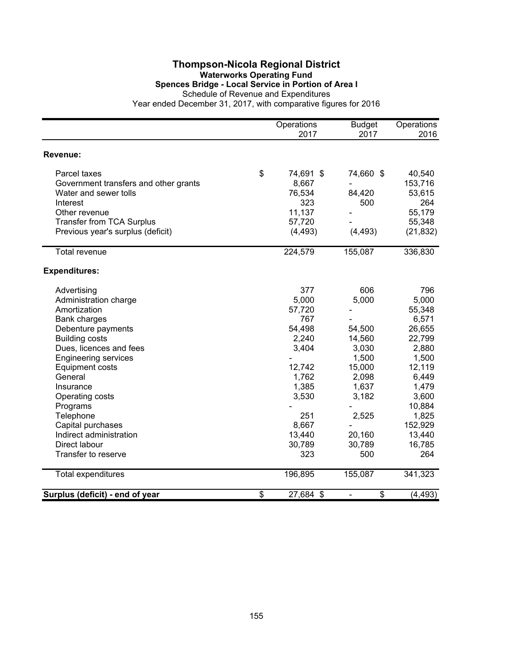#### **Thompson-Nicola Regional District Waterworks Operating Fund Spences Bridge - Local Service in Portion of Area I** Schedule of Revenue and Expenditures

|                                       |                          | Operations<br>2017 | <b>Budget</b><br>2017    | Operations<br>2016 |
|---------------------------------------|--------------------------|--------------------|--------------------------|--------------------|
| Revenue:                              |                          |                    |                          |                    |
| Parcel taxes                          | \$                       | 74,691 \$          | 74,660 \$                | 40,540             |
| Government transfers and other grants |                          | 8,667              |                          | 153,716            |
| Water and sewer tolls                 |                          | 76,534             | 84,420                   | 53,615             |
| Interest                              |                          | 323                | 500                      | 264                |
| Other revenue                         |                          | 11,137             |                          | 55,179             |
| <b>Transfer from TCA Surplus</b>      |                          | 57,720             |                          | 55,348             |
| Previous year's surplus (deficit)     |                          | (4, 493)           | (4, 493)                 | (21, 832)          |
| Total revenue                         |                          | 224,579            | 155,087                  | 336,830            |
| <b>Expenditures:</b>                  |                          |                    |                          |                    |
| Advertising                           |                          | 377                | 606                      | 796                |
| Administration charge                 |                          | 5,000              | 5,000                    | 5,000              |
| Amortization                          |                          | 57,720             |                          | 55,348             |
| <b>Bank charges</b>                   |                          | 767                |                          | 6,571              |
| Debenture payments                    |                          | 54,498             | 54,500                   | 26,655             |
| <b>Building costs</b>                 |                          | 2,240              | 14,560                   | 22,799             |
| Dues, licences and fees               |                          | 3,404              | 3,030                    | 2,880              |
| <b>Engineering services</b>           |                          |                    | 1,500                    | 1,500              |
| <b>Equipment costs</b>                |                          | 12,742             | 15,000                   | 12,119             |
| General                               |                          | 1,762              | 2,098                    | 6,449              |
| Insurance                             |                          | 1,385              | 1,637                    | 1,479              |
| Operating costs                       |                          | 3,530              | 3,182                    | 3,600              |
| Programs                              |                          |                    |                          | 10,884             |
| Telephone                             |                          | 251                | 2,525                    | 1,825              |
| Capital purchases                     |                          | 8,667              |                          | 152,929            |
| Indirect administration               |                          | 13,440             | 20,160                   | 13,440             |
| Direct labour                         |                          | 30,789             | 30,789                   | 16,785             |
| Transfer to reserve                   |                          | 323                | 500                      | 264                |
| <b>Total expenditures</b>             |                          | 196,895            | 155,087                  | 341,323            |
| Surplus (deficit) - end of year       | $\overline{\mathcal{S}}$ | 27,684 \$          | $\overline{\mathcal{E}}$ | (4, 493)           |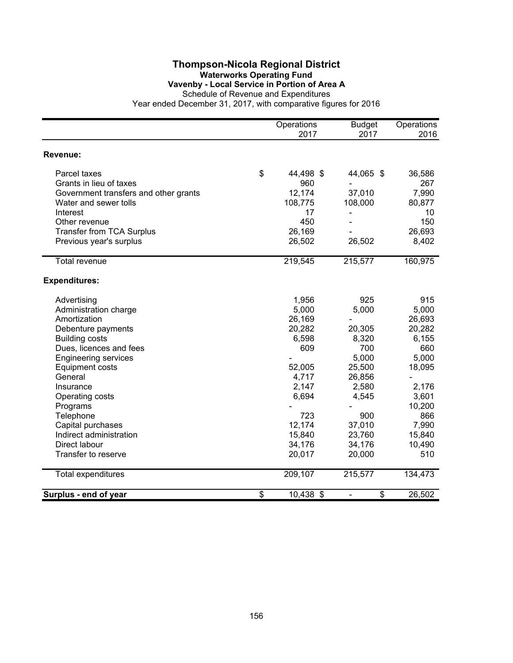## **Thompson-Nicola Regional District Waterworks Operating Fund Vavenby - Local Service in Portion of Area A**

|                                       | Operations<br>2017 | <b>Budget</b><br>2017 | Operations<br>2016 |
|---------------------------------------|--------------------|-----------------------|--------------------|
| Revenue:                              |                    |                       |                    |
| Parcel taxes                          | \$<br>44,498 \$    | 44,065 \$             | 36,586             |
| Grants in lieu of taxes               | 960                |                       | 267                |
| Government transfers and other grants | 12,174             | 37,010                | 7,990              |
| Water and sewer tolls                 | 108,775            | 108,000               | 80,877             |
| Interest                              | 17                 |                       | 10                 |
| Other revenue                         | 450                |                       | 150                |
| <b>Transfer from TCA Surplus</b>      | 26,169             |                       | 26,693             |
| Previous year's surplus               | 26,502             | 26,502                | 8,402              |
| <b>Total revenue</b>                  | 219,545            | 215,577               | 160,975            |
| <b>Expenditures:</b>                  |                    |                       |                    |
| Advertising                           | 1,956              | 925                   | 915                |
| Administration charge                 | 5,000              | 5,000                 | 5,000              |
| Amortization                          | 26,169             |                       | 26,693             |
| Debenture payments                    | 20,282             | 20,305                | 20,282             |
| <b>Building costs</b>                 | 6,598              | 8,320                 | 6,155              |
| Dues, licences and fees               | 609                | 700                   | 660                |
| <b>Engineering services</b>           |                    | 5,000                 | 5,000              |
| <b>Equipment costs</b>                | 52,005             | 25,500                | 18,095             |
| General                               | 4,717              | 26,856                |                    |
| Insurance                             | 2,147              | 2,580                 | 2,176              |
| Operating costs                       | 6,694              | 4,545                 | 3,601              |
| Programs                              |                    |                       | 10,200             |
| Telephone                             | 723                | 900                   | 866                |
| Capital purchases                     | 12,174             | 37,010                | 7,990              |
| Indirect administration               | 15,840             | 23,760                | 15,840             |
| Direct labour                         | 34,176             | 34,176                | 10,490             |
| Transfer to reserve                   | 20,017             | 20,000                | 510                |
| Total expenditures                    | 209,107            | 215,577               | 134,473            |
| Surplus - end of year                 | \$<br>10,438 \$    | \$<br>$\frac{1}{2}$   | 26,502             |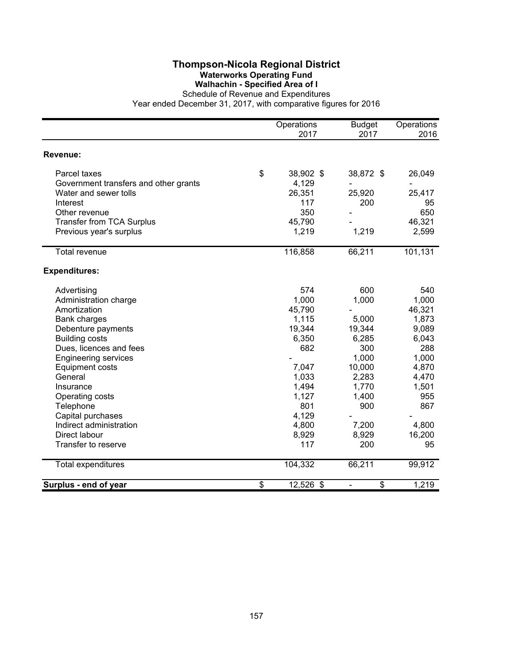### **Thompson-Nicola Regional District Waterworks Operating Fund Walhachin - Specified Area of I**

|                                       | Operations<br>2017 | <b>Budget</b><br>2017 | Operations<br>2016 |
|---------------------------------------|--------------------|-----------------------|--------------------|
| <b>Revenue:</b>                       |                    |                       |                    |
| Parcel taxes                          | \$<br>38,902 \$    | 38,872 \$             | 26,049             |
| Government transfers and other grants | 4,129              |                       |                    |
| Water and sewer tolls                 | 26,351             | 25,920                | 25,417             |
| Interest                              | 117                | 200                   | 95                 |
| Other revenue                         | 350                |                       | 650                |
| Transfer from TCA Surplus             | 45,790             |                       | 46,321             |
| Previous year's surplus               | 1,219              | 1,219                 | 2,599              |
| Total revenue                         | 116,858            | 66,211                | 101,131            |
| <b>Expenditures:</b>                  |                    |                       |                    |
| Advertising                           | 574                | 600                   | 540                |
| Administration charge                 | 1,000              | 1,000                 | 1,000              |
| Amortization                          | 45,790             |                       | 46,321             |
| Bank charges                          | 1,115              | 5,000                 | 1,873              |
| Debenture payments                    | 19,344             | 19,344                | 9,089              |
| <b>Building costs</b>                 | 6,350              | 6,285                 | 6,043              |
| Dues, licences and fees               | 682                | 300                   | 288                |
| <b>Engineering services</b>           |                    | 1,000                 | 1,000              |
| <b>Equipment costs</b>                | 7,047              | 10,000                | 4,870              |
| General                               | 1,033              | 2,283                 | 4,470              |
| Insurance                             | 1,494              | 1,770                 | 1,501              |
| Operating costs                       | 1,127              | 1,400                 | 955                |
| Telephone                             | 801                | 900                   | 867                |
| Capital purchases                     | 4,129              |                       |                    |
| Indirect administration               | 4,800              | 7,200                 | 4,800              |
| Direct labour                         | 8,929              | 8,929                 | 16,200             |
| Transfer to reserve                   | 117                | 200                   | 95                 |
| Total expenditures                    | 104,332            | 66,211                | 99,912             |
| Surplus - end of year                 | \$<br>12,526 \$    | \$                    | 1,219              |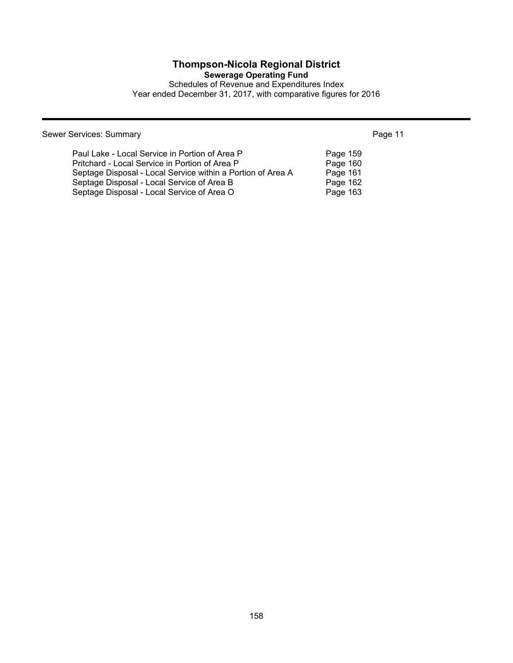## **Thompson-Nicola Regional District**

**Sewerage Operating Fund**

Schedules of Revenue and Expenditures Index Year ended December 31, 2017, with comparative figures for 2016

Sewer Services: Summary **Page 11** 

| Paul Lake - Local Service in Portion of Area P              | Page 159 |
|-------------------------------------------------------------|----------|
| Pritchard - Local Service in Portion of Area P              | Page 160 |
| Septage Disposal - Local Service within a Portion of Area A | Page 161 |
| Septage Disposal - Local Service of Area B                  | Page 162 |
| Septage Disposal - Local Service of Area O                  | Page 163 |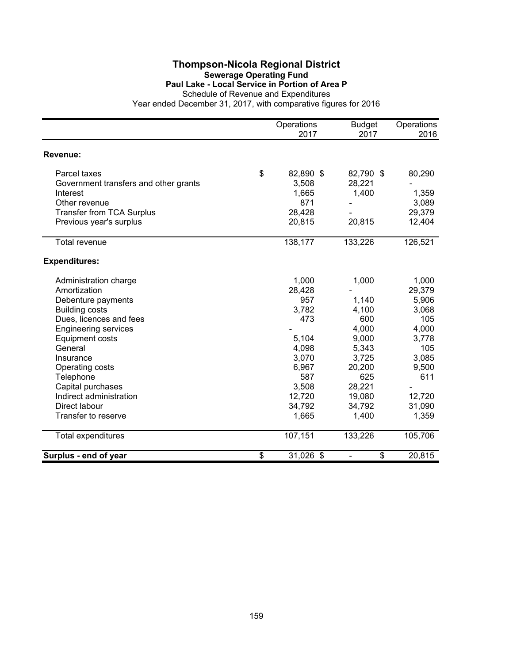#### **Thompson-Nicola Regional District Sewerage Operating Fund Paul Lake - Local Service in Portion of Area P**

Schedule of Revenue and Expenditures

|                                       | Operations<br>2017 | <b>Budget</b><br>2017 | Operations<br>2016 |
|---------------------------------------|--------------------|-----------------------|--------------------|
| Revenue:                              |                    |                       |                    |
| Parcel taxes                          | \$<br>82,890 \$    | 82,790 \$             | 80,290             |
| Government transfers and other grants | 3,508              | 28,221                |                    |
| Interest                              | 1,665              | 1,400                 | 1,359              |
| Other revenue                         | 871                |                       | 3,089              |
| <b>Transfer from TCA Surplus</b>      | 28,428             |                       | 29,379             |
| Previous year's surplus               | 20,815             | 20,815                | 12,404             |
| <b>Total revenue</b>                  | 138,177            | 133,226               | 126,521            |
| <b>Expenditures:</b>                  |                    |                       |                    |
| Administration charge                 | 1,000              | 1,000                 | 1,000              |
| Amortization                          | 28,428             |                       | 29,379             |
| Debenture payments                    | 957                | 1,140                 | 5,906              |
| <b>Building costs</b>                 | 3,782              | 4,100                 | 3,068              |
| Dues, licences and fees               | 473                | 600                   | 105                |
| <b>Engineering services</b>           |                    | 4,000                 | 4,000              |
| <b>Equipment costs</b>                | 5,104              | 9,000                 | 3,778              |
| General                               | 4,098              | 5,343                 | 105                |
| Insurance                             | 3,070              | 3,725                 | 3,085              |
| Operating costs                       | 6,967              | 20,200                | 9,500              |
| Telephone                             | 587                | 625                   | 611                |
| Capital purchases                     | 3,508              | 28,221                |                    |
| Indirect administration               | 12,720             | 19,080                | 12,720             |
| Direct labour                         | 34,792             | 34,792                | 31,090             |
| Transfer to reserve                   | 1,665              | 1,400                 | 1,359              |
| Total expenditures                    | 107,151            | 133,226               | 105,706            |
| Surplus - end of year                 | \$<br>31,026 \$    | \$                    | 20,815             |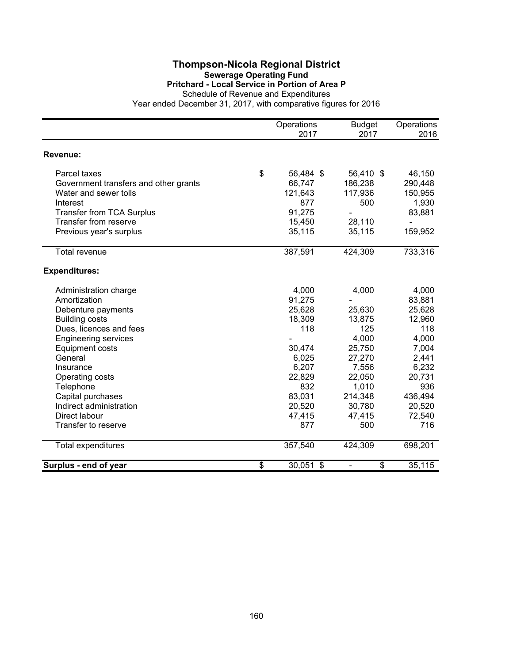#### **Thompson-Nicola Regional District Sewerage Operating Fund Pritchard - Local Service in Portion of Area P**

Schedule of Revenue and Expenditures

|                                       | Operations<br>2017 | <b>Budget</b><br>2017 | Operations<br>2016 |
|---------------------------------------|--------------------|-----------------------|--------------------|
| Revenue:                              |                    |                       |                    |
| Parcel taxes                          | \$<br>56,484 \$    | 56,410 \$             | 46,150             |
| Government transfers and other grants | 66,747             | 186,238               | 290,448            |
| Water and sewer tolls                 | 121,643            | 117,936               | 150,955            |
| Interest                              | 877                | 500                   | 1,930              |
| <b>Transfer from TCA Surplus</b>      | 91,275             |                       | 83,881             |
| Transfer from reserve                 | 15,450             | 28,110                |                    |
| Previous year's surplus               | 35,115             | 35,115                | 159,952            |
| <b>Total revenue</b>                  | 387,591            | 424,309               | 733,316            |
| <b>Expenditures:</b>                  |                    |                       |                    |
| Administration charge                 | 4,000              | 4,000                 | 4,000              |
| Amortization                          | 91,275             |                       | 83,881             |
| Debenture payments                    | 25,628             | 25,630                | 25,628             |
| <b>Building costs</b>                 | 18,309             | 13,875                | 12,960             |
| Dues, licences and fees               | 118                | 125                   | 118                |
| <b>Engineering services</b>           |                    | 4,000                 | 4,000              |
| <b>Equipment costs</b>                | 30,474             | 25,750                | 7,004              |
| General                               | 6,025              | 27,270                | 2,441              |
| Insurance                             | 6,207              | 7,556                 | 6,232              |
| Operating costs                       | 22,829             | 22,050                | 20,731             |
| Telephone                             | 832                | 1,010                 | 936                |
| Capital purchases                     | 83,031             | 214,348               | 436,494            |
| Indirect administration               | 20,520             | 30,780                | 20,520             |
| Direct labour                         | 47,415             | 47,415                | 72,540             |
| Transfer to reserve                   | 877                | 500                   | 716                |
| Total expenditures                    | 357,540            | 424,309               | 698,201            |
| Surplus - end of year                 | \$<br>30,051 \$    | \$                    | 35,115             |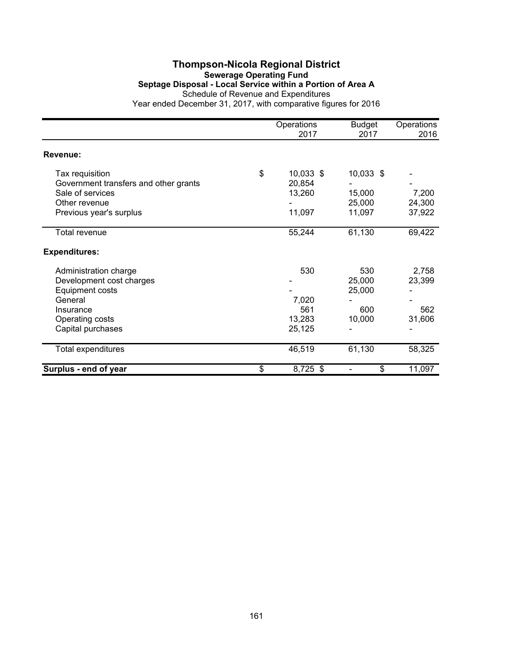#### **Thompson-Nicola Regional District Sewerage Operating Fund Septage Disposal - Local Service within a Portion of Area A** Schedule of Revenue and Expenditures

|                                                          | Operations<br>2017        | <b>Budget</b><br>2017 | Operations<br>2016 |
|----------------------------------------------------------|---------------------------|-----------------------|--------------------|
| Revenue:                                                 |                           |                       |                    |
| Tax requisition<br>Government transfers and other grants | \$<br>10,033 \$<br>20,854 | 10,033 \$             |                    |
| Sale of services                                         | 13,260                    | 15,000                | 7,200              |
| Other revenue                                            |                           | 25,000                | 24,300             |
| Previous year's surplus                                  | 11,097                    | 11,097                | 37,922             |
| Total revenue                                            | 55,244                    | 61,130                | 69,422             |
| <b>Expenditures:</b>                                     |                           |                       |                    |
| Administration charge                                    | 530                       | 530                   | 2,758              |
| Development cost charges                                 |                           | 25,000                | 23,399             |
| Equipment costs                                          |                           | 25,000                |                    |
| General                                                  | 7,020                     |                       |                    |
| Insurance                                                | 561                       | 600                   | 562                |
| Operating costs                                          | 13,283                    | 10,000                | 31,606             |
| Capital purchases                                        | 25,125                    |                       |                    |
| Total expenditures                                       | 46,519                    | 61,130                | 58,325             |
| Surplus - end of year                                    | \$<br>8,725 \$            | \$                    | 11,097             |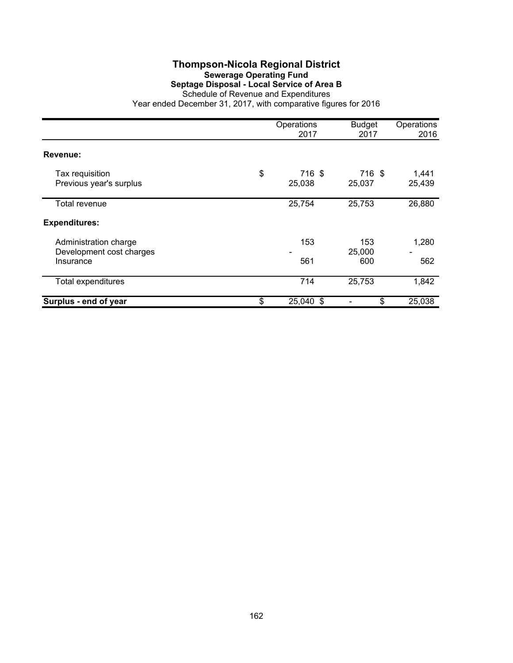#### **Thompson-Nicola Regional District Sewerage Operating Fund Septage Disposal - Local Service of Area B** Schedule of Revenue and Expenditures

|                                                                | Operations<br>2017     | <b>Budget</b><br>2017 | Operations<br>2016 |
|----------------------------------------------------------------|------------------------|-----------------------|--------------------|
| Revenue:                                                       |                        |                       |                    |
| Tax requisition<br>Previous year's surplus                     | \$<br>716 \$<br>25,038 | 716 \$<br>25,037      | 1,441<br>25,439    |
| Total revenue                                                  | 25,754                 | 25,753                | 26,880             |
| <b>Expenditures:</b>                                           |                        |                       |                    |
| Administration charge<br>Development cost charges<br>Insurance | 153<br>561             | 153<br>25,000<br>600  | 1,280<br>562       |
| Total expenditures                                             | 714                    | 25,753                | 1,842              |
| Surplus - end of year                                          | \$<br>25,040 \$        | \$                    | 25,038             |